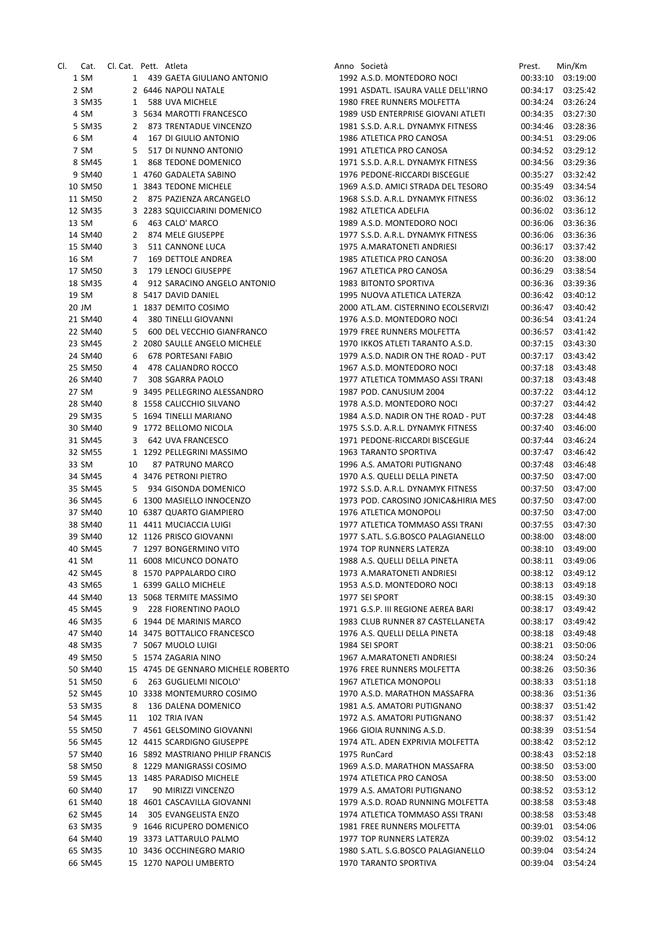| CI. | Cat.    | Cl. Cat. Pett. Atleta |              |                                    | Anno Società                        | Prest.   | Min/Km            |
|-----|---------|-----------------------|--------------|------------------------------------|-------------------------------------|----------|-------------------|
|     | 1 SM    |                       |              | 1 439 GAETA GIULIANO ANTONIO       | 1992 A.S.D. MONTEDORO NOCI          | 00:33:10 | 03:19:00          |
|     | 2 SM    |                       |              | 2 6446 NAPOLI NATALE               | 1991 ASDATL. ISAURA VALLE DELL'IRNO | 00:34:17 | 03:25:42          |
|     | 3 SM35  | $\mathbf{1}$          |              | 588 UVA MICHELE                    | 1980 FREE RUNNERS MOLFETTA          | 00:34:24 | 03:26:24          |
|     | 4 SM    |                       |              | 3 5634 MAROTTI FRANCESCO           | 1989 USD ENTERPRISE GIOVANI ATLETI  | 00:34:35 | 03:27:30          |
|     | 5 SM35  |                       | $\mathbf{2}$ | 873 TRENTADUE VINCENZO             | 1981 S.S.D. A.R.L. DYNAMYK FITNESS  | 00:34:46 | 03:28:36          |
|     | 6 SM    | 4                     |              | 167 DI GIULIO ANTONIO              | 1986 ATLETICA PRO CANOSA            |          | 00:34:51 03:29:06 |
|     | 7 SM    | 5                     |              | 517 DI NUNNO ANTONIO               | 1991 ATLETICA PRO CANOSA            | 00:34:52 | 03:29:12          |
|     | 8 SM45  | 1                     |              | 868 TEDONE DOMENICO                | 1971 S.S.D. A.R.L. DYNAMYK FITNESS  | 00:34:56 | 03:29:36          |
|     |         |                       |              |                                    |                                     |          |                   |
|     | 9 SM40  |                       |              | 1 4760 GADALETA SABINO             | 1976 PEDONE-RICCARDI BISCEGLIE      |          | 00:35:27 03:32:42 |
|     | 10 SM50 |                       |              | 1 3843 TEDONE MICHELE              | 1969 A.S.D. AMICI STRADA DEL TESORO | 00:35:49 | 03:34:54          |
|     | 11 SM50 |                       | $\mathbf{2}$ | 875 PAZIENZA ARCANGELO             | 1968 S.S.D. A.R.L. DYNAMYK FITNESS  | 00:36:02 | 03:36:12          |
|     | 12 SM35 |                       |              | 3 2283 SQUICCIARINI DOMENICO       | 1982 ATLETICA ADELFIA               | 00:36:02 | 03:36:12          |
|     | 13 SM   | 6                     |              | 463 CALO' MARCO                    | 1989 A.S.D. MONTEDORO NOCI          | 00:36:06 | 03:36:36          |
|     | 14 SM40 | 2                     |              | 874 MELE GIUSEPPE                  | 1977 S.S.D. A.R.L. DYNAMYK FITNESS  | 00:36:06 | 03:36:36          |
|     | 15 SM40 | 3                     |              | 511 CANNONE LUCA                   | 1975 A.MARATONETI ANDRIESI          |          | 00:36:17 03:37:42 |
|     | 16 SM   | $\overline{7}$        |              | 169 DETTOLE ANDREA                 | 1985 ATLETICA PRO CANOSA            | 00:36:20 | 03:38:00          |
|     | 17 SM50 | 3                     |              | 179 LENOCI GIUSEPPE                | 1967 ATLETICA PRO CANOSA            | 00:36:29 | 03:38:54          |
|     | 18 SM35 | 4                     |              | 912 SARACINO ANGELO ANTONIO        | <b>1983 BITONTO SPORTIVA</b>        | 00:36:36 | 03:39:36          |
|     | 19 SM   |                       |              | 8 5417 DAVID DANIEL                | 1995 NUOVA ATLETICA LATERZA         | 00:36:42 | 03:40:12          |
|     | 20 JM   |                       |              | 1 1837 DEMITO COSIMO               | 2000 ATL.AM. CISTERNINO ECOLSERVIZI |          | 00:36:47 03:40:42 |
|     | 21 SM40 | 4                     |              | 380 TINELLI GIOVANNI               | 1976 A.S.D. MONTEDORO NOCI          | 00:36:54 | 03:41:24          |
|     | 22 SM40 | 5                     |              | 600 DEL VECCHIO GIANFRANCO         | 1979 FREE RUNNERS MOLFETTA          | 00:36:57 | 03:41:42          |
|     | 23 SM45 |                       |              | 2 2080 SAULLE ANGELO MICHELE       | 1970 IKKOS ATLETI TARANTO A.S.D.    | 00:37:15 | 03:43:30          |
|     |         |                       |              |                                    | 1979 A.S.D. NADIR ON THE ROAD - PUT | 00:37:17 |                   |
|     | 24 SM40 | 6                     |              | 678 PORTESANI FABIO                |                                     |          | 03:43:42          |
|     | 25 SM50 | 4                     |              | 478 CALIANDRO ROCCO                | 1967 A.S.D. MONTEDORO NOCI          | 00:37:18 | 03:43:48          |
|     | 26 SM40 | $7^{\circ}$           |              | 308 SGARRA PAOLO                   | 1977 ATLETICA TOMMASO ASSI TRANI    |          | 00:37:18 03:43:48 |
|     | 27 SM   |                       |              | 9 3495 PELLEGRINO ALESSANDRO       | 1987 POD. CANUSIUM 2004             | 00:37:22 | 03:44:12          |
|     | 28 SM40 |                       |              | 8 1558 CALICCHIO SILVANO           | 1978 A.S.D. MONTEDORO NOCI          | 00:37:27 | 03:44:42          |
|     | 29 SM35 |                       |              | 5 1694 TINELLI MARIANO             | 1984 A.S.D. NADIR ON THE ROAD - PUT | 00:37:28 | 03:44:48          |
|     | 30 SM40 |                       |              | 9 1772 BELLOMO NICOLA              | 1975 S.S.D. A.R.L. DYNAMYK FITNESS  | 00:37:40 | 03:46:00          |
|     | 31 SM45 | 3                     |              | 642 UVA FRANCESCO                  | 1971 PEDONE-RICCARDI BISCEGLIE      | 00:37:44 | 03:46:24          |
|     | 32 SM55 |                       |              | 1 1292 PELLEGRINI MASSIMO          | 1963 TARANTO SPORTIVA               | 00:37:47 | 03:46:42          |
|     | 33 SM   | 10                    |              | 87 PATRUNO MARCO                   | 1996 A.S. AMATORI PUTIGNANO         | 00:37:48 | 03:46:48          |
|     | 34 SM45 |                       |              | 4 3476 PETRONI PIETRO              | 1970 A.S. QUELLI DELLA PINETA       | 00:37:50 | 03:47:00          |
|     | 35 SM45 | 5                     |              | 934 GISONDA DOMENICO               | 1972 S.S.D. A.R.L. DYNAMYK FITNESS  | 00:37:50 | 03:47:00          |
|     | 36 SM45 |                       |              | 6 1300 MASIELLO INNOCENZO          | 1973 POD. CAROSINO JONICA&HIRIA MES | 00:37:50 | 03:47:00          |
|     | 37 SM40 |                       |              | 10 6387 QUARTO GIAMPIERO           | 1976 ATLETICA MONOPOLI              | 00:37:50 | 03:47:00          |
|     | 38 SM40 |                       |              | 11 4411 MUCIACCIA LUIGI            | 1977 ATLETICA TOMMASO ASSI TRANI    | 00:37:55 | 03:47:30          |
|     | 39 SM40 |                       |              | 12 1126 PRISCO GIOVANNI            | 1977 S.ATL. S.G.BOSCO PALAGIANELLO  | 00:38:00 | 03:48:00          |
|     | 40 SM45 |                       |              | 7 1297 BONGERMINO VITO             | 1974 TOP RUNNERS LATERZA            |          | 00:38:10 03:49:00 |
|     |         |                       |              |                                    |                                     |          |                   |
|     | 41 SM   |                       |              | 11 6008 MICUNCO DONATO             | 1988 A.S. QUELLI DELLA PINETA       | 00:38:11 | 03:49:06          |
|     | 42 SM45 |                       |              | 8 1570 PAPPALARDO CIRO             | 1973 A.MARATONETI ANDRIESI          |          | 00:38:12 03:49:12 |
|     | 43 SM65 |                       |              | 1 6399 GALLO MICHELE               | 1953 A.S.D. MONTEDORO NOCI          | 00:38:13 | 03:49:18          |
|     | 44 SM40 |                       |              | 13 5068 TERMITE MASSIMO            | 1977 SEI SPORT                      | 00:38:15 | 03:49:30          |
|     | 45 SM45 | 9                     |              | 228 FIORENTINO PAOLO               | 1971 G.S.P. III REGIONE AEREA BARI  | 00:38:17 | 03:49:42          |
|     | 46 SM35 |                       |              | 6 1944 DE MARINIS MARCO            | 1983 CLUB RUNNER 87 CASTELLANETA    | 00:38:17 | 03:49:42          |
|     | 47 SM40 |                       |              | 14 3475 BOTTALICO FRANCESCO        | 1976 A.S. QUELLI DELLA PINETA       | 00:38:18 | 03:49:48          |
|     | 48 SM35 |                       |              | 7 5067 MUOLO LUIGI                 | 1984 SEI SPORT                      |          | 00:38:21 03:50:06 |
|     | 49 SM50 |                       |              | 5 1574 ZAGARIA NINO                | 1967 A.MARATONETI ANDRIESI          | 00:38:24 | 03:50:24          |
|     | 50 SM40 |                       |              | 15 4745 DE GENNARO MICHELE ROBERTO | 1976 FREE RUNNERS MOLFETTA          | 00:38:26 | 03:50:36          |
|     | 51 SM50 | 6                     |              | 263 GUGLIELMI NICOLO'              | 1967 ATLETICA MONOPOLI              | 00:38:33 | 03:51:18          |
|     | 52 SM45 |                       |              | 10 3338 MONTEMURRO COSIMO          | 1970 A.S.D. MARATHON MASSAFRA       | 00:38:36 | 03:51:36          |
|     | 53 SM35 | 8                     |              | 136 DALENA DOMENICO                | 1981 A.S. AMATORI PUTIGNANO         | 00:38:37 | 03:51:42          |
|     | 54 SM45 | 11                    |              | 102 TRIA IVAN                      | 1972 A.S. AMATORI PUTIGNANO         |          | 00:38:37 03:51:42 |
|     | 55 SM50 |                       |              | 7 4561 GELSOMINO GIOVANNI          | 1966 GIOIA RUNNING A.S.D.           | 00:38:39 | 03:51:54          |
|     | 56 SM45 |                       |              | 12 4415 SCARDIGNO GIUSEPPE         | 1974 ATL. ADEN EXPRIVIA MOLFETTA    | 00:38:42 | 03:52:12          |
|     | 57 SM40 |                       |              | 16 5892 MASTRIANO PHILIP FRANCIS   | 1975 RunCard                        | 00:38:43 | 03:52:18          |
|     |         |                       |              | 8 1229 MANIGRASSI COSIMO           |                                     |          | 03:53:00          |
|     | 58 SM50 |                       |              |                                    | 1969 A.S.D. MARATHON MASSAFRA       | 00:38:50 |                   |
|     | 59 SM45 |                       |              | 13 1485 PARADISO MICHELE           | 1974 ATLETICA PRO CANOSA            | 00:38:50 | 03:53:00          |
|     | 60 SM40 | 17                    |              | 90 MIRIZZI VINCENZO                | 1979 A.S. AMATORI PUTIGNANO         | 00:38:52 | 03:53:12          |
|     | 61 SM40 |                       |              | 18 4601 CASCAVILLA GIOVANNI        | 1979 A.S.D. ROAD RUNNING MOLFETTA   | 00:38:58 | 03:53:48          |
|     | 62 SM45 | 14                    |              | 305 EVANGELISTA ENZO               | 1974 ATLETICA TOMMASO ASSI TRANI    |          | 00:38:58 03:53:48 |
|     | 63 SM35 |                       |              | 9 1646 RICUPERO DOMENICO           | 1981 FREE RUNNERS MOLFETTA          | 00:39:01 | 03:54:06          |
|     | 64 SM40 |                       |              | 19 3373 LATTARULO PALMO            | 1977 TOP RUNNERS LATERZA            | 00:39:02 | 03:54:12          |
|     | 65 SM35 |                       |              | 10 3436 OCCHINEGRO MARIO           | 1980 S.ATL. S.G.BOSCO PALAGIANELLO  | 00:39:04 | 03:54:24          |
|     | 66 SM45 |                       |              | 15 1270 NAPOLI UMBERTO             | 1970 TARANTO SPORTIVA               |          | 00:39:04 03:54:24 |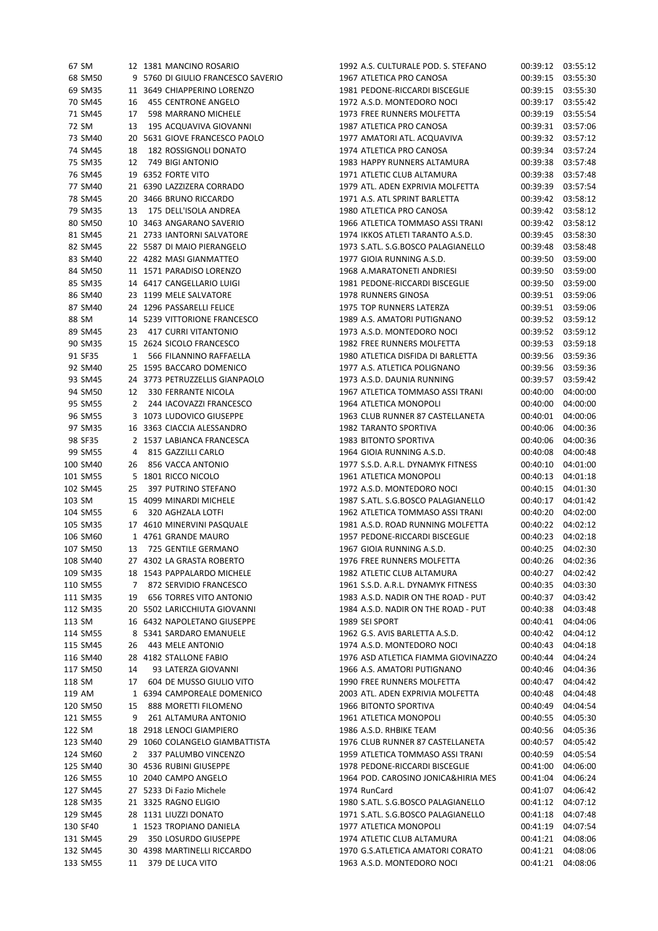| 67 SM  |          |    | 12 1381 MANCINO ROSARIO            | 1992 A.S. CULTURALE POD. S. STEFANO | 00:39:12 | 03:55:12 |
|--------|----------|----|------------------------------------|-------------------------------------|----------|----------|
|        | 68 SM50  |    | 9 5760 DI GIULIO FRANCESCO SAVERIO | 1967 ATLETICA PRO CANOSA            | 00:39:15 | 03:55:30 |
|        | 69 SM35  |    | 11 3649 CHIAPPERINO LORENZO        | 1981 PEDONE-RICCARDI BISCEGLIE      | 00:39:15 | 03:55:30 |
|        | 70 SM45  | 16 | 455 CENTRONE ANGELO                | 1972 A.S.D. MONTEDORO NOCI          | 00:39:17 | 03:55:42 |
|        | 71 SM45  | 17 | 598 MARRANO MICHELE                | 1973 FREE RUNNERS MOLFETTA          | 00:39:19 | 03:55:54 |
| 72 SM  |          | 13 | 195 ACQUAVIVA GIOVANNI             | 1987 ATLETICA PRO CANOSA            | 00:39:31 | 03:57:06 |
|        | 73 SM40  |    | 20 5631 GIOVE FRANCESCO PAOLO      | 1977 AMATORI ATL. ACQUAVIVA         | 00:39:32 | 03:57:12 |
|        | 74 SM45  | 18 | 182 ROSSIGNOLI DONATO              | 1974 ATLETICA PRO CANOSA            | 00:39:34 | 03:57:24 |
|        |          |    | 749 BIGI ANTONIO                   |                                     |          |          |
|        | 75 SM35  | 12 |                                    | 1983 HAPPY RUNNERS ALTAMURA         | 00:39:38 | 03:57:48 |
|        | 76 SM45  |    | 19 6352 FORTE VITO                 | 1971 ATLETIC CLUB ALTAMURA          | 00:39:38 | 03:57:48 |
|        | 77 SM40  |    | 21 6390 LAZZIZERA CORRADO          | 1979 ATL. ADEN EXPRIVIA MOLFETTA    | 00:39:39 | 03:57:54 |
|        | 78 SM45  |    | 20 3466 BRUNO RICCARDO             | 1971 A.S. ATL SPRINT BARLETTA       | 00:39:42 | 03:58:12 |
|        | 79 SM35  | 13 | 175 DELL'ISOLA ANDREA              | 1980 ATLETICA PRO CANOSA            | 00:39:42 | 03:58:12 |
|        | 80 SM50  |    | 10 3463 ANGARANO SAVERIO           | 1966 ATLETICA TOMMASO ASSI TRANI    | 00:39:42 | 03:58:12 |
|        | 81 SM45  |    | 21 2733 IANTORNI SALVATORE         | 1974 IKKOS ATLETI TARANTO A.S.D.    | 00:39:45 | 03:58:30 |
|        | 82 SM45  |    | 22 5587 DI MAIO PIERANGELO         | 1973 S.ATL. S.G.BOSCO PALAGIANELLO  | 00:39:48 | 03:58:48 |
|        | 83 SM40  |    | 22 4282 MASI GIANMATTEO            | 1977 GIOIA RUNNING A.S.D.           | 00:39:50 | 03:59:00 |
|        | 84 SM50  |    | 11 1571 PARADISO LORENZO           | 1968 A.MARATONETI ANDRIESI          | 00:39:50 | 03:59:00 |
|        | 85 SM35  |    | 14 6417 CANGELLARIO LUIGI          | 1981 PEDONE-RICCARDI BISCEGLIE      | 00:39:50 | 03:59:00 |
|        | 86 SM40  |    | 23 1199 MELE SALVATORE             | 1978 RUNNERS GINOSA                 | 00:39:51 | 03:59:06 |
|        | 87 SM40  |    | 24 1296 PASSARELLI FELICE          | 1975 TOP RUNNERS LATERZA            | 00:39:51 | 03:59:06 |
| 88 SM  |          |    | 14 5239 VITTORIONE FRANCESCO       | 1989 A.S. AMATORI PUTIGNANO         | 00:39:52 | 03:59:12 |
|        | 89 SM45  |    | 23 417 CURRI VITANTONIO            | 1973 A.S.D. MONTEDORO NOCI          | 00:39:52 | 03:59:12 |
|        | 90 SM35  |    | 15 2624 SICOLO FRANCESCO           | 1982 FREE RUNNERS MOLFETTA          | 00:39:53 | 03:59:18 |
|        |          |    |                                    |                                     |          |          |
|        | 91 SF35  | 1  | 566 FILANNINO RAFFAELLA            | 1980 ATLETICA DISFIDA DI BARLETTA   | 00:39:56 | 03:59:36 |
|        | 92 SM40  |    | 25 1595 BACCARO DOMENICO           | 1977 A.S. ATLETICA POLIGNANO        | 00:39:56 | 03:59:36 |
|        | 93 SM45  |    | 24 3773 PETRUZZELLIS GIANPAOLO     | 1973 A.S.D. DAUNIA RUNNING          | 00:39:57 | 03:59:42 |
|        | 94 SM50  |    | 12 330 FERRANTE NICOLA             | 1967 ATLETICA TOMMASO ASSI TRANI    | 00:40:00 | 04:00:00 |
|        | 95 SM55  |    | 2 244 IACOVAZZI FRANCESCO          | 1964 ATLETICA MONOPOLI              | 00:40:00 | 04:00:00 |
|        | 96 SM55  |    | 3 1073 LUDOVICO GIUSEPPE           | 1963 CLUB RUNNER 87 CASTELLANETA    | 00:40:01 | 04:00:06 |
|        | 97 SM35  |    | 16 3363 CIACCIA ALESSANDRO         | 1982 TARANTO SPORTIVA               | 00:40:06 | 04:00:36 |
|        | 98 SF35  |    | 2 1537 LABIANCA FRANCESCA          | 1983 BITONTO SPORTIVA               | 00:40:06 | 04:00:36 |
|        | 99 SM55  |    | 4 815 GAZZILLI CARLO               | 1964 GIOIA RUNNING A.S.D.           | 00:40:08 | 04:00:48 |
|        | 100 SM40 | 26 | 856 VACCA ANTONIO                  | 1977 S.S.D. A.R.L. DYNAMYK FITNESS  | 00:40:10 | 04:01:00 |
|        | 101 SM55 |    | 5 1801 RICCO NICOLO                | 1961 ATLETICA MONOPOLI              | 00:40:13 | 04:01:18 |
|        | 102 SM45 | 25 | 397 PUTRINO STEFANO                | 1972 A.S.D. MONTEDORO NOCI          | 00:40:15 | 04:01:30 |
| 103 SM |          |    | 15 4099 MINARDI MICHELE            | 1987 S.ATL. S.G.BOSCO PALAGIANELLO  | 00:40:17 | 04:01:42 |
|        | 104 SM55 | 6  | 320 AGHZALA LOTFI                  | 1962 ATLETICA TOMMASO ASSI TRANI    | 00:40:20 | 04:02:00 |
|        | 105 SM35 |    | 17 4610 MINERVINI PASQUALE         | 1981 A.S.D. ROAD RUNNING MOLFETTA   | 00:40:22 | 04:02:12 |
|        | 106 SM60 |    | 1 4761 GRANDE MAURO                | 1957 PEDONE-RICCARDI BISCEGLIE      | 00:40:23 | 04:02:18 |
|        | 107 SM50 |    | 13 725 GENTILE GERMANO             | 1967 GIOIA RUNNING A.S.D.           | 00:40:25 | 04:02:30 |
|        |          |    |                                    |                                     |          |          |
|        | 108 SM40 |    | 27 4302 LA GRASTA ROBERTO          | 1976 FREE RUNNERS MOLFETTA          | 00:40:26 | 04:02:36 |
|        | 109 SM35 |    | 18 1543 PAPPALARDO MICHELE         | 1982 ATLETIC CLUB ALTAMURA          | 00:40:27 | 04:02:42 |
|        | 110 SM55 |    | 7 872 SERVIDIO FRANCESCO           | 1961 S.S.D. A.R.L. DYNAMYK FITNESS  | 00:40:35 | 04:03:30 |
|        | 111 SM35 | 19 | <b>656 TORRES VITO ANTONIO</b>     | 1983 A.S.D. NADIR ON THE ROAD - PUT | 00:40:37 | 04:03:42 |
|        | 112 SM35 |    | 20 5502 LARICCHIUTA GIOVANNI       | 1984 A.S.D. NADIR ON THE ROAD - PUT | 00:40:38 | 04:03:48 |
| 113 SM |          |    | 16 6432 NAPOLETANO GIUSEPPE        | 1989 SEI SPORT                      | 00:40:41 | 04:04:06 |
|        | 114 SM55 |    | 8 5341 SARDARO EMANUELE            | 1962 G.S. AVIS BARLETTA A.S.D.      | 00:40:42 | 04:04:12 |
|        | 115 SM45 | 26 | 443 MELE ANTONIO                   | 1974 A.S.D. MONTEDORO NOCI          | 00:40:43 | 04:04:18 |
|        | 116 SM40 |    | 28 4182 STALLONE FABIO             | 1976 ASD ATLETICA FIAMMA GIOVINAZZO | 00:40:44 | 04:04:24 |
|        | 117 SM50 | 14 | 93 LATERZA GIOVANNI                | 1966 A.S. AMATORI PUTIGNANO         | 00:40:46 | 04:04:36 |
| 118 SM |          | 17 | 604 DE MUSSO GIULIO VITO           | 1990 FREE RUNNERS MOLFETTA          | 00:40:47 | 04:04:42 |
| 119 AM |          |    | 1 6394 CAMPOREALE DOMENICO         | 2003 ATL. ADEN EXPRIVIA MOLFETTA    | 00:40:48 | 04:04:48 |
|        | 120 SM50 | 15 | 888 MORETTI FILOMENO               | 1966 BITONTO SPORTIVA               | 00:40:49 | 04:04:54 |
|        | 121 SM55 | 9  | 261 ALTAMURA ANTONIO               | 1961 ATLETICA MONOPOLI              | 00:40:55 | 04:05:30 |
| 122 SM |          |    | 18 2918 LENOCI GIAMPIERO           | 1986 A.S.D. RHBIKE TEAM             | 00:40:56 | 04:05:36 |
|        | 123 SM40 |    | 29 1060 COLANGELO GIAMBATTISTA     | 1976 CLUB RUNNER 87 CASTELLANETA    | 00:40:57 | 04:05:42 |
|        | 124 SM60 | 2  | 337 PALUMBO VINCENZO               | 1959 ATLETICA TOMMASO ASSI TRANI    | 00:40:59 | 04:05:54 |
|        | 125 SM40 |    | 30 4536 RUBINI GIUSEPPE            | 1978 PEDONE-RICCARDI BISCEGLIE      | 00:41:00 | 04:06:00 |
|        |          |    |                                    | 1964 POD. CAROSINO JONICA&HIRIA MES |          |          |
|        | 126 SM55 |    | 10 2040 CAMPO ANGELO               |                                     | 00:41:04 | 04:06:24 |
|        | 127 SM45 |    | 27 5233 Di Fazio Michele           | 1974 RunCard                        | 00:41:07 | 04:06:42 |
|        | 128 SM35 |    | 21 3325 RAGNO ELIGIO               | 1980 S.ATL. S.G.BOSCO PALAGIANELLO  | 00:41:12 | 04:07:12 |
|        | 129 SM45 |    | 28 1131 LIUZZI DONATO              | 1971 S.ATL. S.G.BOSCO PALAGIANELLO  | 00:41:18 | 04:07:48 |
|        | 130 SF40 |    | 1 1523 TROPIANO DANIELA            | 1977 ATLETICA MONOPOLI              | 00:41:19 | 04:07:54 |
|        | 131 SM45 | 29 | 350 LOSURDO GIUSEPPE               | 1974 ATLETIC CLUB ALTAMURA          | 00:41:21 | 04:08:06 |
|        | 132 SM45 |    | 30 4398 MARTINELLI RICCARDO        | 1970 G.S.ATLETICA AMATORI CORATO    | 00:41:21 | 04:08:06 |
|        | 133 SM55 | 11 | 379 DE LUCA VITO                   | 1963 A.S.D. MONTEDORO NOCI          | 00:41:21 | 04:08:06 |

| 1992 A.S. CULTURALE POD. S. STEFANO | 00:39:12 | 03:55:12 |
|-------------------------------------|----------|----------|
| 1967 ATLETICA PRO CANOSA            | 00:39:15 | 03:55:30 |
|                                     |          |          |
| 1981 PEDONE-RICCARDI BISCEGLIE      | 00:39:15 | 03:55:30 |
| 1972 A.S.D. MONTEDORO NOCI          | 00:39:17 | 03:55:42 |
| 1973 FREE RUNNERS MOLFETTA          | 00:39:19 | 03:55:54 |
| 1987 ATLETICA PRO CANOSA            | 00:39:31 | 03:57:06 |
| 1977 AMATORI ATL, ACQUAVIVA         | 00:39:32 | 03:57:12 |
| 1974 ATLETICA PRO CANOSA            | 00:39:34 | 03:57:24 |
| 1983 HAPPY RUNNERS ALTAMURA         | 00:39:38 | 03:57:48 |
| 1971 ATLETIC CLUB ALTAMURA          | 00:39:38 | 03:57:48 |
|                                     | 00:39:39 | 03:57:54 |
| 1979 ATL. ADEN EXPRIVIA MOLFETTA    |          |          |
| 1971 A.S. ATL SPRINT BARLETTA       | 00:39:42 | 03:58:12 |
| 1980 ATLETICA PRO CANOSA            | 00:39:42 | 03:58:12 |
| 1966 ATLETICA TOMMASO ASSI TRANI    | 00:39:42 | 03:58:12 |
| 1974 IKKOS ATLETI TARANTO A.S.D.    | 00:39:45 | 03:58:30 |
| 1973 S.ATL. S.G.BOSCO PALAGIANELLO  | 00:39:48 | 03:58:48 |
| 1977 GIOIA RUNNING A.S.D.           | 00:39:50 | 03:59:00 |
| 1968 A.MARATONETI ANDRIESI          | 00:39:50 | 03:59:00 |
|                                     |          |          |
| 1981 PEDONE-RICCARDI BISCEGLIE      | 00:39:50 | 03:59:00 |
| 1978 RUNNERS GINOSA                 | 00:39:51 | 03:59:06 |
| 1975 TOP RUNNERS LATERZA            | 00:39:51 | 03:59:06 |
| 1989 A.S. AMATORI PUTIGNANO         | 00:39:52 | 03:59:12 |
| 1973 A.S.D. MONTEDORO NOCI          | 00:39:52 | 03:59:12 |
| 1982 FREE RUNNERS MOLFETTA          | 00:39:53 | 03:59:18 |
| 1980 ATLETICA DISFIDA DI BARLETTA   | 00:39:56 | 03:59:36 |
| 1977 A.S. ATLETICA POLIGNANO        | 00:39:56 | 03:59:36 |
|                                     |          |          |
| 1973 A.S.D. DAUNIA RUNNING          | 00:39:57 | 03:59:42 |
| 1967 ATLETICA TOMMASO ASSI TRANI    | 00:40:00 | 04:00:00 |
| 1964 ATLETICA MONOPOLI              | 00:40:00 | 04:00:00 |
| 1963 CLUB RUNNER 87 CASTELLANETA    | 00:40:01 | 04:00:06 |
| 1982 TARANTO SPORTIVA               | 00:40:06 | 04:00:36 |
| <b>1983 BITONTO SPORTIVA</b>        | 00:40:06 | 04:00:36 |
| 1964 GIOIA RUNNING A.S.D.           | 00:40:08 | 04:00:48 |
| 1977 S.S.D. A.R.L. DYNAMYK FITNESS  | 00:40:10 | 04:01:00 |
|                                     |          |          |
| 1961 ATLETICA MONOPOLI              | 00:40:13 | 04:01:18 |
| 1972 A.S.D. MONTEDORO NOCI          | 00:40:15 | 04:01:30 |
| 1987 S.ATL. S.G.BOSCO PALAGIANELLO  | 00:40:17 | 04:01:42 |
| 1962 ATLETICA TOMMASO ASSI TRANI    | 00:40:20 | 04:02:00 |
| 1981 A.S.D. ROAD RUNNING MOLFETTA   | 00:40:22 | 04:02:12 |
| 1957 PEDONE-RICCARDI BISCEGLIE      | 00:40:23 | 04:02:18 |
| 1967 GIOIA RUNNING A.S.D.           | 00:40:25 | 04:02:30 |
| 1976 FREE RUNNERS MOLFETTA          | 00:40:26 | 04:02:36 |
| 1982 ATLETIC CLUB ALTAMURA          | 00:40:27 | 04:02:42 |
|                                     |          |          |
| 1961 S.S.D. A.R.L. DYNAMYK FITNESS  | 00:40:35 | 04:03:30 |
| 1983 A.S.D. NADIR ON THE ROAD - PUT | 00:40:37 | 04:03:42 |
| 1984 A.S.D. NADIR ON THE ROAD - PUT | 00:40:38 | 04:03:48 |
| 1989 SEI SPORT                      | 00:40:41 | 04:04:06 |
| 1962 G.S. AVIS BARLETTA A.S.D.      | 00:40:42 | 04:04:12 |
| 1974 A.S.D. MONTEDORO NOCI          | 00:40:43 | 04:04:18 |
| 1976 ASD ATLETICA FIAMMA GIOVINAZZO | 00:40:44 | 04:04:24 |
| 1966 A.S. AMATORI PUTIGNANO         | 00:40:46 | 04:04:36 |
|                                     |          |          |
| 1990 FREE RUNNERS MOLFETTA          | 00:40:47 | 04:04:42 |
| 2003 ATL. ADEN EXPRIVIA MOLFETTA    | 00:40:48 | 04:04:48 |
| 1966 BITONTO SPORTIVA               | 00:40:49 | 04:04:54 |
| 1961 ATLETICA MONOPOLI              | 00:40:55 | 04:05:30 |
| 1986 A.S.D. RHBIKE TEAM             | 00:40:56 | 04:05:36 |
| 1976 CLUB RUNNER 87 CASTELLANETA    | 00:40:57 | 04:05:42 |
| 1959 ATLETICA TOMMASO ASSI TRANI    | 00:40:59 | 04:05:54 |
| 1978 PEDONE-RICCARDI BISCEGLIE      | 00:41:00 | 04:06:00 |
| 1964 POD. CAROSINO JONICA&HIRIA MES | 00:41:04 | 04:06:24 |
|                                     |          |          |
| 1974 RunCard                        | 00:41:07 | 04:06:42 |
| 1980 S.ATL. S.G.BOSCO PALAGIANELLO  | 00:41:12 | 04:07:12 |
| 1971 S.ATL. S.G.BOSCO PALAGIANELLO  | 00:41:18 | 04:07:48 |
| 1977 ATLETICA MONOPOLI              | 00:41:19 | 04:07:54 |
| 1974 ATLETIC CLUB ALTAMURA          | 00:41:21 | 04:08:06 |
| 1970 G.S.ATLETICA AMATORI CORATO    | 00:41:21 | 04:08:06 |
| 1963 A.S.D. MONTEDORO NOCI          | 00:41:21 | 04:08:06 |
|                                     |          |          |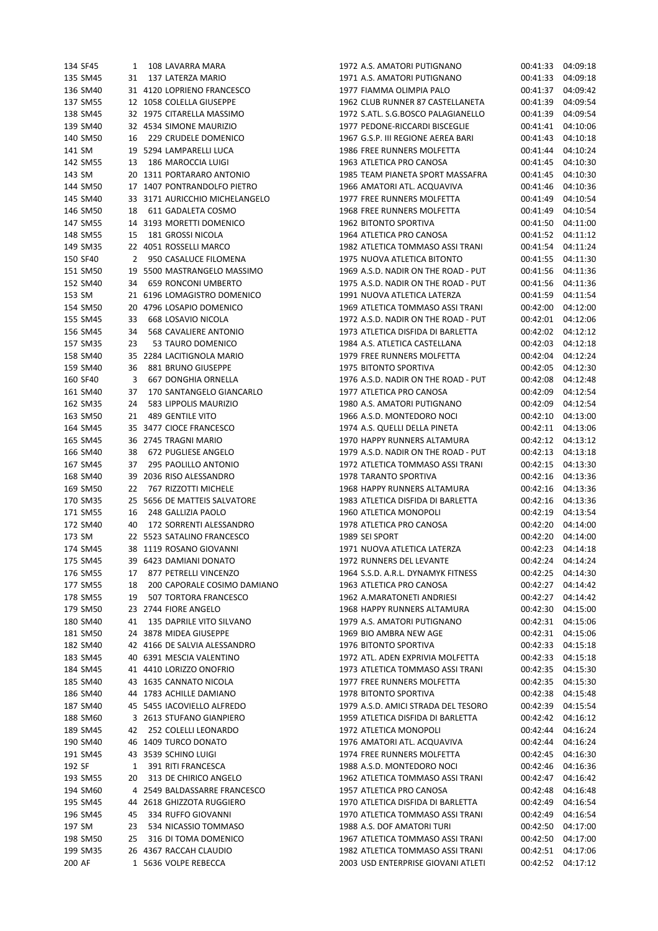| 134 SF45 | 1  | 108 LAVARRA MARA               | 1972 A.S. AMATORI PUTIGNANO         | 00:41:33<br>04:09:18 |  |
|----------|----|--------------------------------|-------------------------------------|----------------------|--|
| 135 SM45 | 31 | 137 LATERZA MARIO              | 1971 A.S. AMATORI PUTIGNANO         | 04:09:18<br>00:41:33 |  |
| 136 SM40 |    | 31 4120 LOPRIENO FRANCESCO     | 1977 FIAMMA OLIMPIA PALO            | 04:09:42<br>00:41:37 |  |
| 137 SM55 |    | 12 1058 COLELLA GIUSEPPE       | 1962 CLUB RUNNER 87 CASTELLANETA    | 04:09:54<br>00:41:39 |  |
| 138 SM45 |    | 32 1975 CITARELLA MASSIMO      | 1972 S.ATL. S.G.BOSCO PALAGIANELLO  | 04:09:54<br>00:41:39 |  |
| 139 SM40 |    | 32 4534 SIMONE MAURIZIO        | 1977 PEDONE-RICCARDI BISCEGLIE      | 04:10:06<br>00:41:41 |  |
| 140 SM50 | 16 | 229 CRUDELE DOMENICO           | 1967 G.S.P. III REGIONE AEREA BARI  | 04:10:18<br>00:41:43 |  |
| 141 SM   |    | 19 5294 LAMPARELLI LUCA        | 1986 FREE RUNNERS MOLFETTA          | 04:10:24<br>00:41:44 |  |
| 142 SM55 | 13 | 186 MAROCCIA LUIGI             | 1963 ATLETICA PRO CANOSA            | 00:41:45<br>04:10:30 |  |
|          |    |                                |                                     |                      |  |
| 143 SM   |    | 20 1311 PORTARARO ANTONIO      | 1985 TEAM PIANETA SPORT MASSAFRA    | 00:41:45<br>04:10:30 |  |
| 144 SM50 |    | 17 1407 PONTRANDOLFO PIETRO    | 1966 AMATORI ATL. ACQUAVIVA         | 04:10:36<br>00:41:46 |  |
| 145 SM40 |    | 33 3171 AURICCHIO MICHELANGELO | 1977 FREE RUNNERS MOLFETTA          | 04:10:54<br>00:41:49 |  |
| 146 SM50 | 18 | 611 GADALETA COSMO             | 1968 FREE RUNNERS MOLFETTA          | 04:10:54<br>00:41:49 |  |
| 147 SM55 |    | 14 3193 MORETTI DOMENICO       | 1962 BITONTO SPORTIVA               | 04:11:00<br>00:41:50 |  |
| 148 SM55 | 15 | 181 GROSSI NICOLA              | 1964 ATLETICA PRO CANOSA            | 04:11:12<br>00:41:52 |  |
| 149 SM35 |    | 22 4051 ROSSELLI MARCO         | 1982 ATLETICA TOMMASO ASSI TRANI    | 04:11:24<br>00:41:54 |  |
| 150 SF40 | 2  | 950 CASALUCE FILOMENA          | 1975 NUOVA ATLETICA BITONTO         | 04:11:30<br>00:41:55 |  |
| 151 SM50 |    | 19 5500 MASTRANGELO MASSIMO    | 1969 A.S.D. NADIR ON THE ROAD - PUT | 04:11:36<br>00:41:56 |  |
| 152 SM40 | 34 | 659 RONCONI UMBERTO            | 1975 A.S.D. NADIR ON THE ROAD - PUT | 04:11:36<br>00:41:56 |  |
| 153 SM   |    | 21 6196 LOMAGISTRO DOMENICO    | 1991 NUOVA ATLETICA LATERZA         | 00:41:59<br>04:11:54 |  |
| 154 SM50 |    | 20 4796 LOSAPIO DOMENICO       | 1969 ATLETICA TOMMASO ASSI TRANI    | 00:42:00<br>04:12:00 |  |
| 155 SM45 | 33 | 668 LOSAVIO NICOLA             | 1972 A.S.D. NADIR ON THE ROAD - PUT | 04:12:06<br>00:42:01 |  |
| 156 SM45 | 34 | 568 CAVALIERE ANTONIO          | 1973 ATLETICA DISFIDA DI BARLETTA   | 04:12:12<br>00:42:02 |  |
| 157 SM35 | 23 | 53 TAURO DOMENICO              | 1984 A.S. ATLETICA CASTELLANA       | 04:12:18<br>00:42:03 |  |
| 158 SM40 |    | 35 2284 LACITIGNOLA MARIO      | 1979 FREE RUNNERS MOLFETTA          | 00:42:04<br>04:12:24 |  |
| 159 SM40 | 36 | 881 BRUNO GIUSEPPE             | 1975 BITONTO SPORTIVA               | 04:12:30<br>00:42:05 |  |
| 160 SF40 | 3  | <b>667 DONGHIA ORNELLA</b>     | 1976 A.S.D. NADIR ON THE ROAD - PUT | 04:12:48<br>00:42:08 |  |
|          |    |                                |                                     |                      |  |
| 161 SM40 | 37 | 170 SANTANGELO GIANCARLO       | 1977 ATLETICA PRO CANOSA            | 04:12:54<br>00:42:09 |  |
| 162 SM35 | 24 | 583 LIPPOLIS MAURIZIO          | 1980 A.S. AMATORI PUTIGNANO         | 00:42:09<br>04:12:54 |  |
| 163 SM50 | 21 | 489 GENTILE VITO               | 1966 A.S.D. MONTEDORO NOCI          | 04:13:00<br>00:42:10 |  |
| 164 SM45 |    | 35 3477 CIOCE FRANCESCO        | 1974 A.S. QUELLI DELLA PINETA       | 00:42:11<br>04:13:06 |  |
| 165 SM45 |    | 36 2745 TRAGNI MARIO           | 1970 HAPPY RUNNERS ALTAMURA         | 00:42:12<br>04:13:12 |  |
| 166 SM40 | 38 | 672 PUGLIESE ANGELO            | 1979 A.S.D. NADIR ON THE ROAD - PUT | 04:13:18<br>00:42:13 |  |
| 167 SM45 | 37 | 295 PAOLILLO ANTONIO           | 1972 ATLETICA TOMMASO ASSI TRANI    | 04:13:30<br>00:42:15 |  |
| 168 SM40 |    | 39 2036 RISO ALESSANDRO        | 1978 TARANTO SPORTIVA               | 00:42:16<br>04:13:36 |  |
| 169 SM50 | 22 | 767 RIZZOTTI MICHELE           | 1968 HAPPY RUNNERS ALTAMURA         | 00:42:16<br>04:13:36 |  |
| 170 SM35 |    | 25 5656 DE MATTEIS SALVATORE   | 1983 ATLETICA DISFIDA DI BARLETTA   | 00:42:16<br>04:13:36 |  |
| 171 SM55 | 16 | 248 GALLIZIA PAOLO             | 1960 ATLETICA MONOPOLI              | 04:13:54<br>00:42:19 |  |
| 172 SM40 | 40 | 172 SORRENTI ALESSANDRO        | 1978 ATLETICA PRO CANOSA            | 04:14:00<br>00:42:20 |  |
| 173 SM   |    | 22 5523 SATALINO FRANCESCO     | 1989 SEI SPORT                      | 00:42:20<br>04:14:00 |  |
| 174 SM45 |    | 38 1119 ROSANO GIOVANNI        | 1971 NUOVA ATLETICA LATERZA         | 00:42:23<br>04:14:18 |  |
| 175 SM45 |    | 39 6423 DAMIANI DONATO         | 1972 RUNNERS DEL LEVANTE            | 00:42:24<br>04:14:24 |  |
| 176 SM55 | 17 | 877 PETRELLI VINCENZO          | 1964 S.S.D. A.R.L. DYNAMYK FITNESS  | 00:42:25<br>04:14:30 |  |
| 177 SM55 | 18 | 200 CAPORALE COSIMO DAMIANO    | 1963 ATLETICA PRO CANOSA            | 04:14:42<br>00:42:27 |  |
| 178 SM55 | 19 | 507 TORTORA FRANCESCO          | 1962 A.MARATONETI ANDRIESI          | 04:14:42<br>00:42:27 |  |
| 179 SM50 |    | 23 2744 FIORE ANGELO           | 1968 HAPPY RUNNERS ALTAMURA         | 04:15:00<br>00:42:30 |  |
| 180 SM40 | 41 | 135 DAPRILE VITO SILVANO       | 1979 A.S. AMATORI PUTIGNANO         | 04:15:06<br>00:42:31 |  |
| 181 SM50 |    | 24 3878 MIDEA GIUSEPPE         | 1969 BIO AMBRA NEW AGE              | 00:42:31<br>04:15:06 |  |
| 182 SM40 |    | 42 4166 DE SALVIA ALESSANDRO   | 1976 BITONTO SPORTIVA               | 00:42:33<br>04:15:18 |  |
|          |    |                                |                                     |                      |  |
| 183 SM45 |    | 40 6391 MESCIA VALENTINO       | 1972 ATL. ADEN EXPRIVIA MOLFETTA    | 00:42:33<br>04:15:18 |  |
| 184 SM45 |    | 41 4410 LORIZZO ONOFRIO        | 1973 ATLETICA TOMMASO ASSI TRANI    | 00:42:35<br>04:15:30 |  |
| 185 SM40 |    | 43 1635 CANNATO NICOLA         | 1977 FREE RUNNERS MOLFETTA          | 04:15:30<br>00:42:35 |  |
| 186 SM40 |    | 44 1783 ACHILLE DAMIANO        | 1978 BITONTO SPORTIVA               | 04:15:48<br>00:42:38 |  |
| 187 SM40 |    | 45 5455 IACOVIELLO ALFREDO     | 1979 A.S.D. AMICI STRADA DEL TESORO | 00:42:39<br>04:15:54 |  |
| 188 SM60 |    | 3 2613 STUFANO GIANPIERO       | 1959 ATLETICA DISFIDA DI BARLETTA   | 00:42:42<br>04:16:12 |  |
| 189 SM45 | 42 | 252 COLELLI LEONARDO           | 1972 ATLETICA MONOPOLI              | 04:16:24<br>00:42:44 |  |
| 190 SM40 |    | 46 1409 TURCO DONATO           | 1976 AMATORI ATL. ACQUAVIVA         | 00:42:44<br>04:16:24 |  |
| 191 SM45 |    | 43 3539 SCHINO LUIGI           | 1974 FREE RUNNERS MOLFETTA          | 04:16:30<br>00:42:45 |  |
| 192 SF   | 1  | 391 RITI FRANCESCA             | 1988 A.S.D. MONTEDORO NOCI          | 00:42:46<br>04:16:36 |  |
| 193 SM55 | 20 | 313 DE CHIRICO ANGELO          | 1962 ATLETICA TOMMASO ASSI TRANI    | 00:42:47<br>04:16:42 |  |
| 194 SM60 |    | 4 2549 BALDASSARRE FRANCESCO   | 1957 ATLETICA PRO CANOSA            | 04:16:48<br>00:42:48 |  |
| 195 SM45 |    | 44 2618 GHIZZOTA RUGGIERO      | 1970 ATLETICA DISFIDA DI BARLETTA   | 04:16:54<br>00:42:49 |  |
| 196 SM45 | 45 | 334 RUFFO GIOVANNI             | 1970 ATLETICA TOMMASO ASSI TRANI    | 00:42:49<br>04:16:54 |  |
| 197 SM   | 23 | 534 NICASSIO TOMMASO           | 1988 A.S. DOF AMATORI TURI          | 04:17:00<br>00:42:50 |  |
| 198 SM50 | 25 | 316 DI TOMA DOMENICO           | 1967 ATLETICA TOMMASO ASSI TRANI    | 00:42:50<br>04:17:00 |  |
| 199 SM35 |    | 26 4367 RACCAH CLAUDIO         | 1982 ATLETICA TOMMASO ASSI TRANI    | 00:42:51<br>04:17:06 |  |
| 200 AF   |    | 1 5636 VOLPE REBECCA           | 2003 USD ENTERPRISE GIOVANI ATLETI  | 04:17:12<br>00:42:52 |  |
|          |    |                                |                                     |                      |  |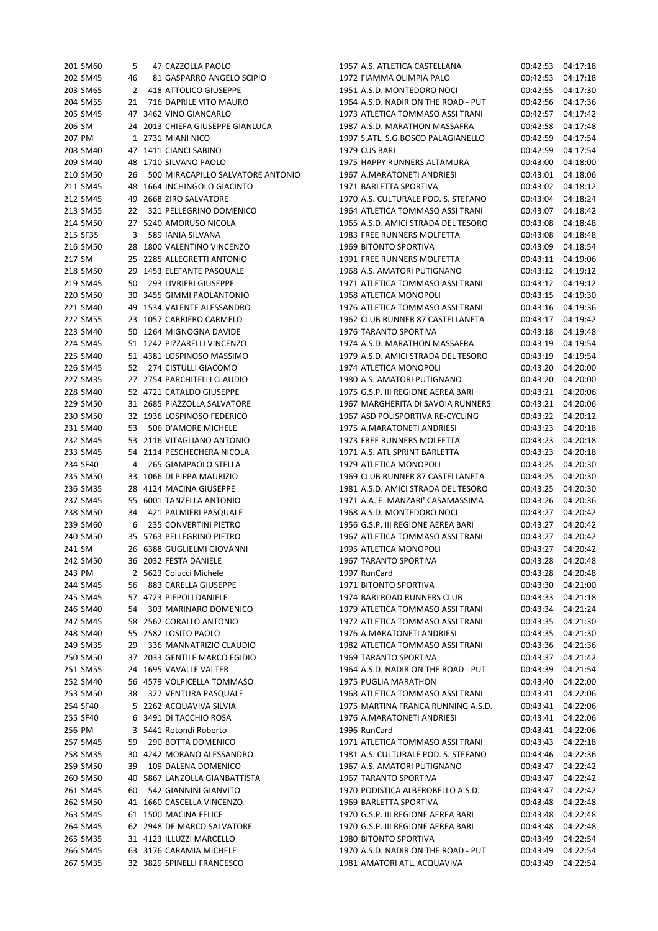|        | 201 SM60 |                         | $5 -$ | 47 CAZZOLLA PAOLO                    |
|--------|----------|-------------------------|-------|--------------------------------------|
|        | 202 SM45 |                         |       | 46 81 GASPARRO ANGELO SCIPIO         |
|        | 203 SM65 |                         |       | 2 418 ATTOLICO GIUSEPPE              |
|        | 204 SM55 |                         |       | 21 716 DAPRILE VITO MAURO            |
|        | 205 SM45 |                         |       | 47 3462 VINO GIANCARLO               |
| 206 SM |          |                         |       | 24 2013 CHIEFA GIUSEPPE GIANLUCA     |
|        | 207 PM   | 1                       |       | 2731 MIANI NICO                      |
|        | 208 SM40 | 47                      |       | 1411 CIANCI SABINO                   |
|        | 209 SM40 | 48                      |       | 1710 SILVANO PAOLO                   |
|        | 210 SM50 |                         |       | 26 500 MIRACAPILLO SALVATORE ANTONIO |
|        | 211 SM45 | 48                      |       | 1664 INCHINGOLO GIACINTO             |
|        | 212 SM45 |                         |       | 49 2668 ZIRO SALVATORE               |
|        | 213 SM55 | 22                      |       | 321 PELLEGRINO DOMENICO              |
|        | 214 SM50 |                         |       | 27 5240 AMORUSO NICOLA               |
|        | 215 SF35 | $\overline{\mathbf{3}}$ |       | 589 IANIA SILVANA                    |
|        | 216 SM50 |                         |       | 28 1800 VALENTINO VINCENZO           |
| 217 SM |          |                         |       | 25 2285 ALLEGRETTI ANTONIO           |
|        | 218 SM50 |                         |       | 29 1453 ELEFANTE PASQUALE            |
|        | 219 SM45 |                         |       | 50 293 LIVRIERI GIUSEPPE             |
|        | 220 SM50 |                         |       | 30 3455 GIMMI PAOLANTONIO            |
|        | 221 SM40 |                         |       | 49 1534 VALENTE ALESSANDRO           |
|        | 222 SM55 | 23                      |       | 1057 CARRIERO CARMELO                |
|        | 223 SM40 |                         |       | 50 1264 MIGNOGNA DAVIDE              |
|        | 224 SM45 |                         |       | 51 1242 PIZZARELLI VINCENZO          |
|        | 225 SM40 |                         |       | 51 4381 LOSPINOSO MASSIMO            |
|        | 226 SM45 |                         |       | 52 274 CISTULLI GIACOMO              |
|        | 227 SM35 | 27                      |       | 2754 PARCHITELLI CLAUDIO             |
|        | 228 SM40 |                         |       | 52 4721 CATALDO GIUSEPPE             |
|        | 229 SM50 |                         |       | 31 2685 PIAZZOLLA SALVATORE          |
|        | 230 SM50 |                         |       | 32 1936 LOSPINOSO FEDERICO           |
|        | 231 SM40 |                         |       | 53 506 D'AMORE MICHELE               |
|        | 232 SM45 |                         |       | 53 2116 VITAGLIANO ANTONIO           |
|        | 233 SM45 |                         |       | 54 2114 PESCHECHERA NICOLA           |
|        | 234 SF40 |                         |       | 4 265 GIAMPAOLO STELLA               |
|        | 235 SM50 | 33                      |       | 1066 DI PIPPA MAURIZIO               |
|        | 236 SM35 |                         |       | 28 4124 MACINA GIUSEPPE              |
|        | 237 SM45 |                         |       | 55 6001 TANZELLA ANTONIO             |
|        | 238 SM50 | 34                      |       | 421 PALMIERI PASQUALE                |
|        | 239 SM60 |                         |       | 6 235 CONVERTINI PIETRO              |
|        | 240 SM50 |                         |       | 35 5763 PELLEGRINO PIETRO            |
| 241 SM |          |                         |       | 26 6388 GUGLIELMI GIOVANNI           |
|        | 242 SM50 |                         |       | 36 2032 FESTA DANIELE                |
|        | 243 PM   |                         |       | 2 5623 Colucci Michele               |
|        | 244 SM45 | 56                      |       | 883 CARELLA GIUSEPPE                 |
|        | 245 SM45 |                         |       | 57 4723 PIEPOLI DANIELE              |
|        | 246 SM40 | 54                      |       | 303 MARINARO DOMENICO                |
|        | 247 SM45 |                         |       | 58 2562 CORALLO ANTONIO              |
|        | 248 SM40 |                         |       | 55 2582 LOSITO PAOLO                 |
|        | 249 SM35 |                         |       | 29 336 MANNATRIZIO CLAUDIO           |
|        | 250 SM50 | 37                      |       | 2033 GENTILE MARCO EGIDIO            |
|        | 251 SM55 |                         |       | 24 1695 VAVALLE VALTER               |
|        | 252 SM40 |                         |       | 56 4579 VOLPICELLA TOMMASO           |
|        | 253 SM50 |                         |       | 38 327 VENTURA PASQUALE              |
|        | 254 SF40 |                         |       | 5 2262 ACQUAVIVA SILVIA              |
|        |          |                         |       | 3491 DI TACCHIO ROSA                 |
|        | 255 SF40 | 6                       |       |                                      |
| 256 PM |          |                         |       | 3 5441 Rotondi Roberto               |
|        | 257 SM45 | 59                      |       | 290 BOTTA DOMENICO                   |
|        | 258 SM35 |                         |       | 30 4242 MORANO ALESSANDRO            |
|        | 259 SM50 | 39                      |       | 109 DALENA DOMENICO                  |
|        | 260 SM50 |                         |       | 40 5867 LANZOLLA GIANBATTISTA        |
|        | 261 SM45 | 60                      |       | 542 GIANNINI GIANVITO                |
|        | 262 SM50 |                         |       | 41 1660 CASCELLA VINCENZO            |
|        | 263 SM45 | 61                      |       | 1500 MACINA FELICE                   |
|        | 264 SM45 |                         |       | 62 2948 DE MARCO SALVATORE           |
|        | 265 SM35 |                         |       | 31 4123 ILLUZZI MARCELLO             |
|        | 266 SM45 |                         |       | 63 3176 CARAMIA MICHELE              |
|        | 267 SM35 |                         |       | 32 3829 SPINELLI FRANCESCO           |

| 201 SM60             | 5  | 47 CAZZOLLA PAOLO                 | 1957 A.S. ATLETICA CASTELLANA                                    | 00:42:53 | 04:17:18 |
|----------------------|----|-----------------------------------|------------------------------------------------------------------|----------|----------|
| 202 SM45             | 46 | 81 GASPARRO ANGELO SCIPIO         | 1972 FIAMMA OLIMPIA PALO                                         | 00:42:53 | 04:17:18 |
| 203 SM65             | 2  | 418 ATTOLICO GIUSEPPE             | 1951 A.S.D. MONTEDORO NOCI                                       | 00:42:55 | 04:17:30 |
| 204 SM55             | 21 | 716 DAPRILE VITO MAURO            | 1964 A.S.D. NADIR ON THE ROAD - PUT                              | 00:42:56 | 04:17:36 |
| 205 SM45             |    | 47 3462 VINO GIANCARLO            | 1973 ATLETICA TOMMASO ASSI TRANI                                 | 00:42:57 | 04:17:42 |
| 206 SM               |    | 24 2013 CHIEFA GIUSEPPE GIANLUCA  | 1987 A.S.D. MARATHON MASSAFRA                                    | 00:42:58 | 04:17:48 |
| 207 PM               |    | 1 2731 MIANI NICO                 | 1997 S.ATL. S.G.BOSCO PALAGIANELLO                               | 00:42:59 | 04:17:54 |
| 208 SM40             |    | 47 1411 CIANCI SABINO             | 1979 CUS BARI                                                    | 00:42:59 | 04:17:54 |
| 209 SM40             |    | 48 1710 SILVANO PAOLO             | 1975 HAPPY RUNNERS ALTAMURA                                      | 00:43:00 | 04:18:00 |
| 210 SM50             | 26 | 500 MIRACAPILLO SALVATORE ANTONIO | 1967 A.MARATONETI ANDRIESI                                       | 00:43:01 | 04:18:06 |
| 211 SM45             |    | 48 1664 INCHINGOLO GIACINTO       | 1971 BARLETTA SPORTIVA                                           | 00:43:02 | 04:18:12 |
| 212 SM45             |    | 49 2668 ZIRO SALVATORE            | 1970 A.S. CULTURALE POD. S. STEFANO                              | 00:43:04 | 04:18:24 |
| 213 SM55             | 22 | 321 PELLEGRINO DOMENICO           | 1964 ATLETICA TOMMASO ASSI TRANI                                 | 00:43:07 | 04:18:42 |
| 214 SM50             |    | 27 5240 AMORUSO NICOLA            | 1965 A.S.D. AMICI STRADA DEL TESORO                              | 00:43:08 | 04:18:48 |
| 215 SF35             | 3  | 589 IANIA SILVANA                 | 1983 FREE RUNNERS MOLFETTA                                       | 00:43:08 | 04:18:48 |
| 216 SM50             |    | 28 1800 VALENTINO VINCENZO        | 1969 BITONTO SPORTIVA                                            | 00:43:09 | 04:18:54 |
|                      |    |                                   |                                                                  |          |          |
| 217 SM               |    | 25 2285 ALLEGRETTI ANTONIO        | 1991 FREE RUNNERS MOLFETTA                                       | 00:43:11 | 04:19:06 |
| 218 SM50             |    | 29 1453 ELEFANTE PASQUALE         | 1968 A.S. AMATORI PUTIGNANO                                      | 00:43:12 | 04:19:12 |
| 219 SM45             | 50 | 293 LIVRIERI GIUSEPPE             | 1971 ATLETICA TOMMASO ASSI TRANI                                 | 00:43:12 | 04:19:12 |
| 220 SM50             |    | 30 3455 GIMMI PAOLANTONIO         | 1968 ATLETICA MONOPOLI                                           | 00:43:15 | 04:19:30 |
| 221 SM40             |    | 49 1534 VALENTE ALESSANDRO        | 1976 ATLETICA TOMMASO ASSI TRANI                                 | 00:43:16 | 04:19:36 |
| 222 SM55             |    | 23 1057 CARRIERO CARMELO          | 1962 CLUB RUNNER 87 CASTELLANETA                                 | 00:43:17 | 04:19:42 |
| 223 SM40             |    | 50 1264 MIGNOGNA DAVIDE           | 1976 TARANTO SPORTIVA                                            | 00:43:18 | 04:19:48 |
| 224 SM45             |    | 51 1242 PIZZARELLI VINCENZO       | 1974 A.S.D. MARATHON MASSAFRA                                    | 00:43:19 | 04:19:54 |
| 225 SM40             |    | 51 4381 LOSPINOSO MASSIMO         | 1979 A.S.D. AMICI STRADA DEL TESORO                              | 00:43:19 | 04:19:54 |
| 226 SM45             | 52 | 274 CISTULLI GIACOMO              | 1974 ATLETICA MONOPOLI                                           | 00:43:20 | 04:20:00 |
| 227 SM35             |    | 27 2754 PARCHITELLI CLAUDIO       | 1980 A.S. AMATORI PUTIGNANO                                      | 00:43:20 | 04:20:00 |
| 228 SM40             |    | 52 4721 CATALDO GIUSEPPE          | 1975 G.S.P. III REGIONE AEREA BARI                               | 00:43:21 | 04:20:06 |
| 229 SM50             |    | 31 2685 PIAZZOLLA SALVATORE       | 1967 MARGHERITA DI SAVOIA RUNNERS                                | 00:43:21 | 04:20:06 |
| 230 SM50             |    | 32 1936 LOSPINOSO FEDERICO        | 1967 ASD POLISPORTIVA RE-CYCLING                                 | 00:43:22 | 04:20:12 |
| 231 SM40             | 53 | 506 D'AMORE MICHELE               | 1975 A.MARATONETI ANDRIESI                                       | 00:43:23 | 04:20:18 |
| 232 SM45             |    | 53 2116 VITAGLIANO ANTONIO        | 1973 FREE RUNNERS MOLFETTA                                       | 00:43:23 | 04:20:18 |
| 233 SM45             |    | 54 2114 PESCHECHERA NICOLA        | 1971 A.S. ATL SPRINT BARLETTA                                    | 00:43:23 | 04:20:18 |
| 234 SF40             | 4  | 265 GIAMPAOLO STELLA              | 1979 ATLETICA MONOPOLI                                           | 00:43:25 | 04:20:30 |
| 235 SM50             |    | 33 1066 DI PIPPA MAURIZIO         | 1969 CLUB RUNNER 87 CASTELLANETA                                 | 00:43:25 | 04:20:30 |
| 236 SM35             |    | 28 4124 MACINA GIUSEPPE           | 1981 A.S.D. AMICI STRADA DEL TESORO                              | 00:43:25 | 04:20:30 |
| 237 SM45             |    | 55 6001 TANZELLA ANTONIO          | 1971 A.A.'E. MANZARI' CASAMASSIMA                                | 00:43:26 | 04:20:36 |
| 238 SM50             | 34 | 421 PALMIERI PASQUALE             | 1968 A.S.D. MONTEDORO NOCI                                       | 00:43:27 | 04:20:42 |
| 239 SM60             | 6  | 235 CONVERTINI PIETRO             | 1956 G.S.P. III REGIONE AEREA BARI                               | 00:43:27 | 04:20:42 |
| 240 SM50             |    | 35 5763 PELLEGRINO PIETRO         | 1967 ATLETICA TOMMASO ASSI TRANI                                 | 00:43:27 | 04:20:42 |
| 241 SM               |    | 26 6388 GUGLIELMI GIOVANNI        | 1995 ATLETICA MONOPOLI                                           | 00:43:27 | 04:20:42 |
| 242 SM50             |    | 36 2032 FESTA DANIELE             | 1967 TARANTO SPORTIVA                                            | 00:43:28 | 04:20:48 |
| 243 PM               |    | 2 5623 Colucci Michele            | 1997 RunCard                                                     | 00:43:28 | 04:20:48 |
| 244 SM45             | 56 | 883 CARELLA GIUSEPPE              | 1971 BITONTO SPORTIVA                                            | 00:43:30 | 04:21:00 |
| 245 SM45             |    | 57 4723 PIEPOLI DANIELE           | 1974 BARI ROAD RUNNERS CLUB                                      | 00:43:33 | 04:21:18 |
| 246 SM40             | 54 | 303 MARINARO DOMENICO             | 1979 ATLETICA TOMMASO ASSI TRANI                                 | 00:43:34 | 04:21:24 |
| 247 SM45             |    | 58 2562 CORALLO ANTONIO           | 1972 ATLETICA TOMMASO ASSI TRANI                                 | 00:43:35 | 04:21:30 |
| 248 SM40             |    | 55 2582 LOSITO PAOLO              | 1976 A.MARATONETI ANDRIESI                                       | 00:43:35 | 04:21:30 |
| 249 SM35             | 29 | 336 MANNATRIZIO CLAUDIO           | 1982 ATLETICA TOMMASO ASSI TRANI                                 | 00:43:36 | 04:21:36 |
| 250 SM50             |    | 37 2033 GENTILE MARCO EGIDIO      | 1969 TARANTO SPORTIVA                                            | 00:43:37 | 04:21:42 |
| 251 SM55             |    | 24 1695 VAVALLE VALTER            | 1964 A.S.D. NADIR ON THE ROAD - PUT                              | 00:43:39 | 04:21:54 |
| 252 SM40             |    | 56 4579 VOLPICELLA TOMMASO        | 1975 PUGLIA MARATHON                                             | 00:43:40 | 04:22:00 |
| 253 SM50             | 38 |                                   | 1968 ATLETICA TOMMASO ASSI TRANI                                 | 00:43:41 | 04:22:06 |
|                      |    | 327 VENTURA PASQUALE              |                                                                  |          |          |
| 254 SF40<br>255 SF40 |    | 5 2262 ACQUAVIVA SILVIA           | 1975 MARTINA FRANCA RUNNING A.S.D.<br>1976 A.MARATONETI ANDRIESI | 00:43:41 | 04:22:06 |
|                      |    | 6 3491 DI TACCHIO ROSA            |                                                                  | 00:43:41 | 04:22:06 |
| 256 PM               |    | 3 5441 Rotondi Roberto            | 1996 RunCard                                                     | 00:43:41 | 04:22:06 |
| 257 SM45             | 59 | 290 BOTTA DOMENICO                | 1971 ATLETICA TOMMASO ASSI TRANI                                 | 00:43:43 | 04:22:18 |
| 258 SM35             |    | 30 4242 MORANO ALESSANDRO         | 1981 A.S. CULTURALE POD. S. STEFANO                              | 00:43:46 | 04:22:36 |
| 259 SM50             | 39 | 109 DALENA DOMENICO               | 1967 A.S. AMATORI PUTIGNANO                                      | 00:43:47 | 04:22:42 |
| 260 SM50             |    | 40 5867 LANZOLLA GIANBATTISTA     | 1967 TARANTO SPORTIVA                                            | 00:43:47 | 04:22:42 |
| 261 SM45             | 60 | 542 GIANNINI GIANVITO             | 1970 PODISTICA ALBEROBELLO A.S.D.                                | 00:43:47 | 04:22:42 |
| 262 SM50             |    | 41 1660 CASCELLA VINCENZO         | 1969 BARLETTA SPORTIVA                                           | 00:43:48 | 04:22:48 |
| 263 SM45             |    | 61 1500 MACINA FELICE             | 1970 G.S.P. III REGIONE AEREA BARI                               | 00:43:48 | 04:22:48 |
| 264 SM45             |    | 62 2948 DE MARCO SALVATORE        | 1970 G.S.P. III REGIONE AEREA BARI                               | 00:43:48 | 04:22:48 |
| 265 SM35             |    | 31 4123 ILLUZZI MARCELLO          | 1980 BITONTO SPORTIVA                                            | 00:43:49 | 04:22:54 |
| 266 SM45             |    | 63 3176 CARAMIA MICHELE           | 1970 A.S.D. NADIR ON THE ROAD - PUT                              | 00:43:49 | 04:22:54 |
| 267 SM35             |    | 32 3829 SPINELLI FRANCESCO        | 1981 AMATORI ATL. ACQUAVIVA                                      | 00:43:49 | 04:22:54 |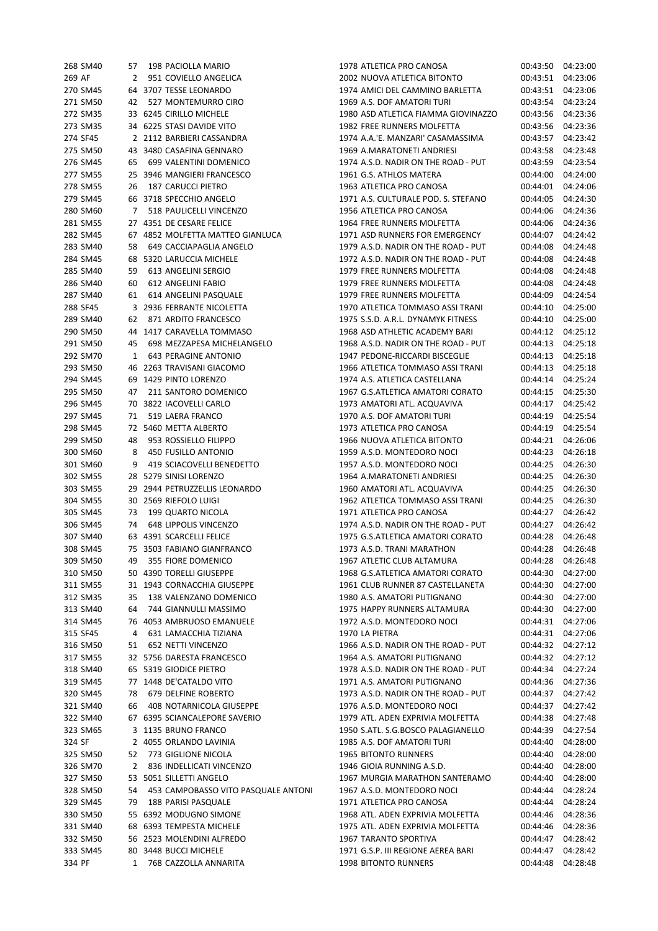|          |    |                                     |                                     | 00:43:50 |          |
|----------|----|-------------------------------------|-------------------------------------|----------|----------|
| 268 SM40 |    | 57 198 PACIOLLA MARIO               | 1978 ATLETICA PRO CANOSA            |          | 04:23:00 |
| 269 AF   | 2  | 951 COVIELLO ANGELICA               | 2002 NUOVA ATLETICA BITONTO         | 00:43:51 | 04:23:06 |
| 270 SM45 |    | 64 3707 TESSE LEONARDO              | 1974 AMICI DEL CAMMINO BARLETTA     | 00:43:51 | 04:23:06 |
| 271 SM50 | 42 | 527 MONTEMURRO CIRO                 | 1969 A.S. DOF AMATORI TURI          | 00:43:54 | 04:23:24 |
| 272 SM35 |    | 33 6245 CIRILLO MICHELE             | 1980 ASD ATLETICA FIAMMA GIOVINAZZO | 00:43:56 | 04:23:36 |
| 273 SM35 |    | 34 6225 STASI DAVIDE VITO           | 1982 FREE RUNNERS MOLFETTA          | 00:43:56 | 04:23:36 |
| 274 SF45 |    | 2 2112 BARBIERI CASSANDRA           | 1974 A.A.'E. MANZARI' CASAMASSIMA   | 00:43:57 | 04:23:42 |
| 275 SM50 |    | 43 3480 CASAFINA GENNARO            | 1969 A.MARATONETI ANDRIESI          | 00:43:58 | 04:23:48 |
| 276 SM45 | 65 | 699 VALENTINI DOMENICO              | 1974 A.S.D. NADIR ON THE ROAD - PUT | 00:43:59 | 04:23:54 |
|          |    | 25 3946 MANGIERI FRANCESCO          |                                     |          |          |
| 277 SM55 |    |                                     | 1961 G.S. ATHLOS MATERA             | 00:44:00 | 04:24:00 |
| 278 SM55 | 26 | <b>187 CARUCCI PIETRO</b>           | 1963 ATLETICA PRO CANOSA            | 00:44:01 | 04:24:06 |
| 279 SM45 |    | 66 3718 SPECCHIO ANGELO             | 1971 A.S. CULTURALE POD. S. STEFANO | 00:44:05 | 04:24:30 |
| 280 SM60 |    | 7 518 PAULICELLI VINCENZO           | 1956 ATLETICA PRO CANOSA            | 00:44:06 | 04:24:36 |
| 281 SM55 |    | 27 4351 DE CESARE FELICE            | 1964 FREE RUNNERS MOLFETTA          | 00:44:06 | 04:24:36 |
| 282 SM45 |    | 67 4852 MOLFETTA MATTEO GIANLUCA    | 1971 ASD RUNNERS FOR EMERGENCY      | 00:44:07 | 04:24:42 |
| 283 SM40 | 58 | 649 CACCIAPAGLIA ANGELO             | 1979 A.S.D. NADIR ON THE ROAD - PUT | 00:44:08 | 04:24:48 |
| 284 SM45 |    | 68 5320 LARUCCIA MICHELE            | 1972 A.S.D. NADIR ON THE ROAD - PUT | 00:44:08 | 04:24:48 |
| 285 SM40 | 59 | 613 ANGELINI SERGIO                 | 1979 FREE RUNNERS MOLFETTA          | 00:44:08 | 04:24:48 |
| 286 SM40 | 60 | 612 ANGELINI FABIO                  | 1979 FREE RUNNERS MOLFETTA          | 00:44:08 | 04:24:48 |
| 287 SM40 |    |                                     |                                     |          | 04:24:54 |
|          | 61 | 614 ANGELINI PASQUALE               | 1979 FREE RUNNERS MOLFETTA          | 00:44:09 |          |
| 288 SF45 |    | 3 2936 FERRANTE NICOLETTA           | 1970 ATLETICA TOMMASO ASSI TRANI    | 00:44:10 | 04:25:00 |
| 289 SM40 | 62 | 871 ARDITO FRANCESCO                | 1975 S.S.D. A.R.L. DYNAMYK FITNESS  | 00:44:10 | 04:25:00 |
| 290 SM50 |    | 44 1417 CARAVELLA TOMMASO           | 1968 ASD ATHLETIC ACADEMY BARI      | 00:44:12 | 04:25:12 |
| 291 SM50 | 45 | 698 MEZZAPESA MICHELANGELO          | 1968 A.S.D. NADIR ON THE ROAD - PUT | 00:44:13 | 04:25:18 |
| 292 SM70 | 1  | <b>643 PERAGINE ANTONIO</b>         | 1947 PEDONE-RICCARDI BISCEGLIE      | 00:44:13 | 04:25:18 |
| 293 SM50 |    | 46 2263 TRAVISANI GIACOMO           | 1966 ATLETICA TOMMASO ASSI TRANI    | 00:44:13 | 04:25:18 |
| 294 SM45 |    | 69 1429 PINTO LORENZO               | 1974 A.S. ATLETICA CASTELLANA       | 00:44:14 | 04:25:24 |
| 295 SM50 | 47 | 211 SANTORO DOMENICO                | 1967 G.S.ATLETICA AMATORI CORATO    | 00:44:15 | 04:25:30 |
| 296 SM45 |    | 70 3822 IACOVELLI CARLO             | 1973 AMATORI ATL. ACQUAVIVA         | 00:44:17 | 04:25:42 |
|          |    |                                     |                                     |          |          |
| 297 SM45 | 71 | 519 LAERA FRANCO                    | 1970 A.S. DOF AMATORI TURI          | 00:44:19 | 04:25:54 |
| 298 SM45 |    | 72 5460 METTA ALBERTO               | 1973 ATLETICA PRO CANOSA            | 00:44:19 | 04:25:54 |
| 299 SM50 | 48 | 953 ROSSIELLO FILIPPO               | 1966 NUOVA ATLETICA BITONTO         | 00:44:21 | 04:26:06 |
| 300 SM60 | 8  | 450 FUSILLO ANTONIO                 | 1959 A.S.D. MONTEDORO NOCI          | 00:44:23 | 04:26:18 |
| 301 SM60 | 9  | 419 SCIACOVELLI BENEDETTO           | 1957 A.S.D. MONTEDORO NOCI          | 00:44:25 | 04:26:30 |
| 302 SM55 |    | 28 5279 SINISI LORENZO              | 1964 A.MARATONETI ANDRIESI          | 00:44:25 | 04:26:30 |
| 303 SM55 |    | 29 2944 PETRUZZELLIS LEONARDO       | 1960 AMATORI ATL. ACQUAVIVA         | 00:44:25 | 04:26:30 |
| 304 SM55 |    | 30 2569 RIEFOLO LUIGI               | 1962 ATLETICA TOMMASO ASSI TRANI    | 00:44:25 | 04:26:30 |
| 305 SM45 | 73 | 199 QUARTO NICOLA                   | 1971 ATLETICA PRO CANOSA            | 00:44:27 | 04:26:42 |
|          |    |                                     |                                     |          |          |
| 306 SM45 | 74 | <b>648 LIPPOLIS VINCENZO</b>        | 1974 A.S.D. NADIR ON THE ROAD - PUT | 00:44:27 | 04:26:42 |
| 307 SM40 |    | 63 4391 SCARCELLI FELICE            | 1975 G.S.ATLETICA AMATORI CORATO    | 00:44:28 | 04:26:48 |
| 308 SM45 |    | 75 3503 FABIANO GIANFRANCO          | 1973 A.S.D. TRANI MARATHON          | 00:44:28 | 04:26:48 |
| 309 SM50 | 49 | 355 FIORE DOMENICO                  | 1967 ATLETIC CLUB ALTAMURA          | 00:44:28 | 04:26:48 |
| 310 SM50 |    | 50 4390 TORELLI GIUSEPPE            | 1968 G.S.ATLETICA AMATORI CORATO    | 00:44:30 | 04:27:00 |
| 311 SM55 |    | 31 1943 CORNACCHIA GIUSEPPE         | 1961 CLUB RUNNER 87 CASTELLANETA    | 00:44:30 | 04:27:00 |
| 312 SM35 | 35 | 138 VALENZANO DOMENICO              | 1980 A.S. AMATORI PUTIGNANO         | 00:44:30 | 04:27:00 |
| 313 SM40 | 64 | 744 GIANNULLI MASSIMO               | 1975 HAPPY RUNNERS ALTAMURA         | 00:44:30 | 04:27:00 |
| 314 SM45 |    | 76 4053 AMBRUOSO EMANUELE           | 1972 A.S.D. MONTEDORO NOCI          | 00:44:31 | 04:27:06 |
| 315 SF45 | 4  | 631 LAMACCHIA TIZIANA               | 1970 LA PIETRA                      | 00:44:31 | 04:27:06 |
|          |    |                                     |                                     | 00:44:32 |          |
| 316 SM50 | 51 | 652 NETTI VINCENZO                  | 1966 A.S.D. NADIR ON THE ROAD - PUT |          | 04:27:12 |
| 317 SM55 |    | 32 5756 DARESTA FRANCESCO           | 1964 A.S. AMATORI PUTIGNANO         | 00:44:32 | 04:27:12 |
| 318 SM40 |    | 65 5319 GIODICE PIETRO              | 1978 A.S.D. NADIR ON THE ROAD - PUT | 00:44:34 | 04:27:24 |
| 319 SM45 |    | 77 1448 DE'CATALDO VITO             | 1971 A.S. AMATORI PUTIGNANO         | 00:44:36 | 04:27:36 |
| 320 SM45 | 78 | 679 DELFINE ROBERTO                 | 1973 A.S.D. NADIR ON THE ROAD - PUT | 00:44:37 | 04:27:42 |
| 321 SM40 | 66 | 408 NOTARNICOLA GIUSEPPE            | 1976 A.S.D. MONTEDORO NOCI          | 00:44:37 | 04:27:42 |
| 322 SM40 |    | 67 6395 SCIANCALEPORE SAVERIO       | 1979 ATL. ADEN EXPRIVIA MOLFETTA    | 00:44:38 | 04:27:48 |
| 323 SM65 |    | 3 1135 BRUNO FRANCO                 | 1950 S.ATL. S.G.BOSCO PALAGIANELLO  | 00:44:39 | 04:27:54 |
| 324 SF   |    | 2 4055 ORLANDO LAVINIA              | 1985 A.S. DOF AMATORI TURI          | 00:44:40 | 04:28:00 |
| 325 SM50 | 52 | 773 GIGLIONE NICOLA                 | <b>1965 BITONTO RUNNERS</b>         | 00:44:40 | 04:28:00 |
|          |    |                                     |                                     |          |          |
| 326 SM70 | 2  | 836 INDELLICATI VINCENZO            | 1946 GIOIA RUNNING A.S.D.           | 00:44:40 | 04:28:00 |
| 327 SM50 |    | 53 5051 SILLETTI ANGELO             | 1967 MURGIA MARATHON SANTERAMO      | 00:44:40 | 04:28:00 |
| 328 SM50 | 54 | 453 CAMPOBASSO VITO PASQUALE ANTONI | 1967 A.S.D. MONTEDORO NOCI          | 00:44:44 | 04:28:24 |
| 329 SM45 | 79 | 188 PARISI PASQUALE                 | 1971 ATLETICA PRO CANOSA            | 00:44:44 | 04:28:24 |
| 330 SM50 |    | 55 6392 MODUGNO SIMONE              | 1968 ATL. ADEN EXPRIVIA MOLFETTA    | 00:44:46 | 04:28:36 |
| 331 SM40 |    | 68 6393 TEMPESTA MICHELE            | 1975 ATL. ADEN EXPRIVIA MOLFETTA    | 00:44:46 | 04:28:36 |
| 332 SM50 |    | 56 2523 MOLENDINI ALFREDO           | 1967 TARANTO SPORTIVA               | 00:44:47 | 04:28:42 |
| 333 SM45 |    | 80 3448 BUCCI MICHELE               | 1971 G.S.P. III REGIONE AEREA BARI  | 00:44:47 | 04:28:42 |
| 334 PF   | 1  | 768 CAZZOLLA ANNARITA               | 1998 BITONTO RUNNERS                | 00:44:48 | 04:28:48 |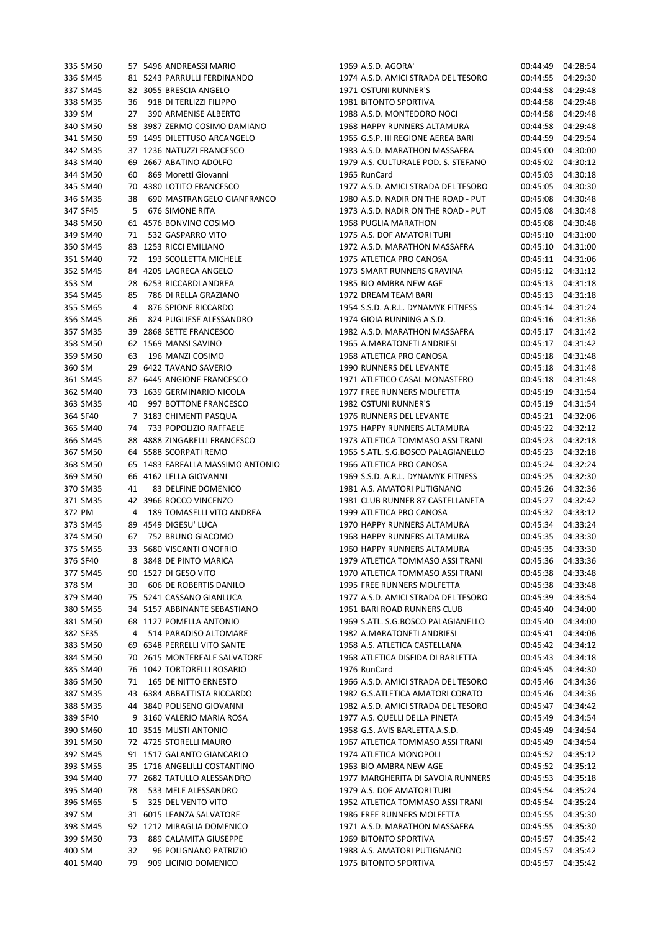|        | 335 SM50 |      | 57 5496 ANDREASSI MARIO          |
|--------|----------|------|----------------------------------|
|        | 336 SM45 |      | 81 5243 PARRULLI FERDINANDO      |
|        | 337 SM45 |      | 82 3055 BRESCIA ANGELO           |
|        | 338 SM35 | 36   | 918 DI TERLIZZI FILIPPO          |
| 339 SM |          | 27   | 390 ARMENISE ALBERTO             |
|        | 340 SM50 |      | 58 3987 ZERMO COSIMO DAMIANO     |
|        | 341 SM50 |      | 59 1495 DILETTUSO ARCANGELO      |
|        | 342 SM35 |      | 37 1236 NATUZZI FRANCESCO        |
|        |          |      |                                  |
|        | 343 SM40 |      | 69 2667 ABATINO ADOLFO           |
|        | 344 SM50 |      | 60 869 Moretti Giovanni          |
|        | 345 SM40 |      | 70 4380 LOTITO FRANCESCO         |
|        | 346 SM35 | 38   | 690 MASTRANGELO GIANFRANCO       |
|        | 347 SF45 | -5   | 676 SIMONE RITA                  |
|        | 348 SM50 |      | 61 4576 BONVINO COSIMO           |
|        | 349 SM40 | 71   | 532 GASPARRO VITO                |
|        | 350 SM45 |      | 83 1253 RICCI EMILIANO           |
|        | 351 SM40 | 72   | 193 SCOLLETTA MICHELE            |
|        | 352 SM45 |      | 84 4205 LAGRECA ANGELO           |
| 353 SM |          |      | 28 6253 RICCARDI ANDREA          |
|        | 354 SM45 |      | 85 786 DI RELLA GRAZIANO         |
|        | 355 SM65 |      | 4 876 SPIONE RICCARDO            |
|        | 356 SM45 |      | 86 824 PUGLIESE ALESSANDRO       |
|        | 357 SM35 |      | 39 2868 SETTE FRANCESCO          |
|        |          |      |                                  |
|        | 358 SM50 |      | 62 1569 MANSI SAVINO             |
|        | 359 SM50 |      | 63 196 MANZI COSIMO              |
|        | 360 SM   |      | 29 6422 TAVANO SAVERIO           |
|        | 361 SM45 |      | 87 6445 ANGIONE FRANCESCO        |
|        | 362 SM40 | 73   | 1639 GERMINARIO NICOLA           |
|        | 363 SM35 | 40   | 997 BOTTONE FRANCESCO            |
|        | 364 SF40 | 7    | 3183 CHIMENTI PASQUA             |
|        | 365 SM40 | 74   | 733 POPOLIZIO RAFFAELE           |
|        | 366 SM45 |      | 88 4888 ZINGARELLI FRANCESCO     |
|        | 367 SM50 |      | 64 5588 SCORPATI REMO            |
|        | 368 SM50 |      | 65 1483 FARFALLA MASSIMO ANTONIO |
|        | 369 SM50 |      | 66 4162 LELLA GIOVANNI           |
|        | 370 SM35 | 41   | 83 DELFINE DOMENICO              |
|        | 371 SM35 | 42   | 3966 ROCCO VINCENZO              |
| 372 PM |          | 4    | <b>189 TOMASELLI VITO ANDREA</b> |
|        |          |      |                                  |
|        | 373 SM45 |      | 89 4549 DIGESU' LUCA             |
|        | 374 SM50 |      | 67 752 BRUNO GIACOMO             |
|        | 375 SM55 |      | 33 5680 VISCANTI ONOFRIO         |
|        | 376 SF40 |      | 8 3848 DE PINTO MARICA           |
|        | 377 SM45 |      | 90 1527 DI GESO VITO             |
| 378 SM |          |      | 30 606 DE ROBERTIS DANILO        |
|        | 379 SM40 |      | 75 5241 CASSANO GIANLUCA         |
|        | 380 SM55 |      | 34 5157 ABBINANTE SEBASTIANO     |
|        | 381 SM50 | 68   | 1127 POMELLA ANTONIO             |
|        | 382 SF35 | 4    | 514 PARADISO ALTOMARE            |
|        | 383 SM50 | 69   | <b>6348 PERRELLI VITO SANTE</b>  |
|        | 384 SM50 | 70   | 2615 MONTEREALE SALVATORE        |
|        | 385 SM40 | 76   | 1042 TORTORELLI ROSARIO          |
|        | 386 SM50 |      | 71 165 DE NITTO ERNESTO          |
|        | 387 SM35 |      | 43 6384 ABBATTISTA RICCARDO      |
|        | 388 SM35 |      | 44 3840 POLISENO GIOVANNI        |
|        | 389 SF40 |      | 9 3160 VALERIO MARIA ROSA        |
|        |          |      |                                  |
|        | 390 SM60 |      | 10 3515 MUSTI ANTONIO            |
|        | 391 SM50 |      | 72 4725 STORELLI MAURO           |
|        | 392 SM45 | 91   | 1517 GALANTO GIANCARLO           |
|        | 393 SM55 | 35   | 1716 ANGELILLI COSTANTINO        |
|        | 394 SM40 | 77   | 2682 TATULLO ALESSANDRO          |
|        | 395 SM40 | 78   | 533 MELE ALESSANDRO              |
|        | 396 SM65 | 5    | 325 DEL VENTO VITO               |
|        | 397 SM   | 31   | 6015 LEANZA SALVATORE            |
|        | 398 SM45 | 92   | 1212 MIRAGLIA DOMENICO           |
|        | 399 SM50 | 73   | 889 CALAMITA GIUSEPPE            |
| 400 SM |          | 32   | 96 POLIGNANO PATRIZIO            |
|        | 401 SM40 | 79 - | 909 LICINIO DOMENICO             |
|        |          |      |                                  |

| 335 SM50 |    | 57 5496 ANDREASSI MARIO          | 1969 A.S.D. AGORA'                  | 00:44:49 | 04:28:54 |
|----------|----|----------------------------------|-------------------------------------|----------|----------|
| 336 SM45 |    | 81 5243 PARRULLI FERDINANDO      | 1974 A.S.D. AMICI STRADA DEL TESORO | 00:44:55 | 04:29:30 |
| 337 SM45 |    | 82 3055 BRESCIA ANGELO           | 1971 OSTUNI RUNNER'S                | 00:44:58 | 04:29:48 |
| 338 SM35 |    | 36 918 DI TERLIZZI FILIPPO       | 1981 BITONTO SPORTIVA               | 00:44:58 | 04:29:48 |
| 339 SM   |    | 27 390 ARMENISE ALBERTO          | 1988 A.S.D. MONTEDORO NOCI          | 00:44:58 | 04:29:48 |
| 340 SM50 |    | 58 3987 ZERMO COSIMO DAMIANO     | 1968 HAPPY RUNNERS ALTAMURA         | 00:44:58 | 04:29:48 |
| 341 SM50 |    | 59 1495 DILETTUSO ARCANGELO      | 1965 G.S.P. III REGIONE AEREA BARI  | 00:44:59 | 04:29:54 |
| 342 SM35 |    | 37 1236 NATUZZI FRANCESCO        | 1983 A.S.D. MARATHON MASSAFRA       | 00:45:00 | 04:30:00 |
| 343 SM40 |    | 69 2667 ABATINO ADOLFO           | 1979 A.S. CULTURALE POD. S. STEFANO | 00:45:02 | 04:30:12 |
| 344 SM50 |    | 60 869 Moretti Giovanni          | 1965 RunCard                        | 00:45:03 | 04:30:18 |
| 345 SM40 |    | 70 4380 LOTITO FRANCESCO         | 1977 A.S.D. AMICI STRADA DEL TESORO | 00:45:05 | 04:30:30 |
| 346 SM35 | 38 | 690 MASTRANGELO GIANFRANCO       | 1980 A.S.D. NADIR ON THE ROAD - PUT | 00:45:08 | 04:30:48 |
| 347 SF45 | 5  | <b>676 SIMONE RITA</b>           | 1973 A.S.D. NADIR ON THE ROAD - PUT | 00:45:08 | 04:30:48 |
| 348 SM50 |    | 61 4576 BONVINO COSIMO           | 1968 PUGLIA MARATHON                | 00:45:08 | 04:30:48 |
| 349 SM40 |    | 71 532 GASPARRO VITO             | 1975 A.S. DOF AMATORI TURI          | 00:45:10 | 04:31:00 |
| 350 SM45 |    | 83 1253 RICCI EMILIANO           | 1972 A.S.D. MARATHON MASSAFRA       | 00:45:10 | 04:31:00 |
| 351 SM40 |    | 72 193 SCOLLETTA MICHELE         | 1975 ATLETICA PRO CANOSA            | 00:45:11 | 04:31:06 |
| 352 SM45 |    | 84 4205 LAGRECA ANGELO           | 1973 SMART RUNNERS GRAVINA          | 00:45:12 | 04:31:12 |
| 353 SM   |    | 28 6253 RICCARDI ANDREA          | 1985 BIO AMBRA NEW AGE              | 00:45:13 | 04:31:18 |
| 354 SM45 | 85 | 786 DI RELLA GRAZIANO            | 1972 DREAM TEAM BARI                | 00:45:13 | 04:31:18 |
| 355 SM65 | 4  | 876 SPIONE RICCARDO              | 1954 S.S.D. A.R.L. DYNAMYK FITNESS  | 00:45:14 | 04:31:24 |
| 356 SM45 |    | 86 824 PUGLIESE ALESSANDRO       | 1974 GIOIA RUNNING A.S.D.           | 00:45:16 | 04:31:36 |
| 357 SM35 |    | 39 2868 SETTE FRANCESCO          | 1982 A.S.D. MARATHON MASSAFRA       | 00:45:17 | 04:31:42 |
| 358 SM50 |    | 62 1569 MANSI SAVINO             | 1965 A.MARATONETI ANDRIESI          | 00:45:17 | 04:31:42 |
| 359 SM50 | 63 | 196 MANZI COSIMO                 | 1968 ATLETICA PRO CANOSA            | 00:45:18 | 04:31:48 |
| 360 SM   |    | 29 6422 TAVANO SAVERIO           | 1990 RUNNERS DEL LEVANTE            | 00:45:18 | 04:31:48 |
| 361 SM45 |    | 87 6445 ANGIONE FRANCESCO        | 1971 ATLETICO CASAL MONASTERO       | 00:45:18 | 04:31:48 |
| 362 SM40 |    | 73 1639 GERMINARIO NICOLA        | 1977 FREE RUNNERS MOLFETTA          | 00:45:19 | 04:31:54 |
| 363 SM35 |    | 40 997 BOTTONE FRANCESCO         | 1982 OSTUNI RUNNER'S                | 00:45:19 | 04:31:54 |
| 364 SF40 |    | 7 3183 CHIMENTI PASQUA           | 1976 RUNNERS DEL LEVANTE            | 00:45:21 | 04:32:06 |
| 365 SM40 |    | 74 733 POPOLIZIO RAFFAELE        | 1975 HAPPY RUNNERS ALTAMURA         | 00:45:22 | 04:32:12 |
| 366 SM45 |    | 88 4888 ZINGARELLI FRANCESCO     | 1973 ATLETICA TOMMASO ASSI TRANI    | 00:45:23 | 04:32:18 |
| 367 SM50 |    | 64 5588 SCORPATI REMO            | 1965 S.ATL. S.G.BOSCO PALAGIANELLO  | 00:45:23 | 04:32:18 |
| 368 SM50 |    | 65 1483 FARFALLA MASSIMO ANTONIO | 1966 ATLETICA PRO CANOSA            | 00:45:24 | 04:32:24 |
| 369 SM50 |    | 66 4162 LELLA GIOVANNI           | 1969 S.S.D. A.R.L. DYNAMYK FITNESS  | 00:45:25 | 04:32:30 |
| 370 SM35 | 41 | 83 DELFINE DOMENICO              | 1981 A.S. AMATORI PUTIGNANO         | 00:45:26 | 04:32:36 |
| 371 SM35 |    | 42 3966 ROCCO VINCENZO           | 1981 CLUB RUNNER 87 CASTELLANETA    | 00:45:27 | 04:32:42 |
| 372 PM   |    | 4 189 TOMASELLI VITO ANDREA      | 1999 ATLETICA PRO CANOSA            | 00:45:32 | 04:33:12 |
| 373 SM45 |    | 89 4549 DIGESU' LUCA             | 1970 HAPPY RUNNERS ALTAMURA         | 00:45:34 | 04:33:24 |
| 374 SM50 |    | 67 752 BRUNO GIACOMO             | 1968 HAPPY RUNNERS ALTAMURA         | 00:45:35 | 04:33:30 |
| 375 SM55 |    | 33 5680 VISCANTI ONOFRIO         | 1960 HAPPY RUNNERS ALTAMURA         | 00:45:35 | 04:33:30 |
| 376 SF40 |    | 8 3848 DE PINTO MARICA           | 1979 ATLETICA TOMMASO ASSI TRANI    | 00:45:36 | 04:33:36 |
| 377 SM45 |    | 90 1527 DI GESO VITO             | 1970 ATLETICA TOMMASO ASSI TRANI    | 00:45:38 | 04:33:48 |
| 378 SM   | 30 | 606 DE ROBERTIS DANILO           | 1995 FREE RUNNERS MOLFETTA          | 00:45:38 | 04:33:48 |
| 379 SM40 |    | 75 5241 CASSANO GIANLUCA         | 1977 A.S.D. AMICI STRADA DEL TESORO | 00:45:39 | 04:33:54 |
| 380 SM55 |    | 34 5157 ABBINANTE SEBASTIANO     | 1961 BARI ROAD RUNNERS CLUB         | 00:45:40 | 04:34:00 |
| 381 SM50 |    | 68 1127 POMELLA ANTONIO          | 1969 S.ATL. S.G.BOSCO PALAGIANELLO  | 00:45:40 | 04:34:00 |
| 382 SF35 | 4  | 514 PARADISO ALTOMARE            | 1982 A.MARATONETI ANDRIESI          | 00:45:41 | 04:34:06 |
| 383 SM50 |    | 69 6348 PERRELLI VITO SANTE      | 1968 A.S. ATLETICA CASTELLANA       | 00:45:42 | 04:34:12 |
| 384 SM50 |    | 70 2615 MONTEREALE SALVATORE     | 1968 ATLETICA DISFIDA DI BARLETTA   | 00:45:43 | 04:34:18 |
| 385 SM40 |    | 76 1042 TORTORELLI ROSARIO       | 1976 RunCard                        | 00:45:45 | 04:34:30 |
| 386 SM50 | 71 | 165 DE NITTO ERNESTO             | 1966 A.S.D. AMICI STRADA DEL TESORO | 00:45:46 | 04:34:36 |
| 387 SM35 |    | 43 6384 ABBATTISTA RICCARDO      | 1982 G.S.ATLETICA AMATORI CORATO    | 00:45:46 | 04:34:36 |
| 388 SM35 |    | 44 3840 POLISENO GIOVANNI        | 1982 A.S.D. AMICI STRADA DEL TESORO | 00:45:47 | 04:34:42 |
| 389 SF40 |    | 9 3160 VALERIO MARIA ROSA        | 1977 A.S. QUELLI DELLA PINETA       | 00:45:49 | 04:34:54 |
|          |    |                                  |                                     |          |          |
| 390 SM60 |    | 10 3515 MUSTI ANTONIO            | 1958 G.S. AVIS BARLETTA A.S.D.      | 00:45:49 | 04:34:54 |
| 391 SM50 |    | 72 4725 STORELLI MAURO           | 1967 ATLETICA TOMMASO ASSI TRANI    | 00:45:49 | 04:34:54 |
| 392 SM45 |    | 91 1517 GALANTO GIANCARLO        | 1974 ATLETICA MONOPOLI              | 00:45:52 | 04:35:12 |
| 393 SM55 |    | 35 1716 ANGELILLI COSTANTINO     | 1963 BIO AMBRA NEW AGE              | 00:45:52 | 04:35:12 |
| 394 SM40 |    | 77 2682 TATULLO ALESSANDRO       | 1977 MARGHERITA DI SAVOIA RUNNERS   | 00:45:53 | 04:35:18 |
| 395 SM40 | 78 | 533 MELE ALESSANDRO              | 1979 A.S. DOF AMATORI TURI          | 00:45:54 | 04:35:24 |
| 396 SM65 | 5  | 325 DEL VENTO VITO               | 1952 ATLETICA TOMMASO ASSI TRANI    | 00:45:54 | 04:35:24 |
| 397 SM   |    | 31 6015 LEANZA SALVATORE         | 1986 FREE RUNNERS MOLFETTA          | 00:45:55 | 04:35:30 |
| 398 SM45 |    | 92 1212 MIRAGLIA DOMENICO        | 1971 A.S.D. MARATHON MASSAFRA       | 00:45:55 | 04:35:30 |
| 399 SM50 | 73 | 889 CALAMITA GIUSEPPE            | 1969 BITONTO SPORTIVA               | 00:45:57 | 04:35:42 |
| 400 SM   | 32 | 96 POLIGNANO PATRIZIO            | 1988 A.S. AMATORI PUTIGNANO         | 00:45:57 | 04:35:42 |
| 401 SM40 | 79 | 909 LICINIO DOMENICO             | 1975 BITONTO SPORTIVA               | 00:45:57 | 04:35:42 |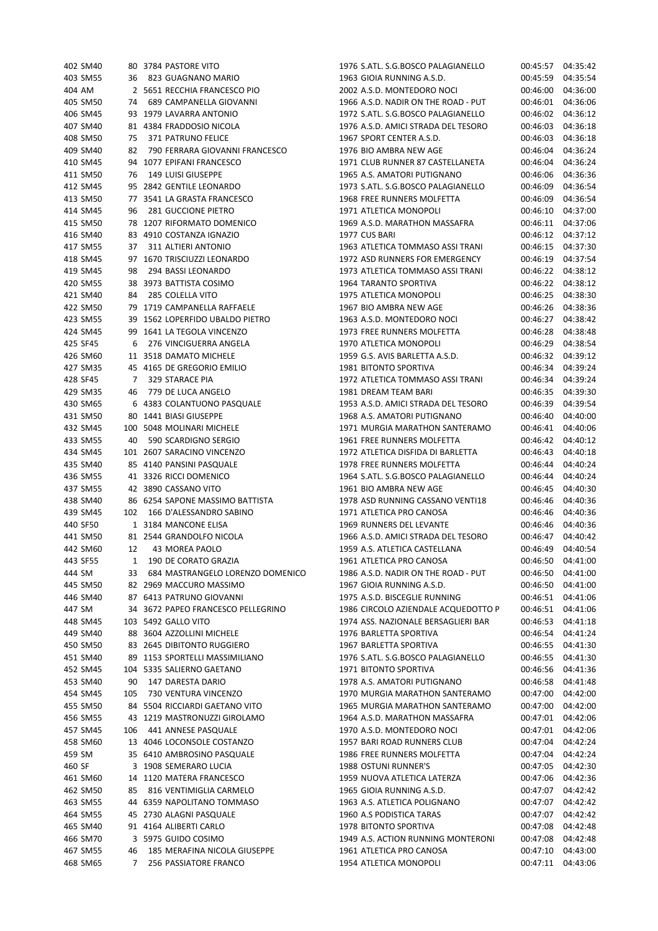| 402 SM40 |     | 80 3784 PASTORE VITO               | 1976 S.ATL. S.G.BOSCO PALAGIANELLO  |          | 00:45:57 04:35:42 |
|----------|-----|------------------------------------|-------------------------------------|----------|-------------------|
| 403 SM55 |     | 36 823 GUAGNANO MARIO              | 1963 GIOIA RUNNING A.S.D.           | 00:45:59 | 04:35:54          |
| 404 AM   |     | 2 5651 RECCHIA FRANCESCO PIO       | 2002 A.S.D. MONTEDORO NOCI          | 00:46:00 | 04:36:00          |
| 405 SM50 | 74  | 689 CAMPANELLA GIOVANNI            | 1966 A.S.D. NADIR ON THE ROAD - PUT | 00:46:01 | 04:36:06          |
| 406 SM45 |     | 93 1979 LAVARRA ANTONIO            | 1972 S.ATL. S.G.BOSCO PALAGIANELLO  | 00:46:02 | 04:36:12          |
| 407 SM40 |     | 81 4384 FRADDOSIO NICOLA           | 1976 A.S.D. AMICI STRADA DEL TESORO | 00:46:03 | 04:36:18          |
| 408 SM50 | 75  | 371 PATRUNO FELICE                 | 1967 SPORT CENTER A.S.D.            | 00:46:03 | 04:36:18          |
| 409 SM40 | 82  | 790 FERRARA GIOVANNI FRANCESCO     | 1976 BIO AMBRA NEW AGE              | 00:46:04 | 04:36:24          |
| 410 SM45 |     | 94 1077 EPIFANI FRANCESCO          | 1971 CLUB RUNNER 87 CASTELLANETA    | 00:46:04 | 04:36:24          |
| 411 SM50 | 76  | 149 LUISI GIUSEPPE                 | 1965 A.S. AMATORI PUTIGNANO         | 00:46:06 | 04:36:36          |
| 412 SM45 |     | 95 2842 GENTILE LEONARDO           | 1973 S.ATL. S.G.BOSCO PALAGIANELLO  | 00:46:09 | 04:36:54          |
| 413 SM50 |     | 77 3541 LA GRASTA FRANCESCO        | 1968 FREE RUNNERS MOLFETTA          | 00:46:09 | 04:36:54          |
| 414 SM45 | 96  | 281 GUCCIONE PIETRO                | 1971 ATLETICA MONOPOLI              | 00:46:10 | 04:37:00          |
| 415 SM50 |     | 78 1207 RIFORMATO DOMENICO         | 1969 A.S.D. MARATHON MASSAFRA       | 00:46:11 | 04:37:06          |
| 416 SM40 |     | 83 4910 COSTANZA IGNAZIO           | 1977 CUS BARI                       | 00:46:12 | 04:37:12          |
| 417 SM55 | 37  | 311 ALTIERI ANTONIO                | 1963 ATLETICA TOMMASO ASSI TRANI    | 00:46:15 | 04:37:30          |
| 418 SM45 |     | 97 1670 TRISCIUZZI LEONARDO        | 1972 ASD RUNNERS FOR EMERGENCY      | 00:46:19 | 04:37:54          |
| 419 SM45 | 98  | 294 BASSI LEONARDO                 | 1973 ATLETICA TOMMASO ASSI TRANI    | 00:46:22 | 04:38:12          |
| 420 SM55 |     | 38 3973 BATTISTA COSIMO            | 1964 TARANTO SPORTIVA               | 00:46:22 | 04:38:12          |
| 421 SM40 | 84  | 285 COLELLA VITO                   | 1975 ATLETICA MONOPOLI              | 00:46:25 | 04:38:30          |
| 422 SM50 |     | 79 1719 CAMPANELLA RAFFAELE        | 1967 BIO AMBRA NEW AGE              | 00:46:26 | 04:38:36          |
| 423 SM55 |     | 39 1562 LOPERFIDO UBALDO PIETRO    | 1963 A.S.D. MONTEDORO NOCI          | 00:46:27 | 04:38:42          |
| 424 SM45 |     | 99 1641 LA TEGOLA VINCENZO         | 1973 FREE RUNNERS MOLFETTA          | 00:46:28 | 04:38:48          |
| 425 SF45 | 6   | 276 VINCIGUERRA ANGELA             | 1970 ATLETICA MONOPOLI              | 00:46:29 | 04:38:54          |
| 426 SM60 |     | 11 3518 DAMATO MICHELE             | 1959 G.S. AVIS BARLETTA A.S.D.      | 00:46:32 | 04:39:12          |
| 427 SM35 |     |                                    | <b>1981 BITONTO SPORTIVA</b>        |          |                   |
|          |     | 45 4165 DE GREGORIO EMILIO         | 1972 ATLETICA TOMMASO ASSI TRANI    | 00:46:34 | 04:39:24          |
| 428 SF45 | 7   | 329 STARACE PIA                    |                                     | 00:46:34 | 04:39:24          |
| 429 SM35 | 46  | 779 DE LUCA ANGELO                 | 1981 DREAM TEAM BARI                | 00:46:35 | 04:39:30          |
| 430 SM65 |     | 6 4383 COLANTUONO PASQUALE         | 1953 A.S.D. AMICI STRADA DEL TESORO | 00:46:39 | 04:39:54          |
| 431 SM50 |     | 80 1441 BIASI GIUSEPPE             | 1968 A.S. AMATORI PUTIGNANO         | 00:46:40 | 04:40:00          |
| 432 SM45 |     | 100 5048 MOLINARI MICHELE          | 1971 MURGIA MARATHON SANTERAMO      | 00:46:41 | 04:40:06          |
| 433 SM55 | 40  | 590 SCARDIGNO SERGIO               | 1961 FREE RUNNERS MOLFETTA          | 00:46:42 | 04:40:12          |
| 434 SM45 |     | 101 2607 SARACINO VINCENZO         | 1972 ATLETICA DISFIDA DI BARLETTA   | 00:46:43 | 04:40:18          |
| 435 SM40 |     | 85 4140 PANSINI PASQUALE           | 1978 FREE RUNNERS MOLFETTA          | 00:46:44 | 04:40:24          |
| 436 SM55 |     | 41 3326 RICCI DOMENICO             | 1964 S.ATL. S.G.BOSCO PALAGIANELLO  | 00:46:44 | 04:40:24          |
| 437 SM55 |     | 42 3890 CASSANO VITO               | 1961 BIO AMBRA NEW AGE              | 00:46:45 | 04:40:30          |
| 438 SM40 |     | 86 6254 SAPONE MASSIMO BATTISTA    | 1978 ASD RUNNING CASSANO VENTI18    | 00:46:46 | 04:40:36          |
| 439 SM45 | 102 | 166 D'ALESSANDRO SABINO            | 1971 ATLETICA PRO CANOSA            | 00:46:46 | 04:40:36          |
| 440 SF50 |     | 1 3184 MANCONE ELISA               | 1969 RUNNERS DEL LEVANTE            | 00:46:46 | 04:40:36          |
| 441 SM50 |     | 81 2544 GRANDOLFO NICOLA           | 1966 A.S.D. AMICI STRADA DEL TESORO | 00:46:47 | 04:40:42          |
| 442 SM60 | 12  | 43 MOREA PAOLO                     | 1959 A.S. ATLETICA CASTELLANA       | 00:46:49 | 04:40:54          |
| 443 SF55 | 1   | 190 DE CORATO GRAZIA               | 1961 ATLETICA PRO CANOSA            | 00:46:50 | 04:41:00          |
| 444 SM   | 33  | 684 MASTRANGELO LORENZO DOMENICO   | 1986 A.S.D. NADIR ON THE ROAD - PUT | 00:46:50 | 04:41:00          |
| 445 SM50 |     | 82 2969 MACCURO MASSIMO            | 1967 GIOIA RUNNING A.S.D.           | 00:46:50 | 04:41:00          |
| 446 SM40 |     | 87 6413 PATRUNO GIOVANNI           | 1975 A.S.D. BISCEGLIE RUNNING       | 00:46:51 | 04:41:06          |
| 447 SM   |     | 34 3672 PAPEO FRANCESCO PELLEGRINO | 1986 CIRCOLO AZIENDALE ACQUEDOTTO P | 00:46:51 | 04:41:06          |
| 448 SM45 |     | 103 5492 GALLO VITO                | 1974 ASS. NAZIONALE BERSAGLIERI BAR | 00:46:53 | 04:41:18          |
| 449 SM40 |     | 88 3604 AZZOLLINI MICHELE          | 1976 BARLETTA SPORTIVA              | 00:46:54 | 04:41:24          |
| 450 SM50 |     | 83 2645 DIBITONTO RUGGIERO         | 1967 BARLETTA SPORTIVA              | 00:46:55 | 04:41:30          |
| 451 SM40 |     | 89 1153 SPORTELLI MASSIMILIANO     | 1976 S.ATL. S.G.BOSCO PALAGIANELLO  | 00:46:55 | 04:41:30          |
| 452 SM45 |     | 104 5335 SALIERNO GAETANO          | 1971 BITONTO SPORTIVA               | 00:46:56 | 04:41:36          |
| 453 SM40 | 90  | 147 DARESTA DARIO                  | 1978 A.S. AMATORI PUTIGNANO         | 00:46:58 | 04:41:48          |
| 454 SM45 | 105 | 730 VENTURA VINCENZO               | 1970 MURGIA MARATHON SANTERAMO      | 00:47:00 | 04:42:00          |
| 455 SM50 |     | 84 5504 RICCIARDI GAETANO VITO     | 1965 MURGIA MARATHON SANTERAMO      | 00:47:00 | 04:42:00          |
| 456 SM55 |     | 43 1219 MASTRONUZZI GIROLAMO       | 1964 A.S.D. MARATHON MASSAFRA       | 00:47:01 | 04:42:06          |
| 457 SM45 | 106 | 441 ANNESE PASQUALE                | 1970 A.S.D. MONTEDORO NOCI          | 00:47:01 | 04:42:06          |
| 458 SM60 |     | 13 4046 LOCONSOLE COSTANZO         | 1957 BARI ROAD RUNNERS CLUB         | 00:47:04 | 04:42:24          |
| 459 SM   |     | 35 6410 AMBROSINO PASQUALE         | 1986 FREE RUNNERS MOLFETTA          | 00:47:04 | 04:42:24          |
| 460 SF   |     | 3 1908 SEMERARO LUCIA              | 1988 OSTUNI RUNNER'S                | 00:47:05 | 04:42:30          |
| 461 SM60 |     | 14 1120 MATERA FRANCESCO           | 1959 NUOVA ATLETICA LATERZA         | 00:47:06 | 04:42:36          |
| 462 SM50 | 85  | 816 VENTIMIGLIA CARMELO            | 1965 GIOIA RUNNING A.S.D.           | 00:47:07 | 04:42:42          |
| 463 SM55 |     | 44 6359 NAPOLITANO TOMMASO         | 1963 A.S. ATLETICA POLIGNANO        | 00:47:07 | 04:42:42          |
| 464 SM55 |     | 45 2730 ALAGNI PASQUALE            | 1960 A.S PODISTICA TARAS            | 00:47:07 | 04:42:42          |
| 465 SM40 |     | 91 4164 ALIBERTI CARLO             | 1978 BITONTO SPORTIVA               | 00:47:08 | 04:42:48          |
| 466 SM70 |     | 3 5975 GUIDO COSIMO                | 1949 A.S. ACTION RUNNING MONTERONI  | 00:47:08 | 04:42:48          |
| 467 SM55 | 46  | 185 MERAFINA NICOLA GIUSEPPE       | 1961 ATLETICA PRO CANOSA            | 00:47:10 | 04:43:00          |
|          | 7   |                                    |                                     |          |                   |
| 468 SM65 |     | 256 PASSIATORE FRANCO              | 1954 ATLETICA MONOPOLI              | 00:47:11 | 04:43:06          |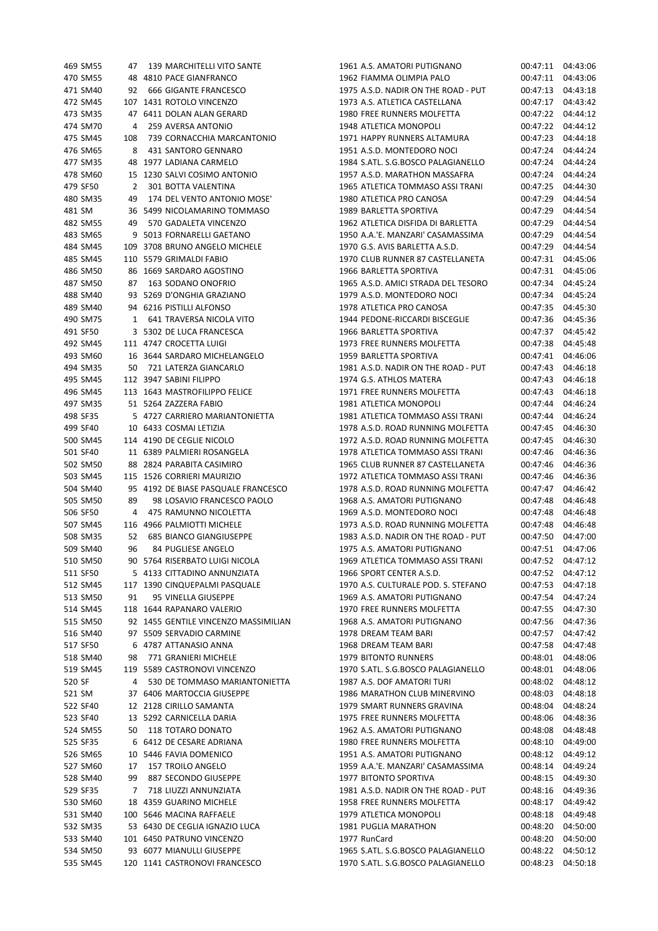| 469 SM55 | 47  | 139 MARCHITELLI VITO SANTE           | 1961 A.S. AMATORI PUTIGNANO         | 00:47:11 | 04:43:06 |
|----------|-----|--------------------------------------|-------------------------------------|----------|----------|
| 470 SM55 |     | 48 4810 PACE GIANFRANCO              | 1962 FIAMMA OLIMPIA PALO            | 00:47:11 | 04:43:06 |
| 471 SM40 | 92  | 666 GIGANTE FRANCESCO                | 1975 A.S.D. NADIR ON THE ROAD - PUT | 00:47:13 | 04:43:18 |
| 472 SM45 |     | 107 1431 ROTOLO VINCENZO             | 1973 A.S. ATLETICA CASTELLANA       | 00:47:17 | 04:43:42 |
|          |     |                                      | 1980 FREE RUNNERS MOLFETTA          |          | 04:44:12 |
| 473 SM35 |     | 47 6411 DOLAN ALAN GERARD            |                                     | 00:47:22 |          |
| 474 SM70 | 4   | 259 AVERSA ANTONIO                   | 1948 ATLETICA MONOPOLI              | 00:47:22 | 04:44:12 |
| 475 SM45 | 108 | 739 CORNACCHIA MARCANTONIO           | 1971 HAPPY RUNNERS ALTAMURA         | 00:47:23 | 04:44:18 |
| 476 SM65 | 8   | 431 SANTORO GENNARO                  | 1951 A.S.D. MONTEDORO NOCI          | 00:47:24 | 04:44:24 |
| 477 SM35 |     | 48 1977 LADIANA CARMELO              | 1984 S.ATL. S.G.BOSCO PALAGIANELLO  | 00:47:24 | 04:44:24 |
| 478 SM60 |     | 15 1230 SALVI COSIMO ANTONIO         | 1957 A.S.D. MARATHON MASSAFRA       | 00:47:24 | 04:44:24 |
| 479 SF50 | 2   | 301 BOTTA VALENTINA                  | 1965 ATLETICA TOMMASO ASSI TRANI    | 00:47:25 | 04:44:30 |
| 480 SM35 | 49  | 174 DEL VENTO ANTONIO MOSE'          | 1980 ATLETICA PRO CANOSA            | 00:47:29 | 04:44:54 |
| 481 SM   |     | 36 5499 NICOLAMARINO TOMMASO         | 1989 BARLETTA SPORTIVA              | 00:47:29 | 04:44:54 |
|          |     |                                      |                                     |          |          |
| 482 SM55 | 49  | 570 GADALETA VINCENZO                | 1962 ATLETICA DISFIDA DI BARLETTA   | 00:47:29 | 04:44:54 |
| 483 SM65 |     | 9 5013 FORNARELLI GAETANO            | 1950 A.A.'E. MANZARI' CASAMASSIMA   | 00:47:29 | 04:44:54 |
| 484 SM45 |     | 109 3708 BRUNO ANGELO MICHELE        | 1970 G.S. AVIS BARLETTA A.S.D.      | 00:47:29 | 04:44:54 |
| 485 SM45 |     | 110 5579 GRIMALDI FABIO              | 1970 CLUB RUNNER 87 CASTELLANETA    | 00:47:31 | 04:45:06 |
| 486 SM50 |     | 86 1669 SARDARO AGOSTINO             | 1966 BARLETTA SPORTIVA              | 00:47:31 | 04:45:06 |
| 487 SM50 | 87  | 163 SODANO ONOFRIO                   | 1965 A.S.D. AMICI STRADA DEL TESORO | 00:47:34 | 04:45:24 |
| 488 SM40 |     | 93 5269 D'ONGHIA GRAZIANO            | 1979 A.S.D. MONTEDORO NOCI          | 00:47:34 | 04:45:24 |
| 489 SM40 |     | 94 6216 PISTILLI ALFONSO             | 1978 ATLETICA PRO CANOSA            |          | 04:45:30 |
|          |     |                                      |                                     | 00:47:35 |          |
| 490 SM75 |     | 1 641 TRAVERSA NICOLA VITO           | 1944 PEDONE-RICCARDI BISCEGLIE      | 00:47:36 | 04:45:36 |
| 491 SF50 |     | 3 5302 DE LUCA FRANCESCA             | 1966 BARLETTA SPORTIVA              | 00:47:37 | 04:45:42 |
| 492 SM45 |     | 111 4747 CROCETTA LUIGI              | 1973 FREE RUNNERS MOLFETTA          | 00:47:38 | 04:45:48 |
| 493 SM60 |     | 16 3644 SARDARO MICHELANGELO         | 1959 BARLETTA SPORTIVA              | 00:47:41 | 04:46:06 |
| 494 SM35 | 50  | 721 LATERZA GIANCARLO                | 1981 A.S.D. NADIR ON THE ROAD - PUT | 00:47:43 | 04:46:18 |
| 495 SM45 |     | 112 3947 SABINI FILIPPO              | 1974 G.S. ATHLOS MATERA             | 00:47:43 | 04:46:18 |
| 496 SM45 |     | 113 1643 MASTROFILIPPO FELICE        | 1971 FREE RUNNERS MOLFETTA          | 00:47:43 | 04:46:18 |
| 497 SM35 |     | 51 5264 ZAZZERA FABIO                | 1981 ATLETICA MONOPOLI              | 00:47:44 | 04:46:24 |
|          |     |                                      |                                     |          |          |
| 498 SF35 |     | 5 4727 CARRIERO MARIANTONIETTA       | 1981 ATLETICA TOMMASO ASSI TRANI    | 00:47:44 | 04:46:24 |
| 499 SF40 |     | 10 6433 COSMAI LETIZIA               | 1978 A.S.D. ROAD RUNNING MOLFETTA   | 00:47:45 | 04:46:30 |
| 500 SM45 |     | 114 4190 DE CEGLIE NICOLO            | 1972 A.S.D. ROAD RUNNING MOLFETTA   | 00:47:45 | 04:46:30 |
| 501 SF40 |     | 11 6389 PALMIERI ROSANGELA           | 1978 ATLETICA TOMMASO ASSI TRANI    | 00:47:46 | 04:46:36 |
| 502 SM50 |     | 88 2824 PARABITA CASIMIRO            | 1965 CLUB RUNNER 87 CASTELLANETA    | 00:47:46 | 04:46:36 |
| 503 SM45 |     | 115 1526 CORRIERI MAURIZIO           | 1972 ATLETICA TOMMASO ASSI TRANI    | 00:47:46 | 04:46:36 |
| 504 SM40 |     | 95 4192 DE BIASE PASQUALE FRANCESCO  | 1978 A.S.D. ROAD RUNNING MOLFETTA   | 00:47:47 | 04:46:42 |
| 505 SM50 | 89  | 98 LOSAVIO FRANCESCO PAOLO           | 1968 A.S. AMATORI PUTIGNANO         | 00:47:48 | 04:46:48 |
|          |     |                                      |                                     |          |          |
| 506 SF50 | 4   | 475 RAMUNNO NICOLETTA                | 1969 A.S.D. MONTEDORO NOCI          | 00:47:48 | 04:46:48 |
| 507 SM45 |     | 116 4966 PALMIOTTI MICHELE           | 1973 A.S.D. ROAD RUNNING MOLFETTA   | 00:47:48 | 04:46:48 |
| 508 SM35 | 52  | <b>685 BIANCO GIANGIUSEPPE</b>       | 1983 A.S.D. NADIR ON THE ROAD - PUT | 00:47:50 | 04:47:00 |
| 509 SM40 | 96  | 84 PUGLIESE ANGELO                   | 1975 A.S. AMATORI PUTIGNANO         | 00:47:51 | 04:47:06 |
| 510 SM50 |     | 90 5764 RISERBATO LUIGI NICOLA       | 1969 ATLETICA TOMMASO ASSI TRANI    | 00:47:52 | 04:47:12 |
| 511 SF50 |     | 5 4133 CITTADINO ANNUNZIATA          | 1966 SPORT CENTER A.S.D.            | 00:47:52 | 04:47:12 |
| 512 SM45 |     | 117 1390 CINQUEPALMI PASQUALE        | 1970 A.S. CULTURALE POD. S. STEFANO | 00:47:53 | 04:47:18 |
| 513 SM50 | 91  | 95 VINELLA GIUSEPPE                  | 1969 A.S. AMATORI PUTIGNANO         | 00:47:54 | 04:47:24 |
| 514 SM45 |     | 118 1644 RAPANARO VALERIO            | 1970 FREE RUNNERS MOLFETTA          | 00:47:55 | 04:47:30 |
| 515 SM50 |     | 92 1455 GENTILE VINCENZO MASSIMILIAN | 1968 A.S. AMATORI PUTIGNANO         | 00:47:56 | 04:47:36 |
| 516 SM40 |     | 97 5509 SERVADIO CARMINE             | 1978 DREAM TEAM BARI                |          |          |
|          |     |                                      |                                     | 00:47:57 | 04:47:42 |
| 517 SF50 |     | 6 4787 ATTANASIO ANNA                | 1968 DREAM TEAM BARI                | 00:47:58 | 04:47:48 |
| 518 SM40 | 98  | 771 GRANIERI MICHELE                 | <b>1979 BITONTO RUNNERS</b>         | 00:48:01 | 04:48:06 |
| 519 SM45 |     | 119 5589 CASTRONOVI VINCENZO         | 1970 S.ATL. S.G.BOSCO PALAGIANELLO  | 00:48:01 | 04:48:06 |
| 520 SF   |     | 530 DE TOMMASO MARIANTONIETTA        | 1987 A.S. DOF AMATORI TURI          | 00:48:02 | 04:48:12 |
| 521 SM   |     | 37 6406 MARTOCCIA GIUSEPPE           | 1986 MARATHON CLUB MINERVINO        | 00:48:03 | 04:48:18 |
| 522 SF40 |     | 12 2128 CIRILLO SAMANTA              | 1979 SMART RUNNERS GRAVINA          | 00:48:04 | 04:48:24 |
| 523 SF40 |     | 13 5292 CARNICELLA DARIA             | 1975 FREE RUNNERS MOLFETTA          | 00:48:06 | 04:48:36 |
|          |     |                                      |                                     |          |          |
| 524 SM55 | 50  | 118 TOTARO DONATO                    | 1962 A.S. AMATORI PUTIGNANO         | 00:48:08 | 04:48:48 |
| 525 SF35 |     | 6 6412 DE CESARE ADRIANA             | 1980 FREE RUNNERS MOLFETTA          | 00:48:10 | 04:49:00 |
| 526 SM65 |     | 10 5446 FAVIA DOMENICO               | 1951 A.S. AMATORI PUTIGNANO         | 00:48:12 | 04:49:12 |
| 527 SM60 | 17  | 157 TROILO ANGELO                    | 1959 A.A.'E. MANZARI' CASAMASSIMA   | 00:48:14 | 04:49:24 |
| 528 SM40 | 99  | 887 SECONDO GIUSEPPE                 | 1977 BITONTO SPORTIVA               | 00:48:15 | 04:49:30 |
| 529 SF35 | 7   | 718 LIUZZI ANNUNZIATA                | 1981 A.S.D. NADIR ON THE ROAD - PUT | 00:48:16 | 04:49:36 |
| 530 SM60 |     | 18 4359 GUARINO MICHELE              | 1958 FREE RUNNERS MOLFETTA          | 00:48:17 | 04:49:42 |
| 531 SM40 |     | 100 5646 MACINA RAFFAELE             | 1979 ATLETICA MONOPOLI              | 00:48:18 | 04:49:48 |
| 532 SM35 |     | 53 6430 DE CEGLIA IGNAZIO LUCA       | 1981 PUGLIA MARATHON                | 00:48:20 | 04:50:00 |
| 533 SM40 |     | 101 6450 PATRUNO VINCENZO            | 1977 RunCard                        | 00:48:20 | 04:50:00 |
|          |     |                                      |                                     |          |          |
| 534 SM50 |     | 93 6077 MIANULLI GIUSEPPE            | 1965 S.ATL. S.G.BOSCO PALAGIANELLO  | 00:48:22 | 04:50:12 |
| 535 SM45 |     | 120 1141 CASTRONOVI FRANCESCO        | 1970 S.ATL. S.G.BOSCO PALAGIANELLO  | 00:48:23 | 04:50:18 |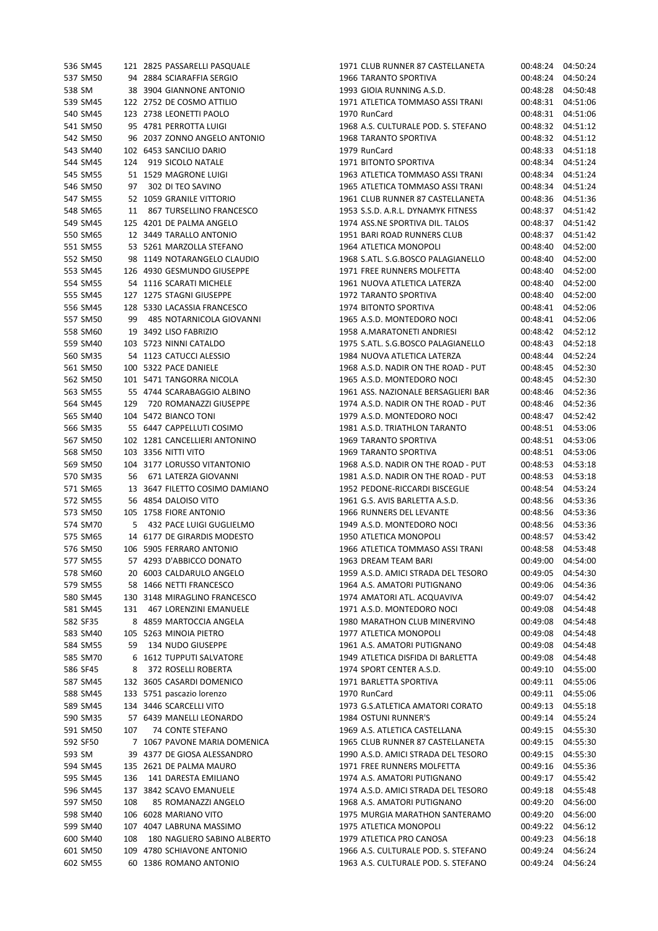| 536 SM45             |     | 121 2825 PASSARELLI PASQUALE                          |
|----------------------|-----|-------------------------------------------------------|
| 537 SM50             |     | 94 2884 SCIARAFFIA SERGIO                             |
| 538 SM               |     | 38 3904 GIANNONE ANTONIO                              |
| 539 SM45             |     | 122 2752 DE COSMO ATTILIO                             |
| 540 SM45             |     | 123 2738 LEONETTI PAOLO                               |
| 541 SM50             |     | 95 4781 PERROTTA LUIGI                                |
| 542 SM50             |     | 96 2037 ZONNO ANGELO ANTONIO                          |
| 543 SM40             |     | 102 6453 SANCILIO DARIO                               |
| 544 SM45             |     | 124 919 SICOLO NATALE                                 |
| 545 SM55             |     | 51 1529 MAGRONE LUIGI                                 |
| 546 SM50             |     | 97 302 DI TEO SAVINO                                  |
|                      |     | 547 SM55 52 1059 GRANILE VITTORIO                     |
|                      |     | 548 SM65 11 867 TURSELLINO FRANCESCO                  |
| 549 SM45             |     | 125 4201 DE PALMA ANGELO                              |
| 550 SM65             |     | 12 3449 TARALLO ANTONIO                               |
| 551 SM55             |     | 53 5261 MARZOLLA STEFANO                              |
|                      |     | 552 SM50 98 1149 NOTARANGELO CLAUDIO                  |
|                      |     | 553 SM45 126 4930 GESMUNDO GIUSEPPE                   |
| 554 SM55             |     | 54 1116 SCARATI MICHELE                               |
| 555 SM45             |     | 127 1275 STAGNI GIUSEPPE                              |
| 556 SM45             |     | 128 5330 LACASSIA FRANCESCO                           |
| 557 SM50             |     | 99 485 NOTARNICOLA GIOVANNI                           |
|                      |     | 558 SM60 19 3492 LISO FABRIZIO                        |
|                      |     | 559 SM40 103 5723 NINNI CATALDO                       |
| 560 SM35             |     | 54 1123 CATUCCI ALESSIO<br>100 5322 PACE DANIELE      |
| 561 SM50             |     |                                                       |
| 562 SM50             |     | 101 5471 TANGORRA NICOLA                              |
| 563 SM55             |     | 55 4744 SCARABAGGIO ALBINO                            |
|                      |     | 564 SM45 129 720 ROMANAZZI GIUSEPPE                   |
|                      |     | 565 SM40 104 5472 BIANCO TONI                         |
| 566 SM35             |     | 55 6447 CAPPELLUTI COSIMO                             |
| 567 SM50             |     | 102 1281 CANCELLIERI ANTONINO                         |
| 568 SM50             |     | 103 3356 NITTI VITO                                   |
|                      |     | 569 SM50 104 3177 LORUSSO VITANTONIO                  |
|                      |     | 570 SM35 56 671 LATERZA GIOVANNI                      |
| 571 SM65             |     | 13 3647 FILETTO COSIMO DAMIANO                        |
| 572 SM55             |     | 56 4854 DALOISO VITO                                  |
| 573 SM50             |     | 105 1758 FIORE ANTONIO                                |
| 574 SM70             |     | 5 432 PACE LUIGI GUGLIELMO                            |
|                      |     | 575 SM65 14 6177 DE GIRARDIS MODESTO                  |
|                      |     | 576 SM50 106 5905 FERRARO ANTONIO                     |
| 577 SM55             |     | 57 4293 D'ABBICCO DONATO                              |
| 578 SM60             |     | 20 6003 CALDARULO ANGELO                              |
| 579 SM55             |     | 58 1466 NETTI FRANCESCO                               |
| 580 SM45             |     | 130 3148 MIRAGLINO FRANCESCO                          |
| 581 SM45<br>582 SF35 |     | 131 467 LORENZINI EMANUELE<br>8 4859 MARTOCCIA ANGELA |
| 583 SM40             |     | 105 5263 MINOIA PIETRO                                |
| 584 SM55             |     | 59 134 NUDO GIUSEPPE                                  |
| 585 SM70             | 6   | <b>1612 TUPPUTI SALVATORE</b>                         |
| 586 SF45             |     | 8 372 ROSELLI ROBERTA                                 |
| 587 SM45             |     | 132 3605 CASARDI DOMENICO                             |
| 588 SM45             |     | 133 5751 pascazio lorenzo                             |
| 589 SM45             |     | 134 3446 SCARCELLI VITO                               |
| 590 SM35             |     | 57 6439 MANELLI LEONARDO                              |
| 591 SM50             | 107 | 74 CONTE STEFANO                                      |
| 592 SF50             | 7   | 1067 PAVONE MARIA DOMENICA                            |
| 593 SM               |     | 39 4377 DE GIOSA ALESSANDRO                           |
| 594 SM45             |     | 135 2621 DE PALMA MAURO                               |
| 595 SM45             |     | 136 141 DARESTA EMILIANO                              |
| 596 SM45             |     | 137 3842 SCAVO EMANUELE                               |
| 597 SM50             | 108 | 85 ROMANAZZI ANGELO                                   |
| 598 SM40             |     | 106 6028 MARIANO VITO                                 |
| 599 SM40             |     | 107 4047 LABRUNA MASSIMO                              |
| 600 SM40             | 108 | 180 NAGLIERO SABINO ALBERTO                           |
| 601 SM50             |     | 109 4780 SCHIAVONE ANTONIO                            |
| 602 SM55             |     | 60 1386 ROMANO ANTONIO                                |
|                      |     |                                                       |

| 536 SM45           |     | 121 2825 PASSARELLI PASQUALE   | 1971 CLUB RUNNER 87 CASTELLANETA    | 00:48:24 04:50:24    |                      |
|--------------------|-----|--------------------------------|-------------------------------------|----------------------|----------------------|
| 537 SM50           |     | 94 2884 SCIARAFFIA SERGIO      | 1966 TARANTO SPORTIVA               | 00:48:24             | 04:50:24             |
| 538 SM             |     | 38 3904 GIANNONE ANTONIO       | 1993 GIOIA RUNNING A.S.D.           | 00:48:28             | 04:50:48             |
| 539 SM45           |     | 122 2752 DE COSMO ATTILIO      | 1971 ATLETICA TOMMASO ASSI TRANI    | 00:48:31             | 04:51:06             |
| 540 SM45           |     | 123 2738 LEONETTI PAOLO        | 1970 RunCard                        | 00:48:31             | 04:51:06             |
| 541 SM50           |     | 95 4781 PERROTTA LUIGI         | 1968 A.S. CULTURALE POD. S. STEFANO | 00:48:32             | 04:51:12             |
| 542 SM50           |     | 96 2037 ZONNO ANGELO ANTONIO   | <b>1968 TARANTO SPORTIVA</b>        | 00:48:32             | 04:51:12             |
| 543 SM40           |     | 102 6453 SANCILIO DARIO        | 1979 RunCard                        | 00:48:33             | 04:51:18             |
| 544 SM45           |     | 124 919 SICOLO NATALE          | 1971 BITONTO SPORTIVA               | 00:48:34             | 04:51:24             |
| 545 SM55           |     | 51 1529 MAGRONE LUIGI          | 1963 ATLETICA TOMMASO ASSI TRANI    | 00:48:34             | 04:51:24             |
| 546 SM50           |     | 97 302 DI TEO SAVINO           | 1965 ATLETICA TOMMASO ASSI TRANI    | 00:48:34             | 04:51:24             |
| 547 SM55           |     | 52 1059 GRANILE VITTORIO       | 1961 CLUB RUNNER 87 CASTELLANETA    | 00:48:36             | 04:51:36             |
| 548 SM65           |     | 11 867 TURSELLINO FRANCESCO    | 1953 S.S.D. A.R.L. DYNAMYK FITNESS  | 00:48:37             | 04:51:42             |
| 549 SM45           |     | 125 4201 DE PALMA ANGELO       | 1974 ASS.NE SPORTIVA DIL. TALOS     | 00:48:37             | 04:51:42             |
| 550 SM65           |     | 12 3449 TARALLO ANTONIO        | 1951 BARI ROAD RUNNERS CLUB         | 00:48:37             | 04:51:42             |
| 551 SM55           |     | 53 5261 MARZOLLA STEFANO       | 1964 ATLETICA MONOPOLI              | 00:48:40             | 04:52:00             |
| 552 SM50           |     | 98 1149 NOTARANGELO CLAUDIO    | 1968 S.ATL. S.G.BOSCO PALAGIANELLO  | 00:48:40             | 04:52:00             |
|                    |     |                                |                                     |                      |                      |
| 553 SM45           |     | 126 4930 GESMUNDO GIUSEPPE     | 1971 FREE RUNNERS MOLFETTA          | 00:48:40             | 04:52:00             |
| 554 SM55           |     | 54 1116 SCARATI MICHELE        | 1961 NUOVA ATLETICA LATERZA         | 00:48:40             | 04:52:00             |
| 555 SM45           |     | 127 1275 STAGNI GIUSEPPE       | 1972 TARANTO SPORTIVA               | 00:48:40             | 04:52:00             |
| 556 SM45           |     | 128 5330 LACASSIA FRANCESCO    | 1974 BITONTO SPORTIVA               | 00:48:41             | 04:52:06             |
| 557 SM50           |     | 99 485 NOTARNICOLA GIOVANNI    | 1965 A.S.D. MONTEDORO NOCI          | 00:48:41             | 04:52:06             |
| 558 SM60           |     | 19 3492 LISO FABRIZIO          | 1958 A.MARATONETI ANDRIESI          | 00:48:42             | 04:52:12             |
| 559 SM40           |     | 103 5723 NINNI CATALDO         | 1975 S.ATL. S.G.BOSCO PALAGIANELLO  | 00:48:43             | 04:52:18             |
| 560 SM35           |     | 54 1123 CATUCCI ALESSIO        | 1984 NUOVA ATLETICA LATERZA         | 00:48:44             | 04:52:24             |
| 561 SM50           |     | 100 5322 PACE DANIELE          | 1968 A.S.D. NADIR ON THE ROAD - PUT | 00:48:45             | 04:52:30             |
| 562 SM50           |     | 101 5471 TANGORRA NICOLA       | 1965 A.S.D. MONTEDORO NOCI          | 00:48:45             | 04:52:30             |
| 563 SM55           |     | 55 4744 SCARABAGGIO ALBINO     | 1961 ASS. NAZIONALE BERSAGLIERI BAR | 00:48:46             | 04:52:36             |
| 564 SM45           |     | 129 720 ROMANAZZI GIUSEPPE     | 1974 A.S.D. NADIR ON THE ROAD - PUT | 00:48:46             | 04:52:36             |
| 565 SM40           |     | 104 5472 BIANCO TONI           | 1979 A.S.D. MONTEDORO NOCI          | 00:48:47             | 04:52:42             |
| 566 SM35           |     | 55 6447 CAPPELLUTI COSIMO      | 1981 A.S.D. TRIATHLON TARANTO       | 00:48:51             | 04:53:06             |
| 567 SM50           |     | 102 1281 CANCELLIERI ANTONINO  | 1969 TARANTO SPORTIVA               | 00:48:51             | 04:53:06             |
| 568 SM50           |     | 103 3356 NITTI VITO            | 1969 TARANTO SPORTIVA               | 00:48:51             | 04:53:06             |
| 569 SM50           |     | 104 3177 LORUSSO VITANTONIO    | 1968 A.S.D. NADIR ON THE ROAD - PUT | 00:48:53             | 04:53:18             |
| 570 SM35           |     | 56 671 LATERZA GIOVANNI        | 1981 A.S.D. NADIR ON THE ROAD - PUT | 00:48:53             | 04:53:18             |
| 571 SM65           |     | 13 3647 FILETTO COSIMO DAMIANO | 1952 PEDONE-RICCARDI BISCEGLIE      | 00:48:54             | 04:53:24             |
| 572 SM55           |     | 56 4854 DALOISO VITO           | 1961 G.S. AVIS BARLETTA A.S.D.      | 00:48:56             | 04:53:36             |
| 573 SM50           |     | 105 1758 FIORE ANTONIO         | 1966 RUNNERS DEL LEVANTE            | 00:48:56             | 04:53:36             |
| 574 SM70           |     | 5 432 PACE LUIGI GUGLIELMO     | 1949 A.S.D. MONTEDORO NOCI          | 00:48:56             | 04:53:36             |
| 575 SM65           |     | 14 6177 DE GIRARDIS MODESTO    | 1950 ATLETICA MONOPOLI              | 00:48:57             | 04:53:42             |
| 576 SM50           |     | 106 5905 FERRARO ANTONIO       | 1966 ATLETICA TOMMASO ASSI TRANI    | 00:48:58             | 04:53:48             |
| 577 SM55           |     | 57 4293 D'ABBICCO DONATO       | 1963 DREAM TEAM BARI                | 00:49:00             | 04:54:00             |
| 578 SM60           |     | 20 6003 CALDARULO ANGELO       | 1959 A.S.D. AMICI STRADA DEL TESORO | 00:49:05             | 04:54:30             |
| 579 SM55           |     | 58 1466 NETTI FRANCESCO        | 1964 A.S. AMATORI PUTIGNANO         | 00:49:06             | 04:54:36             |
| 580 SM45           |     | 130 3148 MIRAGLINO FRANCESCO   | 1974 AMATORI ATL. ACQUAVIVA         | 00:49:07             | 04:54:42             |
| 581 SM45           | 131 | 467 LORENZINI EMANUELE         | 1971 A.S.D. MONTEDORO NOCI          | 00:49:08             | 04:54:48             |
| 582 SF35           |     | 8 4859 MARTOCCIA ANGELA        | 1980 MARATHON CLUB MINERVINO        | 00:49:08             | 04:54:48             |
| 583 SM40           |     | 105 5263 MINOIA PIETRO         | 1977 ATLETICA MONOPOLI              | 00:49:08             | 04:54:48             |
| 584 SM55           | 59  | 134 NUDO GIUSEPPE              | 1961 A.S. AMATORI PUTIGNANO         | 00:49:08             | 04:54:48             |
| 585 SM70           |     | 6 1612 TUPPUTI SALVATORE       | 1949 ATLETICA DISFIDA DI BARLETTA   | 00:49:08             | 04:54:48             |
| 586 SF45           | 8   | 372 ROSELLI ROBERTA            | 1974 SPORT CENTER A.S.D.            | 00:49:10             | 04:55:00             |
| 587 SM45           |     | 132 3605 CASARDI DOMENICO      | 1971 BARLETTA SPORTIVA              | 00:49:11             | 04:55:06             |
| 588 SM45           |     | 133 5751 pascazio lorenzo      | 1970 RunCard                        | 00:49:11             | 04:55:06             |
| 589 SM45           |     | 134 3446 SCARCELLI VITO        | 1973 G.S.ATLETICA AMATORI CORATO    | 00:49:13             | 04:55:18             |
| 590 SM35           |     | 57 6439 MANELLI LEONARDO       | 1984 OSTUNI RUNNER'S                | 00:49:14             | 04:55:24             |
| 591 SM50           | 107 | 74 CONTE STEFANO               | 1969 A.S. ATLETICA CASTELLANA       | 00:49:15             | 04:55:30             |
| 592 SF50           |     | 7 1067 PAVONE MARIA DOMENICA   | 1965 CLUB RUNNER 87 CASTELLANETA    | 00:49:15             | 04:55:30             |
|                    |     | 39 4377 DE GIOSA ALESSANDRO    | 1990 A.S.D. AMICI STRADA DEL TESORO |                      |                      |
| 593 SM<br>594 SM45 |     | 135 2621 DE PALMA MAURO        | 1971 FREE RUNNERS MOLFETTA          | 00:49:15<br>00:49:16 | 04:55:30<br>04:55:36 |
| 595 SM45           |     | 141 DARESTA EMILIANO           | 1974 A.S. AMATORI PUTIGNANO         | 00:49:17             | 04:55:42             |
| 596 SM45           | 136 | 137 3842 SCAVO EMANUELE        | 1974 A.S.D. AMICI STRADA DEL TESORO |                      | 04:55:48             |
|                    | 108 |                                | 1968 A.S. AMATORI PUTIGNANO         | 00:49:18             | 04:56:00             |
| 597 SM50           |     | 85 ROMANAZZI ANGELO            |                                     | 00:49:20             |                      |
| 598 SM40           |     | 106 6028 MARIANO VITO          | 1975 MURGIA MARATHON SANTERAMO      | 00:49:20             | 04:56:00             |
| 599 SM40           |     | 107 4047 LABRUNA MASSIMO       | 1975 ATLETICA MONOPOLI              | 00:49:22             | 04:56:12             |
| 600 SM40           | 108 | 180 NAGLIERO SABINO ALBERTO    | 1979 ATLETICA PRO CANOSA            | 00:49:23             | 04:56:18             |
| 601 SM50           |     | 109 4780 SCHIAVONE ANTONIO     | 1966 A.S. CULTURALE POD. S. STEFANO | 00:49:24             | 04:56:24             |
| 602 SM55           |     | 60 1386 ROMANO ANTONIO         | 1963 A.S. CULTURALE POD. S. STEFANO | 00:49:24             | 04:56:24             |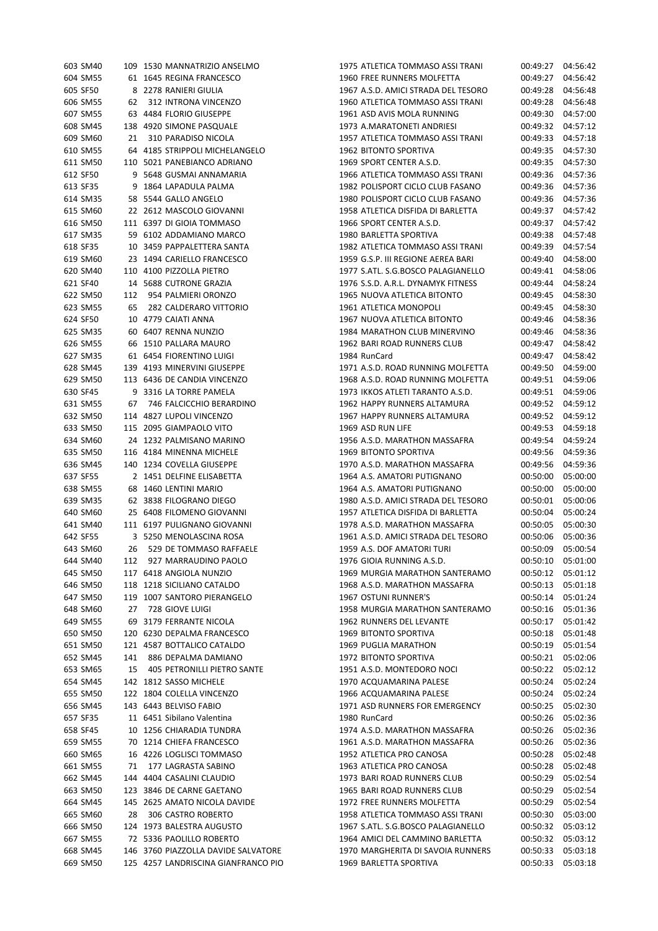| 603 SM40 |     | 109 1530 MANNATRIZIO ANSELMO        | 1975 ATLETICA TOMMASO ASSI TRANI    | 00:49:27 | 04:56:42 |
|----------|-----|-------------------------------------|-------------------------------------|----------|----------|
| 604 SM55 |     | 61 1645 REGINA FRANCESCO            | 1960 FREE RUNNERS MOLFETTA          | 00:49:27 | 04:56:42 |
| 605 SF50 |     | 8 2278 RANIERI GIULIA               | 1967 A.S.D. AMICI STRADA DEL TESORO | 00:49:28 | 04:56:48 |
| 606 SM55 |     | 62 312 INTRONA VINCENZO             | 1960 ATLETICA TOMMASO ASSI TRANI    | 00:49:28 | 04:56:48 |
| 607 SM55 |     | 63 4484 FLORIO GIUSEPPE             | 1961 ASD AVIS MOLA RUNNING          | 00:49:30 | 04:57:00 |
| 608 SM45 |     | 138 4920 SIMONE PASQUALE            | 1973 A.MARATONETI ANDRIESI          | 00:49:32 | 04:57:12 |
| 609 SM60 |     | 310 PARADISO NICOLA                 | 1957 ATLETICA TOMMASO ASSI TRANI    | 00:49:33 | 04:57:18 |
|          | 21  |                                     |                                     |          |          |
| 610 SM55 |     | 64 4185 STRIPPOLI MICHELANGELO      | 1962 BITONTO SPORTIVA               | 00:49:35 | 04:57:30 |
| 611 SM50 |     | 110 5021 PANEBIANCO ADRIANO         | 1969 SPORT CENTER A.S.D.            | 00:49:35 | 04:57:30 |
| 612 SF50 |     | 9 5648 GUSMAI ANNAMARIA             | 1966 ATLETICA TOMMASO ASSI TRANI    | 00:49:36 | 04:57:36 |
| 613 SF35 |     | 9 1864 LAPADULA PALMA               | 1982 POLISPORT CICLO CLUB FASANO    | 00:49:36 | 04:57:36 |
| 614 SM35 |     | 58 5544 GALLO ANGELO                | 1980 POLISPORT CICLO CLUB FASANO    | 00:49:36 | 04:57:36 |
| 615 SM60 |     | 22 2612 MASCOLO GIOVANNI            | 1958 ATLETICA DISFIDA DI BARLETTA   | 00:49:37 | 04:57:42 |
| 616 SM50 |     | 111 6397 DI GIOIA TOMMASO           | 1966 SPORT CENTER A.S.D.            | 00:49:37 | 04:57:42 |
| 617 SM35 |     | 59 6102 ADDAMIANO MARCO             | 1980 BARLETTA SPORTIVA              | 00:49:38 | 04:57:48 |
| 618 SF35 |     | 10 3459 PAPPALETTERA SANTA          | 1982 ATLETICA TOMMASO ASSI TRANI    | 00:49:39 | 04:57:54 |
| 619 SM60 |     | 23 1494 CARIELLO FRANCESCO          | 1959 G.S.P. III REGIONE AEREA BARI  | 00:49:40 | 04:58:00 |
| 620 SM40 |     | 110 4100 PIZZOLLA PIETRO            | 1977 S.ATL. S.G.BOSCO PALAGIANELLO  | 00:49:41 | 04:58:06 |
| 621 SF40 |     | 14 5688 CUTRONE GRAZIA              | 1976 S.S.D. A.R.L. DYNAMYK FITNESS  | 00:49:44 | 04:58:24 |
| 622 SM50 | 112 | 954 PALMIERI ORONZO                 | 1965 NUOVA ATLETICA BITONTO         | 00:49:45 | 04:58:30 |
| 623 SM55 | 65  | 282 CALDERARO VITTORIO              | 1961 ATLETICA MONOPOLI              | 00:49:45 | 04:58:30 |
|          |     |                                     |                                     |          |          |
| 624 SF50 |     | 10 4779 CAIATI ANNA                 | 1967 NUOVA ATLETICA BITONTO         | 00:49:46 | 04:58:36 |
| 625 SM35 |     | 60 6407 RENNA NUNZIO                | 1984 MARATHON CLUB MINERVINO        | 00:49:46 | 04:58:36 |
| 626 SM55 |     | 66 1510 PALLARA MAURO               | 1962 BARI ROAD RUNNERS CLUB         | 00:49:47 | 04:58:42 |
| 627 SM35 |     | 61 6454 FIORENTINO LUIGI            | 1984 RunCard                        | 00:49:47 | 04:58:42 |
| 628 SM45 |     | 139 4193 MINERVINI GIUSEPPE         | 1971 A.S.D. ROAD RUNNING MOLFETTA   | 00:49:50 | 04:59:00 |
| 629 SM50 |     | 113 6436 DE CANDIA VINCENZO         | 1968 A.S.D. ROAD RUNNING MOLFETTA   | 00:49:51 | 04:59:06 |
| 630 SF45 |     | 9 3316 LA TORRE PAMELA              | 1973 IKKOS ATLETI TARANTO A.S.D.    | 00:49:51 | 04:59:06 |
| 631 SM55 |     | 67 746 FALCICCHIO BERARDINO         | 1962 HAPPY RUNNERS ALTAMURA         | 00:49:52 | 04:59:12 |
| 632 SM50 |     | 114 4827 LUPOLI VINCENZO            | 1967 HAPPY RUNNERS ALTAMURA         | 00:49:52 | 04:59:12 |
| 633 SM50 |     | 115 2095 GIAMPAOLO VITO             | 1969 ASD RUN LIFE                   | 00:49:53 | 04:59:18 |
| 634 SM60 |     | 24 1232 PALMISANO MARINO            | 1956 A.S.D. MARATHON MASSAFRA       | 00:49:54 | 04:59:24 |
| 635 SM50 |     | 116 4184 MINENNA MICHELE            | 1969 BITONTO SPORTIVA               | 00:49:56 | 04:59:36 |
| 636 SM45 |     | 140 1234 COVELLA GIUSEPPE           | 1970 A.S.D. MARATHON MASSAFRA       | 00:49:56 | 04:59:36 |
| 637 SF55 |     | 2 1451 DELFINE ELISABETTA           | 1964 A.S. AMATORI PUTIGNANO         | 00:50:00 | 05:00:00 |
|          |     |                                     |                                     |          |          |
| 638 SM55 |     | 68 1460 LENTINI MARIO               | 1964 A.S. AMATORI PUTIGNANO         | 00:50:00 | 05:00:00 |
| 639 SM35 |     | 62 3838 FILOGRANO DIEGO             | 1980 A.S.D. AMICI STRADA DEL TESORO | 00:50:01 | 05:00:06 |
| 640 SM60 |     | 25 6408 FILOMENO GIOVANNI           | 1957 ATLETICA DISFIDA DI BARLETTA   | 00:50:04 | 05:00:24 |
| 641 SM40 |     | 111 6197 PULIGNANO GIOVANNI         | 1978 A.S.D. MARATHON MASSAFRA       | 00:50:05 | 05:00:30 |
| 642 SF55 |     | 3 5250 MENOLASCINA ROSA             | 1961 A.S.D. AMICI STRADA DEL TESORO | 00:50:06 | 05:00:36 |
| 643 SM60 |     | 26 529 DE TOMMASO RAFFAELE          | 1959 A.S. DOF AMATORI TURI          | 00:50:09 | 05:00:54 |
| 644 SM40 |     | 112 927 MARRAUDINO PAOLO            | 1976 GIOIA RUNNING A.S.D.           | 00:50:10 | 05:01:00 |
| 645 SM50 |     | 117 6418 ANGIOLA NUNZIO             | 1969 MURGIA MARATHON SANTERAMO      | 00:50:12 | 05:01:12 |
| 646 SM50 |     | 118 1218 SICILIANO CATALDO          | 1968 A.S.D. MARATHON MASSAFRA       | 00:50:13 | 05:01:18 |
| 647 SM50 |     | 119 1007 SANTORO PIERANGELO         | 1967 OSTUNI RUNNER'S                | 00:50:14 | 05:01:24 |
| 648 SM60 | 27  | 728 GIOVE LUIGI                     | 1958 MURGIA MARATHON SANTERAMO      | 00:50:16 | 05:01:36 |
| 649 SM55 |     | 69 3179 FERRANTE NICOLA             | 1962 RUNNERS DEL LEVANTE            | 00:50:17 | 05:01:42 |
| 650 SM50 |     | 120 6230 DEPALMA FRANCESCO          | 1969 BITONTO SPORTIVA               | 00:50:18 | 05:01:48 |
| 651 SM50 |     | 121 4587 BOTTALICO CATALDO          | 1969 PUGLIA MARATHON                | 00:50:19 | 05:01:54 |
| 652 SM45 | 141 | 886 DEPALMA DAMIANO                 | 1972 BITONTO SPORTIVA               | 00:50:21 | 05:02:06 |
| 653 SM65 | 15  | 405 PETRONILLI PIETRO SANTE         | 1951 A.S.D. MONTEDORO NOCI          | 00:50:22 | 05:02:12 |
|          |     | 142 1812 SASSO MICHELE              |                                     |          |          |
| 654 SM45 |     |                                     | 1970 ACQUAMARINA PALESE             | 00:50:24 | 05:02:24 |
| 655 SM50 |     | 122 1804 COLELLA VINCENZO           | 1966 ACQUAMARINA PALESE             | 00:50:24 | 05:02:24 |
| 656 SM45 |     | 143 6443 BELVISO FABIO              | 1971 ASD RUNNERS FOR EMERGENCY      | 00:50:25 | 05:02:30 |
| 657 SF35 |     | 11 6451 Sibilano Valentina          | 1980 RunCard                        | 00:50:26 | 05:02:36 |
| 658 SF45 |     | 10 1256 CHIARADIA TUNDRA            | 1974 A.S.D. MARATHON MASSAFRA       | 00:50:26 | 05:02:36 |
| 659 SM55 |     | 70 1214 CHIEFA FRANCESCO            | 1961 A.S.D. MARATHON MASSAFRA       | 00:50:26 | 05:02:36 |
| 660 SM65 |     | 16 4226 LOGLISCI TOMMASO            | 1952 ATLETICA PRO CANOSA            | 00:50:28 | 05:02:48 |
| 661 SM55 | 71  | 177 LAGRASTA SABINO                 | 1963 ATLETICA PRO CANOSA            | 00:50:28 | 05:02:48 |
| 662 SM45 |     | 144 4404 CASALINI CLAUDIO           | 1973 BARI ROAD RUNNERS CLUB         | 00:50:29 | 05:02:54 |
| 663 SM50 |     | 123 3846 DE CARNE GAETANO           | 1965 BARI ROAD RUNNERS CLUB         | 00:50:29 | 05:02:54 |
| 664 SM45 |     | 145 2625 AMATO NICOLA DAVIDE        | 1972 FREE RUNNERS MOLFETTA          | 00:50:29 | 05:02:54 |
| 665 SM60 | 28  | 306 CASTRO ROBERTO                  | 1958 ATLETICA TOMMASO ASSI TRANI    | 00:50:30 | 05:03:00 |
| 666 SM50 |     | 124 1973 BALESTRA AUGUSTO           | 1967 S.ATL. S.G.BOSCO PALAGIANELLO  | 00:50:32 | 05:03:12 |
| 667 SM55 |     | 72 5336 PAOLILLO ROBERTO            | 1964 AMICI DEL CAMMINO BARLETTA     | 00:50:32 | 05:03:12 |
| 668 SM45 |     | 146 3760 PIAZZOLLA DAVIDE SALVATORE |                                     | 00:50:33 | 05:03:18 |
|          |     |                                     | 1970 MARGHERITA DI SAVOIA RUNNERS   |          |          |
| 669 SM50 |     | 125 4257 LANDRISCINA GIANFRANCO PIO | 1969 BARLETTA SPORTIVA              | 00:50:33 | 05:03:18 |

| 603 SM40 |     | 109 1530 MANNATRIZIO ANSELMO        | 1975 ATLETICA TOMMASO ASSI TRANI    | 00:49:27 | 04:56:42              |
|----------|-----|-------------------------------------|-------------------------------------|----------|-----------------------|
| 604 SM55 |     | 61 1645 REGINA FRANCESCO            | 1960 FREE RUNNERS MOLFETTA          | 00:49:27 | 04:56:42              |
| 605 SF50 |     | 8 2278 RANIERI GIULIA               | 1967 A.S.D. AMICI STRADA DEL TESORO | 00:49:28 | 04:56:48              |
| 606 SM55 | 62  | 312 INTRONA VINCENZO                | 1960 ATLETICA TOMMASO ASSI TRANI    | 00:49:28 | 04:56:48              |
| 607 SM55 |     | 63 4484 FLORIO GIUSEPPE             | 1961 ASD AVIS MOLA RUNNING          | 00:49:30 | 04:57:00              |
| 608 SM45 |     | 138 4920 SIMONE PASQUALE            | 1973 A.MARATONETI ANDRIESI          | 00:49:32 | 04:57:12              |
| 609 SM60 | 21  | 310 PARADISO NICOLA                 | 1957 ATLETICA TOMMASO ASSI TRANI    | 00:49:33 | 04:57:18              |
| 610 SM55 |     | 64 4185 STRIPPOLI MICHELANGELO      | 1962 BITONTO SPORTIVA               | 00:49:35 | 04:57:30              |
| 611 SM50 |     | 110 5021 PANEBIANCO ADRIANO         | 1969 SPORT CENTER A.S.D.            | 00:49:35 | 04:57:30              |
| 612 SF50 |     | 9 5648 GUSMAI ANNAMARIA             | 1966 ATLETICA TOMMASO ASSI TRANI    | 00:49:36 | 04:57:36              |
| 613 SF35 |     | 9 1864 LAPADULA PALMA               | 1982 POLISPORT CICLO CLUB FASANO    | 00:49:36 | 04:57:36              |
| 614 SM35 |     | 58 5544 GALLO ANGELO                | 1980 POLISPORT CICLO CLUB FASANO    | 00:49:36 | 04:57:36              |
| 615 SM60 |     | 22 2612 MASCOLO GIOVANNI            | 1958 ATLETICA DISFIDA DI BARLETTA   | 00:49:37 | 04:57:42              |
|          |     | 111 6397 DI GIOIA TOMMASO           | 1966 SPORT CENTER A.S.D.            |          |                       |
| 616 SM50 |     |                                     | 1980 BARLETTA SPORTIVA              | 00:49:37 | 04:57:42<br>04:57:48  |
| 617 SM35 |     | 59 6102 ADDAMIANO MARCO             |                                     | 00:49:38 |                       |
| 618 SF35 |     | 10 3459 PAPPALETTERA SANTA          | 1982 ATLETICA TOMMASO ASSI TRANI    | 00:49:39 | 04:57:54              |
| 619 SM60 |     | 23 1494 CARIELLO FRANCESCO          | 1959 G.S.P. III REGIONE AEREA BARI  | 00:49:40 | 04:58:00              |
| 620 SM40 |     | 110 4100 PIZZOLLA PIETRO            | 1977 S.ATL. S.G.BOSCO PALAGIANELLO  | 00:49:41 | 04:58:06              |
| 621 SF40 |     | 14 5688 CUTRONE GRAZIA              | 1976 S.S.D. A.R.L. DYNAMYK FITNESS  | 00:49:44 | 04:58:24              |
| 622 SM50 | 112 | 954 PALMIERI ORONZO                 | 1965 NUOVA ATLETICA BITONTO         | 00:49:45 | 04:58:30              |
| 623 SM55 | 65  | 282 CALDERARO VITTORIO              | 1961 ATLETICA MONOPOLI              | 00:49:45 | 04:58:30              |
| 624 SF50 |     | 10 4779 CAIATI ANNA                 | 1967 NUOVA ATLETICA BITONTO         | 00:49:46 | 04:58:36              |
| 625 SM35 |     | 60 6407 RENNA NUNZIO                | 1984 MARATHON CLUB MINERVINO        | 00:49:46 | 04:58:36              |
| 626 SM55 |     | 66 1510 PALLARA MAURO               | 1962 BARI ROAD RUNNERS CLUB         | 00:49:47 | 04:58:42              |
| 627 SM35 |     | 61 6454 FIORENTINO LUIGI            | 1984 RunCard                        | 00:49:47 | 04:58:42              |
| 628 SM45 |     | 139 4193 MINERVINI GIUSEPPE         | 1971 A.S.D. ROAD RUNNING MOLFETTA   | 00:49:50 | 04:59:00              |
| 629 SM50 |     | 113 6436 DE CANDIA VINCENZO         | 1968 A.S.D. ROAD RUNNING MOLFETTA   | 00:49:51 | 04:59:06              |
| 630 SF45 |     | 9 3316 LA TORRE PAMELA              | 1973 IKKOS ATLETI TARANTO A.S.D.    | 00:49:51 | 04:59:06              |
| 631 SM55 | 67  | 746 FALCICCHIO BERARDINO            | 1962 HAPPY RUNNERS ALTAMURA         | 00:49:52 | 04:59:12              |
| 632 SM50 |     | 114 4827 LUPOLI VINCENZO            | 1967 HAPPY RUNNERS ALTAMURA         | 00:49:52 | 04:59:12              |
| 633 SM50 |     | 115 2095 GIAMPAOLO VITO             | 1969 ASD RUN LIFE                   | 00:49:53 | 04:59:18              |
| 634 SM60 |     | 24 1232 PALMISANO MARINO            | 1956 A.S.D. MARATHON MASSAFRA       | 00:49:54 | 04:59:24              |
| 635 SM50 |     | 116 4184 MINENNA MICHELE            | 1969 BITONTO SPORTIVA               | 00:49:56 | 04:59:36              |
| 636 SM45 |     | 140 1234 COVELLA GIUSEPPE           | 1970 A.S.D. MARATHON MASSAFRA       | 00:49:56 | 04:59:36              |
| 637 SF55 |     | 2 1451 DELFINE ELISABETTA           | 1964 A.S. AMATORI PUTIGNANO         | 00:50:00 | 05:00:00              |
| 638 SM55 |     | 68 1460 LENTINI MARIO               | 1964 A.S. AMATORI PUTIGNANO         | 00:50:00 | 05:00:00              |
| 639 SM35 |     | 62 3838 FILOGRANO DIEGO             | 1980 A.S.D. AMICI STRADA DEL TESORO | 00:50:01 | 05:00:06              |
| 640 SM60 |     | 25 6408 FILOMENO GIOVANNI           | 1957 ATLETICA DISFIDA DI BARLETTA   | 00:50:04 | 05:00:24              |
| 641 SM40 |     | 111 6197 PULIGNANO GIOVANNI         | 1978 A.S.D. MARATHON MASSAFRA       | 00:50:05 | 05:00:30              |
| 642 SF55 |     | 3 5250 MENOLASCINA ROSA             | 1961 A.S.D. AMICI STRADA DEL TESORO | 00:50:06 | 05:00:36              |
| 643 SM60 |     | 26 529 DE TOMMASO RAFFAELE          | 1959 A.S. DOF AMATORI TURI          | 00:50:09 | 05:00:54              |
| 644 SM40 | 112 | 927 MARRAUDINO PAOLO                | 1976 GIOIA RUNNING A.S.D.           | 00:50:10 | 05:01:00              |
| 645 SM50 |     | 117 6418 ANGIOLA NUNZIO             | 1969 MURGIA MARATHON SANTERAMO      | 00:50:12 | 05:01:12              |
| 646 SM50 |     | 118 1218 SICILIANO CATALDO          | 1968 A.S.D. MARATHON MASSAFRA       | 00:50:13 | 05:01:18              |
| 647 SM50 |     | 119 1007 SANTORO PIERANGELO         | 1967 OSTUNI RUNNER'S                | 00:50:14 | 05:01:24              |
| 648 SM60 | 27  | 728 GIOVE LUIGI                     | 1958 MURGIA MARATHON SANTERAMO      | 00:50:16 | 05:01:36              |
| 649 SM55 |     | 69 3179 FERRANTE NICOLA             | 1962 RUNNERS DEL LEVANTE            | 00:50:17 | 05:01:42              |
| 650 SM50 |     | 120 6230 DEPALMA FRANCESCO          | 1969 BITONTO SPORTIVA               | 00:50:18 | 05:01:48              |
| 651 SM50 |     | 121 4587 BOTTALICO CATALDO          | 1969 PUGLIA MARATHON                | 00:50:19 | 05:01:54              |
| 652 SM45 |     | 141 886 DEPALMA DAMIANO             | 1972 BITONTO SPORTIVA               | 00:50:21 | 05:02:06              |
| 653 SM65 | 15  | 405 PETRONILLI PIETRO SANTE         | 1951 A.S.D. MONTEDORO NOCI          | 00:50:22 | 05:02:12              |
| 654 SM45 |     | 142 1812 SASSO MICHELE              | 1970 ACQUAMARINA PALESE             | 00:50:24 | 05:02:24              |
| 655 SM50 |     | 122 1804 COLELLA VINCENZO           | 1966 ACQUAMARINA PALESE             | 00:50:24 | 05:02:24              |
| 656 SM45 |     | 143 6443 BELVISO FABIO              | 1971 ASD RUNNERS FOR EMERGENCY      | 00:50:25 | 05:02:30              |
| 657 SF35 |     | 11 6451 Sibilano Valentina          | 1980 RunCard                        | 00:50:26 | 05:02:36              |
| 658 SF45 |     | 10 1256 CHIARADIA TUNDRA            | 1974 A.S.D. MARATHON MASSAFRA       | 00:50:26 | 05:02:36              |
| 659 SM55 |     | 70 1214 CHIEFA FRANCESCO            | 1961 A.S.D. MARATHON MASSAFRA       | 00:50:26 | 05:02:36              |
| 660 SM65 |     | 16 4226 LOGLISCI TOMMASO            | 1952 ATLETICA PRO CANOSA            | 00:50:28 | 05:02:48              |
| 661 SM55 | 71  | 177 LAGRASTA SABINO                 | 1963 ATLETICA PRO CANOSA            | 00:50:28 | 05:02:48              |
| 662 SM45 |     | 144 4404 CASALINI CLAUDIO           | 1973 BARI ROAD RUNNERS CLUB         | 00:50:29 | 05:02:54              |
| 663 SM50 |     | 123 3846 DE CARNE GAETANO           | 1965 BARI ROAD RUNNERS CLUB         | 00:50:29 | 05:02:54              |
| 664 SM45 |     | 145 2625 AMATO NICOLA DAVIDE        | 1972 FREE RUNNERS MOLFETTA          | 00:50:29 | 05:02:54              |
| 665 SM60 | 28  | 306 CASTRO ROBERTO                  | 1958 ATLETICA TOMMASO ASSI TRANI    | 00:50:30 | 05:03:00              |
| 666 SM50 |     | 124 1973 BALESTRA AUGUSTO           | 1967 S.ATL. S.G.BOSCO PALAGIANELLO  | 00:50:32 | 05:03:12              |
| 667 SM55 |     | 72 5336 PAOLILLO ROBERTO            | 1964 AMICI DEL CAMMINO BARLETTA     | 00:50:32 | 05:03:12              |
| 668 SM45 |     | 146 3760 PIAZZOLLA DAVIDE SALVATORE | 1970 MARGHERITA DI SAVOIA RUNNERS   | 00:50:33 | 05:03:18              |
| 669 SM50 |     | 125 4257 LANDRISCINA GIANERANCO PIO | 1969 BARI FTTA SPORTIVA             |          | $00:50:33$ $05:03:18$ |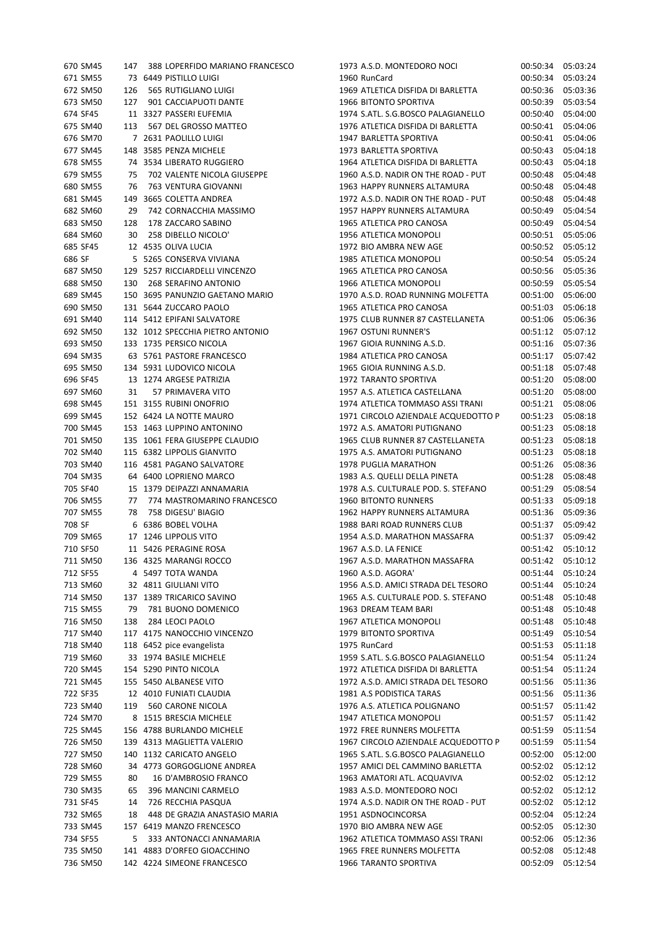|        | 670 SM45 | 147 | 388 LOPERFIDO MARIANO FRANCESCO  |
|--------|----------|-----|----------------------------------|
|        | 671 SM55 |     | 73   6449  PISTILLO LUIGI        |
|        | 672 SM50 |     | 126 565 RUTIGLIANO LUIGI         |
|        | 673 SM50 |     | 127 901 CACCIAPUOTI DANTE        |
|        | 674 SF45 | 11  | 3327 PASSERI EUFEMIA             |
|        | 675 SM40 |     | 113 567 DEL GROSSO MATTEO        |
|        | 676 SM70 |     | 7 2631 PAOLILLO LUIGI            |
|        | 677 SM45 |     | 148 3585 PENZA MICHELE           |
|        | 678 SM55 | 74  | 3534 LIBERATO RUGGIERO           |
|        | 679 SM55 |     | 75 702 VALENTE NICOLA GIUSEPPE   |
|        | 680 SM55 | 76  | 763 VENTURA GIOVANNI             |
|        | 681 SM45 |     | 149 3665 COLETTA ANDREA          |
|        | 682 SM60 |     | 29 742 CORNACCHIA MASSIMO        |
|        | 683 SM50 |     | 128 178 ZACCARO SABINO           |
|        | 684 SM60 |     | 30 258 DIBELLO NICOLO'           |
|        | 685 SF45 |     | 12 4535 OLIVA LUCIA              |
| 686 SF |          |     | 5 5265 CONSERVA VIVIANA          |
|        | 687 SM50 |     | 129 5257 RICCIARDELLI VINCENZO   |
|        | 688 SM50 |     | 130 268 SERAFINO ANTONIO         |
|        | 689 SM45 |     | 150 3695 PANUNZIO GAETANO MARIO  |
|        | 690 SM50 |     | 131 5644 ZUCCARO PAOLO           |
|        | 691 SM40 |     | 114 5412 EPIFANI SALVATORE       |
|        | 692 SM50 |     | 132 1012 SPECCHIA PIETRO ANTONIO |
|        | 693 SM50 |     | 133 1735 PERSICO NICOLA          |
|        | 694 SM35 |     | 63 5761 PASTORE FRANCESCO        |
|        | 695 SM50 |     | 134 5931 LUDOVICO NICOLA         |
|        | 696 SF45 |     | 13 1274 ARGESE PATRIZIA          |
|        | 697 SM60 | 31  | 57 PRIMAVERA VITO                |
|        | 698 SM45 |     | 151 3155 RUBINI ONOFRIO          |
|        | 699 SM45 |     | 152 6424 LA NOTTE MAURO          |
|        | 700 SM45 |     | 153 1463 LUPPINO ANTONINO        |
|        | 701 SM50 |     | 135 1061 FERA GIUSEPPE CLAUDIO   |
|        | 702 SM40 |     | 115 6382 LIPPOLIS GIANVITO       |
|        | 703 SM40 |     | 116 4581 PAGANO SALVATORE        |
|        | 704 SM35 |     | 64 6400 LOPRIENO MARCO           |
|        | 705 SF40 |     | 15 1379 DEIPAZZI ANNAMARIA       |
|        | 706 SM55 |     | 77 774 MASTROMARINO FRANCESCO    |
|        | 707 SM55 |     | 78 758 DIGESU' BIAGIO            |
| 708 SF |          |     | 6 6386 BOBEL VOLHA               |
|        | 709 SM65 |     | 17 1246 LIPPOLIS VITO            |
|        | 710 SF50 |     | 11 5426 PERAGINE ROSA            |
|        | 711 SM50 |     | 136   4325 MARANGI ROCCO         |
|        | 712 SF55 |     | 4 5497 TOTA WANDA                |
|        | 713 SM60 |     | 32 4811 GIULIANI VITO            |
|        | 714 SM50 | 137 | 1389 TRICARICO SAVINO            |
|        | 715 SM55 |     | 79 781 BUONO DOMENICO            |
|        | 716 SM50 |     | 138 284 LEOCI PAOLO              |
|        | 717 SM40 |     | 117 4175 NANOCCHIO VINCENZO      |
|        | 718 SM40 |     | 118 6452 pice evangelista        |
|        | 719 SM60 |     | 33 1974 BASILE MICHELE           |
|        | 720 SM45 |     | 154 5290 PINTO NICOLA            |
|        | 721 SM45 |     | 155 5450 ALBANESE VITO           |
|        | 722 SF35 |     | 12 4010 FUNIATI CLAUDIA          |
|        | 723 SM40 |     | 119 560 CARONE NICOLA            |
|        | 724 SM70 |     | 8 1515 BRESCIA MICHELE           |
|        | 725 SM45 |     | 156 4788 BURLANDO MICHELE        |
|        | 726 SM50 |     | 139 4313 MAGLIETTA VALERIO       |
|        | 727 SM50 |     | 140 1132 CARICATO ANGELO         |
|        | 728 SM60 | 34  | 4773 GORGOGLIONE ANDREA          |
|        | 729 SM55 | 80  | <b>16 D'AMBROSIO FRANCO</b>      |
|        | 730 SM35 | 65  | 396 MANCINI CARMELO              |
|        | 731 SF45 | 14  | 726 RECCHIA PASQUA               |
|        | 732 SM65 | 18  | 448 DE GRAZIA ANASTASIO MARIA    |
|        | 733 SM45 |     | 157 6419 MANZO FRENCESCO         |
|        | 734 SF55 | 5.  | 333 ANTONACCI ANNAMARIA          |
|        | 735 SM50 |     | 141 4883 D'ORFEO GIOACCHINO      |
|        | 736 SM50 |     | 142 4224 SIMEONE FRANCESCO       |

| 670 SM45 |     | 147 388 LOPERFIDO MARIANO FRANCESCO | 1973 A.S.D. MONTEDORO NOCI          | 00:50:34 | 05:03:24 |
|----------|-----|-------------------------------------|-------------------------------------|----------|----------|
| 671 SM55 |     | 73 6449 PISTILLO LUIGI              | 1960 RunCard                        | 00:50:34 | 05:03:24 |
| 672 SM50 | 126 | 565 RUTIGLIANO LUIGI                | 1969 ATLETICA DISFIDA DI BARLETTA   | 00:50:36 | 05:03:36 |
| 673 SM50 | 127 | 901 CACCIAPUOTI DANTE               | 1966 BITONTO SPORTIVA               | 00:50:39 | 05:03:54 |
| 674 SF45 |     | 11 3327 PASSERI EUFEMIA             | 1974 S.ATL. S.G.BOSCO PALAGIANELLO  | 00:50:40 | 05:04:00 |
| 675 SM40 | 113 | 567 DEL GROSSO MATTEO               | 1976 ATLETICA DISFIDA DI BARLETTA   | 00:50:41 | 05:04:06 |
| 676 SM70 |     | 7 2631 PAOLILLO LUIGI               | 1947 BARLETTA SPORTIVA              | 00:50:41 | 05:04:06 |
|          |     |                                     |                                     |          |          |
| 677 SM45 |     | 148 3585 PENZA MICHELE              | 1973 BARLETTA SPORTIVA              | 00:50:43 | 05:04:18 |
| 678 SM55 |     | 74 3534 LIBERATO RUGGIERO           | 1964 ATLETICA DISFIDA DI BARLETTA   | 00:50:43 | 05:04:18 |
| 679 SM55 | 75  | 702 VALENTE NICOLA GIUSEPPE         | 1960 A.S.D. NADIR ON THE ROAD - PUT | 00:50:48 | 05:04:48 |
| 680 SM55 | 76  | 763 VENTURA GIOVANNI                | 1963 HAPPY RUNNERS ALTAMURA         | 00:50:48 | 05:04:48 |
| 681 SM45 |     | 149 3665 COLETTA ANDREA             | 1972 A.S.D. NADIR ON THE ROAD - PUT | 00:50:48 | 05:04:48 |
| 682 SM60 | 29  | 742 CORNACCHIA MASSIMO              | 1957 HAPPY RUNNERS ALTAMURA         | 00:50:49 | 05:04:54 |
| 683 SM50 | 128 | 178 ZACCARO SABINO                  | 1965 ATLETICA PRO CANOSA            | 00:50:49 | 05:04:54 |
| 684 SM60 | 30  | 258 DIBELLO NICOLO'                 | 1956 ATLETICA MONOPOLI              | 00:50:51 | 05:05:06 |
| 685 SF45 |     | 12 4535 OLIVA LUCIA                 | 1972 BIO AMBRA NEW AGE              | 00:50:52 | 05:05:12 |
| 686 SF   |     | 5 5265 CONSERVA VIVIANA             | 1985 ATLETICA MONOPOLI              | 00:50:54 | 05:05:24 |
| 687 SM50 |     | 129 5257 RICCIARDELLI VINCENZO      | 1965 ATLETICA PRO CANOSA            | 00:50:56 | 05:05:36 |
| 688 SM50 |     | 130 268 SERAFINO ANTONIO            | 1966 ATLETICA MONOPOLI              | 00:50:59 | 05:05:54 |
| 689 SM45 |     | 150 3695 PANUNZIO GAETANO MARIO     | 1970 A.S.D. ROAD RUNNING MOLFETTA   | 00:51:00 | 05:06:00 |
| 690 SM50 |     | 131 5644 ZUCCARO PAOLO              | 1965 ATLETICA PRO CANOSA            | 00:51:03 | 05:06:18 |
| 691 SM40 |     | 114 5412 EPIFANI SALVATORE          | 1975 CLUB RUNNER 87 CASTELLANETA    | 00:51:06 | 05:06:36 |
|          |     |                                     |                                     |          |          |
| 692 SM50 |     | 132 1012 SPECCHIA PIETRO ANTONIO    | 1967 OSTUNI RUNNER'S                | 00:51:12 | 05:07:12 |
| 693 SM50 |     | 133 1735 PERSICO NICOLA             | 1967 GIOIA RUNNING A.S.D.           | 00:51:16 | 05:07:36 |
| 694 SM35 |     | 63 5761 PASTORE FRANCESCO           | 1984 ATLETICA PRO CANOSA            | 00:51:17 | 05:07:42 |
| 695 SM50 |     | 134 5931 LUDOVICO NICOLA            | 1965 GIOIA RUNNING A.S.D.           | 00:51:18 | 05:07:48 |
| 696 SF45 |     | 13 1274 ARGESE PATRIZIA             | 1972 TARANTO SPORTIVA               | 00:51:20 | 05:08:00 |
| 697 SM60 | 31  | 57 PRIMAVERA VITO                   | 1957 A.S. ATLETICA CASTELLANA       | 00:51:20 | 05:08:00 |
| 698 SM45 |     | 151 3155 RUBINI ONOFRIO             | 1974 ATLETICA TOMMASO ASSI TRANI    | 00:51:21 | 05:08:06 |
| 699 SM45 |     | 152 6424 LA NOTTE MAURO             | 1971 CIRCOLO AZIENDALE ACQUEDOTTO P | 00:51:23 | 05:08:18 |
| 700 SM45 |     | 153 1463 LUPPINO ANTONINO           | 1972 A.S. AMATORI PUTIGNANO         | 00:51:23 | 05:08:18 |
| 701 SM50 |     | 135 1061 FERA GIUSEPPE CLAUDIO      | 1965 CLUB RUNNER 87 CASTELLANETA    | 00:51:23 | 05:08:18 |
| 702 SM40 |     | 115 6382 LIPPOLIS GIANVITO          | 1975 A.S. AMATORI PUTIGNANO         | 00:51:23 | 05:08:18 |
| 703 SM40 |     | 116 4581 PAGANO SALVATORE           | 1978 PUGLIA MARATHON                | 00:51:26 | 05:08:36 |
| 704 SM35 |     | 64 6400 LOPRIENO MARCO              | 1983 A.S. QUELLI DELLA PINETA       | 00:51:28 | 05:08:48 |
| 705 SF40 |     | 15 1379 DEIPAZZI ANNAMARIA          | 1978 A.S. CULTURALE POD. S. STEFANO | 00:51:29 | 05:08:54 |
| 706 SM55 |     | 77 774 MASTROMARINO FRANCESCO       | <b>1960 BITONTO RUNNERS</b>         | 00:51:33 | 05:09:18 |
| 707 SM55 | 78  | 758 DIGESU' BIAGIO                  | 1962 HAPPY RUNNERS ALTAMURA         | 00:51:36 | 05:09:36 |
| 708 SF   |     | 6 6386 BOBEL VOLHA                  | 1988 BARI ROAD RUNNERS CLUB         | 00:51:37 | 05:09:42 |
| 709 SM65 |     |                                     | 1954 A.S.D. MARATHON MASSAFRA       |          |          |
|          |     | 17 1246 LIPPOLIS VITO               |                                     | 00:51:37 | 05:09:42 |
| 710 SF50 |     | 11 5426 PERAGINE ROSA               | 1967 A.S.D. LA FENICE               | 00:51:42 | 05:10:12 |
| 711 SM50 |     | 136 4325 MARANGI ROCCO              | 1967 A.S.D. MARATHON MASSAFRA       | 00:51:42 | 05:10:12 |
| 712 SF55 |     | 4 5497 TOTA WANDA                   | 1960 A.S.D. AGORA'                  | 00:51:44 | 05:10:24 |
| 713 SM60 |     | 32 4811 GIULIANI VITO               | 1956 A.S.D. AMICI STRADA DEL TESORO | 00:51:44 | 05:10:24 |
| 714 SM50 |     | 137 1389 TRICARICO SAVINO           | 1965 A.S. CULTURALE POD. S. STEFANO | 00:51:48 | 05:10:48 |
| 715 SM55 | 79  | 781 BUONO DOMENICO                  | 1963 DREAM TEAM BARI                | 00:51:48 | 05:10:48 |
| 716 SM50 | 138 | 284 LEOCI PAOLO                     | 1967 ATLETICA MONOPOLI              | 00:51:48 | 05:10:48 |
| 717 SM40 |     | 117 4175 NANOCCHIO VINCENZO         | 1979 BITONTO SPORTIVA               | 00:51:49 | 05:10:54 |
| 718 SM40 |     | 118 6452 pice evangelista           | 1975 RunCard                        | 00:51:53 | 05:11:18 |
| 719 SM60 |     | 33 1974 BASILE MICHELE              | 1959 S.ATL. S.G.BOSCO PALAGIANELLO  | 00:51:54 | 05:11:24 |
| 720 SM45 |     | 154 5290 PINTO NICOLA               | 1972 ATLETICA DISFIDA DI BARLETTA   | 00:51:54 | 05:11:24 |
| 721 SM45 |     | 155 5450 ALBANESE VITO              | 1972 A.S.D. AMICI STRADA DEL TESORO | 00:51:56 | 05:11:36 |
| 722 SF35 |     | 12 4010 FUNIATI CLAUDIA             | 1981 A.S PODISTICA TARAS            | 00:51:56 | 05:11:36 |
| 723 SM40 | 119 | 560 CARONE NICOLA                   | 1976 A.S. ATLETICA POLIGNANO        | 00:51:57 | 05:11:42 |
| 724 SM70 |     | 8 1515 BRESCIA MICHELE              | 1947 ATLETICA MONOPOLI              | 00:51:57 | 05:11:42 |
|          |     |                                     |                                     |          |          |
| 725 SM45 |     | 156 4788 BURLANDO MICHELE           | 1972 FREE RUNNERS MOLFETTA          | 00:51:59 | 05:11:54 |
| 726 SM50 |     | 139 4313 MAGLIETTA VALERIO          | 1967 CIRCOLO AZIENDALE ACQUEDOTTO P | 00:51:59 | 05:11:54 |
| 727 SM50 |     | 140 1132 CARICATO ANGELO            | 1965 S.ATL. S.G.BOSCO PALAGIANELLO  | 00:52:00 | 05:12:00 |
| 728 SM60 |     | 34 4773 GORGOGLIONE ANDREA          | 1957 AMICI DEL CAMMINO BARLETTA     | 00:52:02 | 05:12:12 |
| 729 SM55 | 80  | 16 D'AMBROSIO FRANCO                | 1963 AMATORI ATL. ACQUAVIVA         | 00:52:02 | 05:12:12 |
| 730 SM35 | 65  | 396 MANCINI CARMELO                 | 1983 A.S.D. MONTEDORO NOCI          | 00:52:02 | 05:12:12 |
| 731 SF45 | 14  | 726 RECCHIA PASQUA                  | 1974 A.S.D. NADIR ON THE ROAD - PUT | 00:52:02 | 05:12:12 |
| 732 SM65 | 18  | 448 DE GRAZIA ANASTASIO MARIA       | 1951 ASDNOCINCORSA                  | 00:52:04 | 05:12:24 |
| 733 SM45 |     | 157 6419 MANZO FRENCESCO            | 1970 BIO AMBRA NEW AGE              | 00:52:05 | 05:12:30 |
| 734 SF55 | 5   | 333 ANTONACCI ANNAMARIA             | 1962 ATLETICA TOMMASO ASSI TRANI    | 00:52:06 | 05:12:36 |
| 735 SM50 |     | 141 4883 D'ORFEO GIOACCHINO         | 1965 FREE RUNNERS MOLFETTA          | 00:52:08 | 05:12:48 |
| 736 SM50 |     | 142 4224 SIMEONE FRANCESCO          | 1966 TARANTO SPORTIVA               | 00:52:09 | 05:12:54 |
|          |     |                                     |                                     |          |          |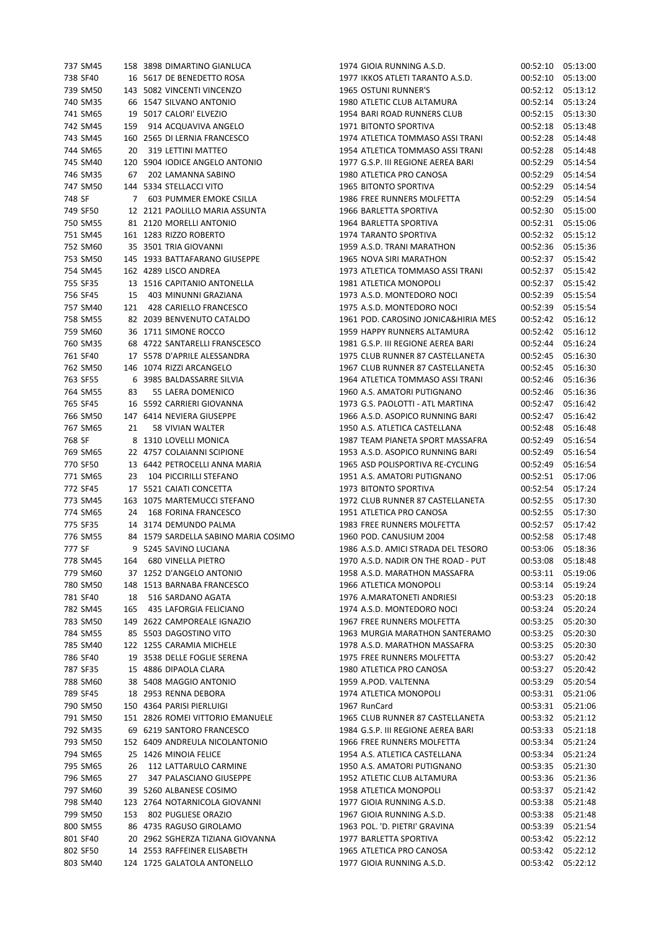| 737 SM45 |     | 158 3898 DIMARTINO GIANLUCA          | 1974 GIOIA RUNNING A.S.D.           |          | 00:52:10 05:13:00 |
|----------|-----|--------------------------------------|-------------------------------------|----------|-------------------|
| 738 SF40 |     | 16 5617 DE BENEDETTO ROSA            | 1977 IKKOS ATLETI TARANTO A.S.D.    | 00:52:10 | 05:13:00          |
| 739 SM50 |     | 143 5082 VINCENTI VINCENZO           | 1965 OSTUNI RUNNER'S                | 00:52:12 | 05:13:12          |
| 740 SM35 |     | 66 1547 SILVANO ANTONIO              | 1980 ATLETIC CLUB ALTAMURA          | 00:52:14 | 05:13:24          |
| 741 SM65 |     | 19 5017 CALORI' ELVEZIO              | 1954 BARI ROAD RUNNERS CLUB         | 00:52:15 | 05:13:30          |
| 742 SM45 |     | 159 914 ACQUAVIVA ANGELO             | 1971 BITONTO SPORTIVA               | 00:52:18 | 05:13:48          |
| 743 SM45 |     | 160 2565 DI LERNIA FRANCESCO         | 1974 ATLETICA TOMMASO ASSI TRANI    | 00:52:28 | 05:14:48          |
| 744 SM65 | 20  | 319 LETTINI MATTEO                   | 1954 ATLETICA TOMMASO ASSI TRANI    | 00:52:28 | 05:14:48          |
| 745 SM40 |     | 120 5904 IODICE ANGELO ANTONIO       | 1977 G.S.P. III REGIONE AEREA BARI  | 00:52:29 | 05:14:54          |
| 746 SM35 | 67  | 202 LAMANNA SABINO                   | 1980 ATLETICA PRO CANOSA            | 00:52:29 | 05:14:54          |
| 747 SM50 |     | 144 5334 STELLACCI VITO              | 1965 BITONTO SPORTIVA               | 00:52:29 | 05:14:54          |
| 748 SF   |     | 7 603 PUMMER EMOKE CSILLA            | 1986 FREE RUNNERS MOLFETTA          | 00:52:29 | 05:14:54          |
| 749 SF50 |     | 12 2121 PAOLILLO MARIA ASSUNTA       | 1966 BARLETTA SPORTIVA              | 00:52:30 | 05:15:00          |
| 750 SM55 |     | 81 2120 MORELLI ANTONIO              | 1964 BARLETTA SPORTIVA              | 00:52:31 | 05:15:06          |
| 751 SM45 |     | 161 1283 RIZZO ROBERTO               | 1974 TARANTO SPORTIVA               | 00:52:32 | 05:15:12          |
| 752 SM60 |     | 35 3501 TRIA GIOVANNI                | 1959 A.S.D. TRANI MARATHON          | 00:52:36 | 05:15:36          |
| 753 SM50 |     | 145 1933 BATTAFARANO GIUSEPPE        | 1965 NOVA SIRI MARATHON             | 00:52:37 | 05:15:42          |
| 754 SM45 |     | 162 4289 LISCO ANDREA                | 1973 ATLETICA TOMMASO ASSI TRANI    | 00:52:37 | 05:15:42          |
| 755 SF35 |     | 13 1516 CAPITANIO ANTONELLA          | 1981 ATLETICA MONOPOLI              | 00:52:37 | 05:15:42          |
| 756 SF45 |     | 15 403 MINUNNI GRAZIANA              | 1973 A.S.D. MONTEDORO NOCI          | 00:52:39 | 05:15:54          |
| 757 SM40 | 121 | 428 CARIELLO FRANCESCO               | 1975 A.S.D. MONTEDORO NOCI          | 00:52:39 | 05:15:54          |
| 758 SM55 |     | 82 2039 BENVENUTO CATALDO            | 1961 POD. CAROSINO JONICA&HIRIA MES | 00:52:42 | 05:16:12          |
| 759 SM60 |     | 36 1711 SIMONE ROCCO                 | 1959 HAPPY RUNNERS ALTAMURA         | 00:52:42 | 05:16:12          |
| 760 SM35 |     | 68 4722 SANTARELLI FRANSCESCO        | 1981 G.S.P. III REGIONE AEREA BARI  | 00:52:44 | 05:16:24          |
|          |     | 17 5578 D'APRILE ALESSANDRA          | 1975 CLUB RUNNER 87 CASTELLANETA    |          |                   |
| 761 SF40 |     |                                      |                                     | 00:52:45 | 05:16:30          |
| 762 SM50 |     | 146 1074 RIZZI ARCANGELO             | 1967 CLUB RUNNER 87 CASTELLANETA    | 00:52:45 | 05:16:30          |
| 763 SF55 |     | 6 3985 BALDASSARRE SILVIA            | 1964 ATLETICA TOMMASO ASSI TRANI    | 00:52:46 | 05:16:36          |
| 764 SM55 | 83  | 55 LAERA DOMENICO                    | 1960 A.S. AMATORI PUTIGNANO         | 00:52:46 | 05:16:36          |
| 765 SF45 |     | 16 5592 CARRIERI GIOVANNA            | 1973 G.S. PAOLOTTI - ATL MARTINA    | 00:52:47 | 05:16:42          |
| 766 SM50 |     | 147 6414 NEVIERA GIUSEPPE            | 1966 A.S.D. ASOPICO RUNNING BARI    | 00:52:47 | 05:16:42          |
| 767 SM65 | 21  | 58 VIVIAN WALTER                     | 1950 A.S. ATLETICA CASTELLANA       | 00:52:48 | 05:16:48          |
| 768 SF   |     | 8 1310 LOVELLI MONICA                | 1987 TEAM PIANETA SPORT MASSAFRA    | 00:52:49 | 05:16:54          |
| 769 SM65 |     | 22 4757 COLAIANNI SCIPIONE           | 1953 A.S.D. ASOPICO RUNNING BARI    | 00:52:49 | 05:16:54          |
| 770 SF50 |     | 13 6442 PETROCELLI ANNA MARIA        | 1965 ASD POLISPORTIVA RE-CYCLING    | 00:52:49 | 05:16:54          |
| 771 SM65 | 23  | 104 PICCIRILLI STEFANO               | 1951 A.S. AMATORI PUTIGNANO         | 00:52:51 | 05:17:06          |
| 772 SF45 |     | 17 5521 CAIATI CONCETTA              | 1973 BITONTO SPORTIVA               | 00:52:54 | 05:17:24          |
| 773 SM45 |     | 163 1075 MARTEMUCCI STEFANO          | 1972 CLUB RUNNER 87 CASTELLANETA    | 00:52:55 | 05:17:30          |
| 774 SM65 | 24  | 168 FORINA FRANCESCO                 | 1951 ATLETICA PRO CANOSA            | 00:52:55 | 05:17:30          |
| 775 SF35 |     | 14 3174 DEMUNDO PALMA                | 1983 FREE RUNNERS MOLFETTA          | 00:52:57 | 05:17:42          |
| 776 SM55 |     | 84 1579 SARDELLA SABINO MARIA COSIMO | 1960 POD. CANUSIUM 2004             | 00:52:58 | 05:17:48          |
| 777 SF   |     | 9 5245 SAVINO LUCIANA                | 1986 A.S.D. AMICI STRADA DEL TESORO | 00:53:06 | 05:18:36          |
| 778 SM45 | 164 | <b>680 VINELLA PIETRO</b>            | 1970 A.S.D. NADIR ON THE ROAD - PUT | 00:53:08 | 05:18:48          |
| 779 SM60 |     | 37 1252 D'ANGELO ANTONIO             | 1958 A.S.D. MARATHON MASSAFRA       | 00:53:11 | 05:19:06          |
| 780 SM50 |     | 148 1513 BARNABA FRANCESCO           | 1966 ATLETICA MONOPOLI              | 00:53:14 | 05:19:24          |
| 781 SF40 | 18  | 516 SARDANO AGATA                    | 1976 A.MARATONETI ANDRIESI          | 00:53:23 | 05:20:18          |
| 782 SM45 | 165 | 435 LAFORGIA FELICIANO               | 1974 A.S.D. MONTEDORO NOCI          | 00:53:24 | 05:20:24          |
| 783 SM50 |     | 149 2622 CAMPOREALE IGNAZIO          | 1967 FREE RUNNERS MOLFETTA          | 00:53:25 | 05:20:30          |
| 784 SM55 |     | 85 5503 DAGOSTINO VITO               | 1963 MURGIA MARATHON SANTERAMO      | 00:53:25 | 05:20:30          |
| 785 SM40 |     | 122 1255 CARAMIA MICHELE             | 1978 A.S.D. MARATHON MASSAFRA       | 00:53:25 | 05:20:30          |
| 786 SF40 |     | 19 3538 DELLE FOGLIE SERENA          | 1975 FREE RUNNERS MOLFETTA          | 00:53:27 | 05:20:42          |
| 787 SF35 |     | 15 4886 DIPAOLA CLARA                | 1980 ATLETICA PRO CANOSA            | 00:53:27 | 05:20:42          |
|          |     | 38 5408 MAGGIO ANTONIO               |                                     |          |                   |
| 788 SM60 |     |                                      | 1959 A.POD. VALTENNA                | 00:53:29 | 05:20:54          |
| 789 SF45 |     | 18 2953 RENNA DEBORA                 | 1974 ATLETICA MONOPOLI              | 00:53:31 | 05:21:06          |
| 790 SM50 |     | 150 4364 PARISI PIERLUIGI            | 1967 RunCard                        | 00:53:31 | 05:21:06          |
| 791 SM50 |     | 151 2826 ROMEI VITTORIO EMANUELE     | 1965 CLUB RUNNER 87 CASTELLANETA    | 00:53:32 | 05:21:12          |
| 792 SM35 |     | 69 6219 SANTORO FRANCESCO            | 1984 G.S.P. III REGIONE AEREA BARI  | 00:53:33 | 05:21:18          |
| 793 SM50 |     | 152 6409 ANDREULA NICOLANTONIO       | 1966 FREE RUNNERS MOLFETTA          | 00:53:34 | 05:21:24          |
| 794 SM65 |     | 25 1426 MINOIA FELICE                | 1954 A.S. ATLETICA CASTELLANA       | 00:53:34 | 05:21:24          |
| 795 SM65 | 26  | 112 LATTARULO CARMINE                | 1950 A.S. AMATORI PUTIGNANO         | 00:53:35 | 05:21:30          |
| 796 SM65 | 27  | 347 PALASCIANO GIUSEPPE              | 1952 ATLETIC CLUB ALTAMURA          | 00:53:36 | 05:21:36          |
| 797 SM60 |     | 39 5260 ALBANESE COSIMO              | 1958 ATLETICA MONOPOLI              | 00:53:37 | 05:21:42          |
| 798 SM40 |     | 123 2764 NOTARNICOLA GIOVANNI        | 1977 GIOIA RUNNING A.S.D.           | 00:53:38 | 05:21:48          |
| 799 SM50 | 153 | 802 PUGLIESE ORAZIO                  | 1967 GIOIA RUNNING A.S.D.           | 00:53:38 | 05:21:48          |
| 800 SM55 |     | 86 4735 RAGUSO GIROLAMO              | 1963 POL. 'D. PIETRI' GRAVINA       | 00:53:39 | 05:21:54          |
| 801 SF40 |     | 20 2962 SGHERZA TIZIANA GIOVANNA     | 1977 BARLETTA SPORTIVA              | 00:53:42 | 05:22:12          |
| 802 SF50 |     | 14 2553 RAFFEINER ELISABETH          | 1965 ATLETICA PRO CANOSA            | 00:53:42 | 05:22:12          |
| 803 SM40 |     | 124 1725 GALATOLA ANTONELLO          | 1977 GIOIA RUNNING A.S.D.           | 00:53:42 | 05:22:12          |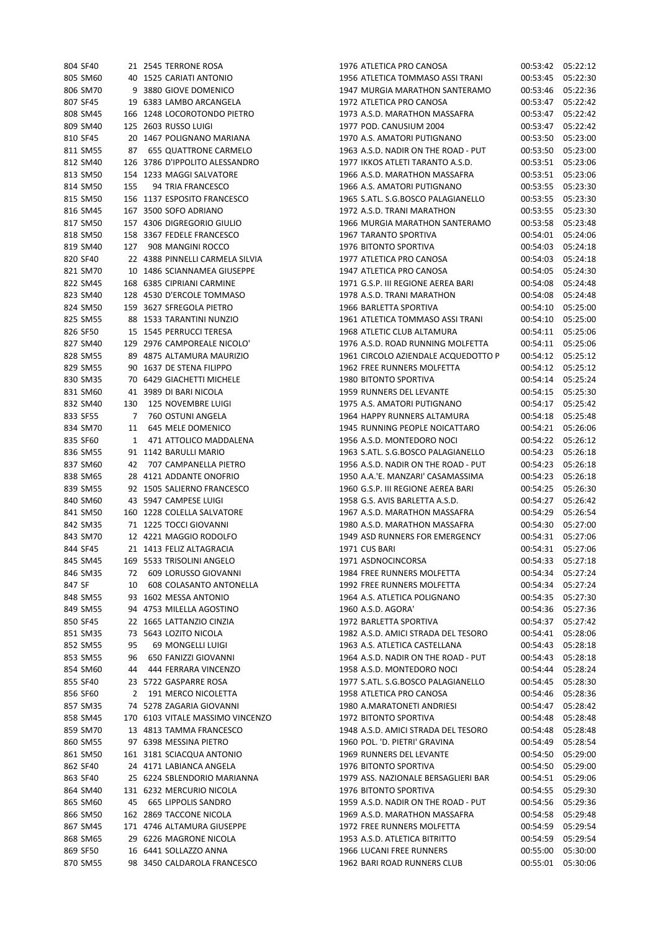| 804 SF40 |                 | 21 2545 TERRONE ROSA                 |
|----------|-----------------|--------------------------------------|
| 805 SM60 |                 | 40 1525 CARIATI ANTONIO              |
| 806 SM70 |                 | 9 3880 GIOVE DOMENICO                |
| 807 SF45 |                 | 19 6383 LAMBO ARCANGELA              |
| 808 SM45 |                 | 166 1248 LOCOROTONDO PIETRO          |
| 809 SM40 |                 | 125 2603 RUSSO LUIGI                 |
| 810 SF45 |                 | 20 1467 POLIGNANO MARIANA            |
| 811 SM55 |                 | 87 655 QUATTRONE CARMELO             |
| 812 SM40 |                 | 126 3786 D'IPPOLITO ALESSANDRO       |
| 813 SM50 |                 | 154 1233 MAGGI SALVATORE             |
| 814 SM50 | 155             | 94 TRIA FRANCESCO                    |
| 815 SM50 |                 | 156 1137 ESPOSITO FRANCESCO          |
|          |                 |                                      |
| 816 SM45 |                 | 167 3500 SOFO ADRIANO                |
| 817 SM50 |                 | 157 4306 DIGREGORIO GIULIO           |
| 818 SM50 |                 | 158 3367 FEDELE FRANCESCO            |
| 819 SM40 |                 | 127 908 MANGINI ROCCO                |
| 820 SF40 |                 | 22 4388 PINNELLI CARMELA SILVIA      |
| 821 SM70 |                 | 10 1486 SCIANNAMEA GIUSEPPE          |
|          |                 | 822 SM45 168 6385 CIPRIANI CARMINE   |
| 823 SM40 |                 | 128 4530 D'ERCOLE TOMMASO            |
| 824 SM50 |                 | 159 3627 SFREGOLA PIETRO             |
| 825 SM55 |                 | 88 1533 TARANTINI NUNZIO             |
| 826 SF50 |                 | 15 1545 PERRUCCI TERESA              |
|          |                 | 827 SM40 129 2976 CAMPOREALE NICOLO' |
| 828 SM55 |                 | 89 4875 ALTAMURA MAURIZIO            |
| 829 SM55 |                 | 90 1637 DE STENA FILIPPO             |
| 830 SM35 |                 | 70 6429 GIACHETTI MICHELE            |
| 831 SM60 |                 | 41 3989 DI BARI NICOLA               |
|          |                 | 832 SM40 130 125 NOVEMBRE LUIGI      |
| 833 SF55 | $7\overline{ }$ | 760 OSTUNI ANGELA                    |
| 834 SM70 | 11              | 645 MELE DOMENICO                    |
| 835 SF60 | $\overline{1}$  | 471 ATTOLICO MADDALENA               |
| 836 SM55 | 91              | 1142 BARULLI MARIO                   |
|          |                 |                                      |
| 837 SM60 | 42              | 707 CAMPANELLA PIETRO                |
| 838 SM65 |                 | 28 4121 ADDANTE ONOFRIO              |
| 839 SM55 |                 | 92 1505 SALIERNO FRANCESCO           |
| 840 SM60 |                 | 43 5947 CAMPESE LUIGI                |
| 841 SM50 |                 | 160 1228 COLELLA SALVATORE           |
| 842 SM35 |                 | 71 1225 TOCCI GIOVANNI               |
|          |                 | 843 SM70 12 4221 MAGGIO RODOLFO      |
| 844 SF45 |                 | 21 1413 FELIZ ALTAGRACIA             |
| 845 SM45 |                 | 169 5533 TRISOLINI ANGELO            |
| 846 SM35 | 72              | 609 LORUSSO GIOVANNI                 |
| 847 SF   |                 | 10 608 COLASANTO ANTONELLA           |
| 848 SM55 |                 | 93 1602 MESSA ANTONIO                |
| 849 SM55 |                 | 94 4753 MILELLA AGOSTINO             |
| 850 SF45 |                 | 22 1665 LATTANZIO CINZIA             |
| 851 SM35 |                 | 73 5643 LOZITO NICOLA                |
| 852 SM55 | 95              | 69 MONGELLI LUIGI                    |
| 853 SM55 | 96              | 650 FANIZZI GIOVANNI                 |
| 854 SM60 |                 | 44 444 FERRARA VINCENZO              |
| 855 SF40 | 23              | 5722 GASPARRE ROSA                   |
| 856 SF60 | $\mathbf{2}$    | 191 MERCO NICOLETTA                  |
| 857 SM35 | 74              | 5278 ZAGARIA GIOVANNI                |
| 858 SM45 |                 | 170 6103 VITALE MASSIMO VINCENZO     |
| 859 SM70 |                 | 13 4813 TAMMA FRANCESCO              |
| 860 SM55 |                 | 97 6398 MESSINA PIETRO               |
| 861 SM50 |                 | 161 3181 SCIACQUA ANTONIO            |
| 862 SF40 |                 | 24 4171 LABIANCA ANGELA              |
| 863 SF40 |                 | 25 6224 SBLENDORIO MARIANNA          |
| 864 SM40 |                 | 131 6232 MERCURIO NICOLA             |
| 865 SM60 |                 | 45 665 LIPPOLIS SANDRO               |
| 866 SM50 |                 | 162 2869 TACCONE NICOLA              |
|          |                 |                                      |
| 867 SM45 |                 | 171 4746 ALTAMURA GIUSEPPE           |
| 868 SM65 |                 | 29 6226 MAGRONE NICOLA               |
| 869 SF50 |                 | 16 6441 SOLLAZZO ANNA                |
| 870 SM55 |                 | 98 3450 CALDAROLA FRANCESCO          |

| 804 SF40 |     | 21 2545 TERRONE ROSA             | 1976 ATLETICA PRO CANOSA                                             | 00:53:42 | 05:22:12             |
|----------|-----|----------------------------------|----------------------------------------------------------------------|----------|----------------------|
| 805 SM60 |     | 40 1525 CARIATI ANTONIO          | 1956 ATLETICA TOMMASO ASSI TRANI                                     | 00:53:45 | 05:22:30             |
| 806 SM70 |     | 9 3880 GIOVE DOMENICO            | 1947 MURGIA MARATHON SANTERAMO                                       | 00:53:46 | 05:22:36             |
| 807 SF45 |     | 19 6383 LAMBO ARCANGELA          | 1972 ATLETICA PRO CANOSA                                             | 00:53:47 | 05:22:42             |
| 808 SM45 |     | 166 1248 LOCOROTONDO PIETRO      | 1973 A.S.D. MARATHON MASSAFRA                                        | 00:53:47 | 05:22:42             |
| 809 SM40 |     | 125 2603 RUSSO LUIGI             | 1977 POD. CANUSIUM 2004                                              | 00:53:47 | 05:22:42             |
| 810 SF45 |     | 20 1467 POLIGNANO MARIANA        | 1970 A.S. AMATORI PUTIGNANO                                          | 00:53:50 | 05:23:00             |
| 811 SM55 |     | 87 655 QUATTRONE CARMELO         | 1963 A.S.D. NADIR ON THE ROAD - PUT                                  | 00:53:50 | 05:23:00             |
| 812 SM40 |     | 126 3786 D'IPPOLITO ALESSANDRO   | 1977 IKKOS ATLETI TARANTO A.S.D.                                     | 00:53:51 | 05:23:06             |
| 813 SM50 |     | 154 1233 MAGGI SALVATORE         | 1966 A.S.D. MARATHON MASSAFRA                                        | 00:53:51 | 05:23:06             |
| 814 SM50 | 155 | 94 TRIA FRANCESCO                | 1966 A.S. AMATORI PUTIGNANO                                          | 00:53:55 | 05:23:30             |
| 815 SM50 |     | 156 1137 ESPOSITO FRANCESCO      | 1965 S.ATL. S.G.BOSCO PALAGIANELLO                                   | 00:53:55 | 05:23:30             |
| 816 SM45 |     | 167 3500 SOFO ADRIANO            | 1972 A.S.D. TRANI MARATHON                                           | 00:53:55 | 05:23:30             |
| 817 SM50 |     | 157 4306 DIGREGORIO GIULIO       | 1966 MURGIA MARATHON SANTERAMO                                       | 00:53:58 | 05:23:48             |
| 818 SM50 |     | 158 3367 FEDELE FRANCESCO        | 1967 TARANTO SPORTIVA                                                | 00:54:01 | 05:24:06             |
| 819 SM40 | 127 | 908 MANGINI ROCCO                | 1976 BITONTO SPORTIVA                                                | 00:54:03 | 05:24:18             |
| 820 SF40 |     | 22 4388 PINNELLI CARMELA SILVIA  | 1977 ATLETICA PRO CANOSA                                             | 00:54:03 | 05:24:18             |
| 821 SM70 |     | 10 1486 SCIANNAMEA GIUSEPPE      | 1947 ATLETICA PRO CANOSA                                             | 00:54:05 | 05:24:30             |
| 822 SM45 |     | 168 6385 CIPRIANI CARMINE        | 1971 G.S.P. III REGIONE AEREA BARI                                   | 00:54:08 | 05:24:48             |
| 823 SM40 |     | 128 4530 D'ERCOLE TOMMASO        | 1978 A.S.D. TRANI MARATHON                                           | 00:54:08 | 05:24:48             |
| 824 SM50 |     | 159 3627 SFREGOLA PIETRO         | 1966 BARLETTA SPORTIVA                                               | 00:54:10 | 05:25:00             |
| 825 SM55 |     | 88 1533 TARANTINI NUNZIO         | 1961 ATLETICA TOMMASO ASSI TRANI                                     | 00:54:10 | 05:25:00             |
| 826 SF50 |     | 15 1545 PERRUCCI TERESA          | 1968 ATLETIC CLUB ALTAMURA                                           | 00:54:11 | 05:25:06             |
| 827 SM40 |     | 129 2976 CAMPOREALE NICOLO'      | 1976 A.S.D. ROAD RUNNING MOLFETTA                                    | 00:54:11 | 05:25:06             |
| 828 SM55 |     | 89 4875 ALTAMURA MAURIZIO        | 1961 CIRCOLO AZIENDALE ACQUEDOTTO P                                  | 00:54:12 | 05:25:12             |
| 829 SM55 |     | 90 1637 DE STENA FILIPPO         | 1962 FREE RUNNERS MOLFETTA                                           | 00:54:12 | 05:25:12             |
| 830 SM35 |     | 70 6429 GIACHETTI MICHELE        | <b>1980 BITONTO SPORTIVA</b>                                         | 00:54:14 | 05:25:24             |
| 831 SM60 |     | 41 3989 DI BARI NICOLA           | 1959 RUNNERS DEL LEVANTE                                             | 00:54:15 | 05:25:30             |
| 832 SM40 | 130 | 125 NOVEMBRE LUIGI               | 1975 A.S. AMATORI PUTIGNANO                                          | 00:54:17 | 05:25:42             |
| 833 SF55 | 7   | 760 OSTUNI ANGELA                | 1964 HAPPY RUNNERS ALTAMURA                                          | 00:54:18 | 05:25:48             |
| 834 SM70 | 11  | 645 MELE DOMENICO                | 1945 RUNNING PEOPLE NOICATTARO                                       | 00:54:21 | 05:26:06             |
| 835 SF60 | 1   | 471 ATTOLICO MADDALENA           | 1956 A.S.D. MONTEDORO NOCI                                           | 00:54:22 | 05:26:12             |
|          |     |                                  |                                                                      |          | 05:26:18             |
| 836 SM55 |     | 91 1142 BARULLI MARIO            | 1963 S.ATL. S.G.BOSCO PALAGIANELLO                                   | 00:54:23 |                      |
| 837 SM60 | 42  | 707 CAMPANELLA PIETRO            | 1956 A.S.D. NADIR ON THE ROAD - PUT                                  | 00:54:23 | 05:26:18             |
| 838 SM65 |     | 28 4121 ADDANTE ONOFRIO          | 1950 A.A.'E. MANZARI' CASAMASSIMA                                    | 00:54:23 | 05:26:18             |
| 839 SM55 |     | 92 1505 SALIERNO FRANCESCO       | 1960 G.S.P. III REGIONE AEREA BARI<br>1958 G.S. AVIS BARLETTA A.S.D. | 00:54:25 | 05:26:30<br>05:26:42 |
| 840 SM60 |     | 43 5947 CAMPESE LUIGI            |                                                                      | 00:54:27 |                      |
| 841 SM50 |     | 160 1228 COLELLA SALVATORE       | 1967 A.S.D. MARATHON MASSAFRA                                        | 00:54:29 | 05:26:54             |
| 842 SM35 |     | 71 1225 TOCCI GIOVANNI           | 1980 A.S.D. MARATHON MASSAFRA                                        | 00:54:30 | 05:27:00             |
| 843 SM70 |     | 12 4221 MAGGIO RODOLFO           | 1949 ASD RUNNERS FOR EMERGENCY                                       | 00:54:31 | 05:27:06             |
| 844 SF45 |     | 21 1413 FELIZ ALTAGRACIA         | 1971 CUS BARI                                                        | 00:54:31 | 05:27:06             |
| 845 SM45 |     | 169 5533 TRISOLINI ANGELO        | 1971 ASDNOCINCORSA                                                   | 00:54:33 | 05:27:18             |
| 846 SM35 |     | 72 609 LORUSSO GIOVANNI          | 1984 FREE RUNNERS MOLFETTA                                           | 00:54:34 | 05:27:24             |
| 847 SF   | 10  | 608 COLASANTO ANTONELLA          | 1992 FREE RUNNERS MOLFETTA                                           | 00:54:34 | 05:27:24             |
| 848 SM55 |     | 93 1602 MESSA ANTONIO            | 1964 A.S. ATLETICA POLIGNANO                                         | 00:54:35 | 05:27:30             |
| 849 SM55 |     | 94 4753 MILELLA AGOSTINO         | 1960 A.S.D. AGORA'                                                   | 00:54:36 | 05:27:36             |
| 850 SF45 |     | 22 1665 LATTANZIO CINZIA         | 1972 BARLETTA SPORTIVA                                               | 00:54:37 | 05:27:42             |
| 851 SM35 |     | 73 5643 LOZITO NICOLA            | 1982 A.S.D. AMICI STRADA DEL TESORO                                  | 00:54:41 | 05:28:06             |
| 852 SM55 | 95  | 69 MONGELLI LUIGI                | 1963 A.S. ATLETICA CASTELLANA                                        | 00:54:43 | 05:28:18             |
| 853 SM55 | 96  | 650 FANIZZI GIOVANNI             | 1964 A.S.D. NADIR ON THE ROAD - PUT                                  | 00:54:43 | 05:28:18             |
| 854 SM60 | 44  | 444 FERRARA VINCENZO             | 1958 A.S.D. MONTEDORO NOCI                                           | 00:54:44 | 05:28:24             |
| 855 SF40 |     | 23 5722 GASPARRE ROSA            | 1977 S.ATL. S.G.BOSCO PALAGIANELLO                                   | 00:54:45 | 05:28:30             |
| 856 SF60 | 2   | 191 MERCO NICOLETTA              | 1958 ATLETICA PRO CANOSA                                             | 00:54:46 | 05:28:36             |
| 857 SM35 |     | 74 5278 ZAGARIA GIOVANNI         | 1980 A.MARATONETI ANDRIESI                                           | 00:54:47 | 05:28:42             |
| 858 SM45 |     | 170 6103 VITALE MASSIMO VINCENZO | 1972 BITONTO SPORTIVA                                                | 00:54:48 | 05:28:48             |
| 859 SM70 |     | 13 4813 TAMMA FRANCESCO          | 1948 A.S.D. AMICI STRADA DEL TESORO                                  | 00:54:48 | 05:28:48             |
| 860 SM55 |     | 97 6398 MESSINA PIETRO           | 1960 POL. 'D. PIETRI' GRAVINA                                        | 00:54:49 | 05:28:54             |
| 861 SM50 |     | 161 3181 SCIACQUA ANTONIO        | 1969 RUNNERS DEL LEVANTE                                             | 00:54:50 | 05:29:00             |
| 862 SF40 |     | 24 4171 LABIANCA ANGELA          | 1976 BITONTO SPORTIVA                                                | 00:54:50 | 05:29:00             |
| 863 SF40 |     | 25 6224 SBLENDORIO MARIANNA      | 1979 ASS. NAZIONALE BERSAGLIERI BAR                                  | 00:54:51 | 05:29:06             |
| 864 SM40 |     | 131 6232 MERCURIO NICOLA         | 1976 BITONTO SPORTIVA                                                | 00:54:55 | 05:29:30             |
| 865 SM60 | 45  | 665 LIPPOLIS SANDRO              | 1959 A.S.D. NADIR ON THE ROAD - PUT                                  | 00:54:56 | 05:29:36             |
| 866 SM50 |     | 162 2869 TACCONE NICOLA          | 1969 A.S.D. MARATHON MASSAFRA                                        | 00:54:58 | 05:29:48             |
| 867 SM45 |     | 171 4746 ALTAMURA GIUSEPPE       | 1972 FREE RUNNERS MOLFETTA                                           | 00:54:59 | 05:29:54             |
| 868 SM65 |     | 29 6226 MAGRONE NICOLA           | 1953 A.S.D. ATLETICA BITRITTO                                        | 00:54:59 | 05:29:54             |
| 869 SF50 |     | 16 6441 SOLLAZZO ANNA            | 1966 LUCANI FREE RUNNERS                                             | 00:55:00 | 05:30:00             |
| 870 SM55 |     | 98 3450 CALDAROLA FRANCESCO      | 1962 BARI ROAD RUNNERS CLUB                                          | 00:55:01 | 05:30:06             |
|          |     |                                  |                                                                      |          |                      |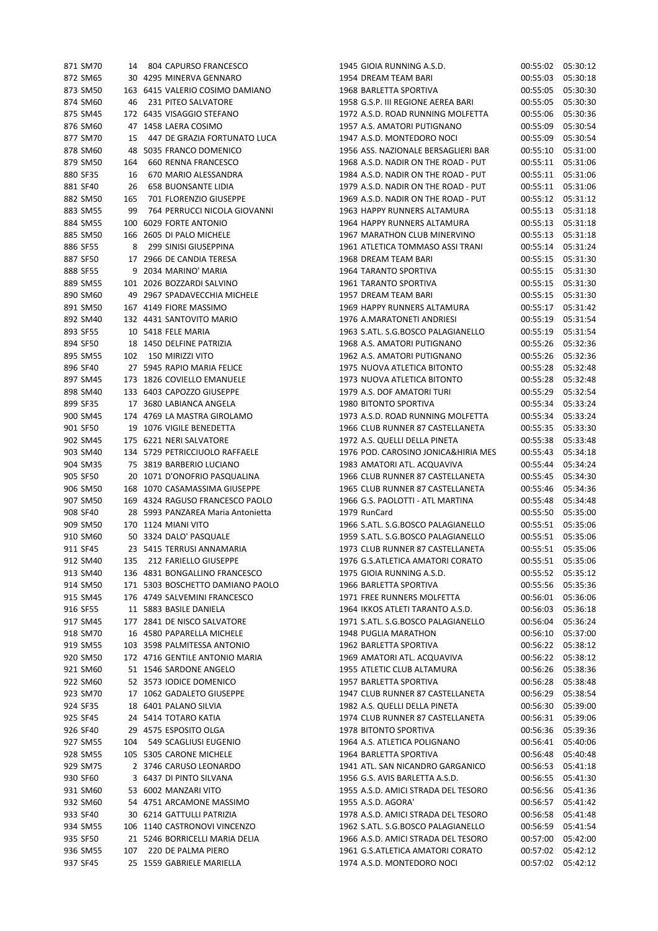| 871 SM70 |     | 14 804 CAPURSO FRANCESCO                       | 1945 GIOIA RUNNING A.S.D.           | 00:55:02 | 05:30:12 |
|----------|-----|------------------------------------------------|-------------------------------------|----------|----------|
| 872 SM65 |     | 30 4295 MINERVA GENNARO                        | 1954 DREAM TEAM BARI                | 00:55:03 | 05:30:18 |
| 873 SM50 |     | 163 6415 VALERIO COSIMO DAMIANO                | 1968 BARLETTA SPORTIVA              | 00:55:05 | 05:30:30 |
| 874 SM60 | 46  | 231 PITEO SALVATORE                            | 1958 G.S.P. III REGIONE AEREA BARI  | 00:55:05 | 05:30:30 |
| 875 SM45 |     | 172 6435 VISAGGIO STEFANO                      | 1972 A.S.D. ROAD RUNNING MOLFETTA   | 00:55:06 | 05:30:36 |
| 876 SM60 |     | 47 1458 LAERA COSIMO                           | 1957 A.S. AMATORI PUTIGNANO         | 00:55:09 | 05:30:54 |
| 877 SM70 | 15  | 447 DE GRAZIA FORTUNATO LUCA                   | 1947 A.S.D. MONTEDORO NOCI          | 00:55:09 | 05:30:54 |
|          |     |                                                |                                     |          |          |
| 878 SM60 |     | 48 5035 FRANCO DOMENICO                        | 1956 ASS. NAZIONALE BERSAGLIERI BAR | 00:55:10 | 05:31:00 |
| 879 SM50 | 164 | 660 RENNA FRANCESCO                            | 1968 A.S.D. NADIR ON THE ROAD - PUT | 00:55:11 | 05:31:06 |
| 880 SF35 | 16  | 670 MARIO ALESSANDRA                           | 1984 A.S.D. NADIR ON THE ROAD - PUT | 00:55:11 | 05:31:06 |
| 881 SF40 | 26  | <b>658 BUONSANTE LIDIA</b>                     | 1979 A.S.D. NADIR ON THE ROAD - PUT | 00:55:11 | 05:31:06 |
| 882 SM50 | 165 | 701 FLORENZIO GIUSEPPE                         | 1969 A.S.D. NADIR ON THE ROAD - PUT | 00:55:12 | 05:31:12 |
| 883 SM55 | 99  | 764 PERRUCCI NICOLA GIOVANNI                   | 1963 HAPPY RUNNERS ALTAMURA         | 00:55:13 | 05:31:18 |
| 884 SM55 |     | 100 6029 FORTE ANTONIO                         | 1964 HAPPY RUNNERS ALTAMURA         | 00:55:13 | 05:31:18 |
| 885 SM50 |     | 166 2605 DI PALO MICHELE                       | 1967 MARATHON CLUB MINERVINO        | 00:55:13 | 05:31:18 |
| 886 SF55 | 8   | 299 SINISI GIUSEPPINA                          | 1961 ATLETICA TOMMASO ASSI TRANI    | 00:55:14 | 05:31:24 |
| 887 SF50 |     | 17 2966 DE CANDIA TERESA                       | 1968 DREAM TEAM BARI                | 00:55:15 | 05:31:30 |
| 888 SF55 |     | 9 2034 MARINO' MARIA                           | 1964 TARANTO SPORTIVA               | 00:55:15 | 05:31:30 |
| 889 SM55 |     | 101 2026 BOZZARDI SALVINO                      | 1961 TARANTO SPORTIVA               | 00:55:15 | 05:31:30 |
| 890 SM60 |     | 49 2967 SPADAVECCHIA MICHELE                   | 1957 DREAM TEAM BARI                | 00:55:15 | 05:31:30 |
| 891 SM50 |     | 167 4149 FIORE MASSIMO                         | 1969 HAPPY RUNNERS ALTAMURA         | 00:55:17 | 05:31:42 |
| 892 SM40 |     | 132 4431 SANTOVITO MARIO                       | 1976 A.MARATONETI ANDRIESI          | 00:55:19 | 05:31:54 |
| 893 SF55 |     | 10 5418 FELE MARIA                             | 1963 S.ATL. S.G.BOSCO PALAGIANELLO  | 00:55:19 | 05:31:54 |
| 894 SF50 |     | 18 1450 DELFINE PATRIZIA                       | 1968 A.S. AMATORI PUTIGNANO         | 00:55:26 | 05:32:36 |
|          |     |                                                | 1962 A.S. AMATORI PUTIGNANO         |          |          |
| 895 SM55 | 102 | 150 MIRIZZI VITO<br>27 5945 RAPIO MARIA FELICE |                                     | 00:55:26 | 05:32:36 |
| 896 SF40 |     |                                                | 1975 NUOVA ATLETICA BITONTO         | 00:55:28 | 05:32:48 |
| 897 SM45 |     | 173 1826 COVIELLO EMANUELE                     | 1973 NUOVA ATLETICA BITONTO         | 00:55:28 | 05:32:48 |
| 898 SM40 |     | 133 6403 CAPOZZO GIUSEPPE                      | 1979 A.S. DOF AMATORI TURI          | 00:55:29 | 05:32:54 |
| 899 SF35 |     | 17 3680 LABIANCA ANGELA                        | <b>1980 BITONTO SPORTIVA</b>        | 00:55:34 | 05:33:24 |
| 900 SM45 |     | 174 4769 LA MASTRA GIROLAMO                    | 1973 A.S.D. ROAD RUNNING MOLFETTA   | 00:55:34 | 05:33:24 |
| 901 SF50 |     | 19 1076 VIGILE BENEDETTA                       | 1966 CLUB RUNNER 87 CASTELLANETA    | 00:55:35 | 05:33:30 |
| 902 SM45 |     | 175 6221 NERI SALVATORE                        | 1972 A.S. QUELLI DELLA PINETA       | 00:55:38 | 05:33:48 |
| 903 SM40 |     | 134 5729 PETRICCIUOLO RAFFAELE                 | 1976 POD. CAROSINO JONICA&HIRIA MES | 00:55:43 | 05:34:18 |
| 904 SM35 |     | 75 3819 BARBERIO LUCIANO                       | 1983 AMATORI ATL. ACQUAVIVA         | 00:55:44 | 05:34:24 |
| 905 SF50 |     | 20 1071 D'ONOFRIO PASQUALINA                   | 1966 CLUB RUNNER 87 CASTELLANETA    | 00:55:45 | 05:34:30 |
| 906 SM50 |     | 168 1070 CASAMASSIMA GIUSEPPE                  | 1965 CLUB RUNNER 87 CASTELLANETA    | 00:55:46 | 05:34:36 |
| 907 SM50 |     | 169 4324 RAGUSO FRANCESCO PAOLO                | 1966 G.S. PAOLOTTI - ATL MARTINA    | 00:55:48 | 05:34:48 |
| 908 SF40 |     | 28 5993 PANZAREA Maria Antonietta              | 1979 RunCard                        | 00:55:50 | 05:35:00 |
| 909 SM50 |     | 170 1124 MIANI VITO                            | 1966 S.ATL. S.G.BOSCO PALAGIANELLO  | 00:55:51 | 05:35:06 |
| 910 SM60 |     | 50 3324 DALO' PASQUALE                         | 1959 S.ATL. S.G.BOSCO PALAGIANELLO  | 00:55:51 | 05:35:06 |
| 911 SF45 |     | 23 5415 TERRUSI ANNAMARIA                      | 1973 CLUB RUNNER 87 CASTELLANETA    | 00:55:51 | 05:35:06 |
| 912 SM40 | 135 | 212 FARIELLO GIUSEPPE                          | 1976 G.S.ATLETICA AMATORI CORATO    | 00:55:51 | 05:35:06 |
| 913 SM40 |     | 136 4831 BONGALLINO FRANCESCO                  | 1975 GIOIA RUNNING A.S.D.           | 00:55:52 | 05:35:12 |
| 914 SM50 |     | 171 5303 BOSCHETTO DAMIANO PAOLO               | 1966 BARLETTA SPORTIVA              | 00:55:56 | 05:35:36 |
| 915 SM45 |     | 176 4749 SALVEMINI FRANCESCO                   | 1971 FREE RUNNERS MOLFETTA          | 00:56:01 | 05:36:06 |
| 916 SF55 |     | 11 5883 BASILE DANIELA                         | 1964 IKKOS ATLETI TARANTO A.S.D.    | 00:56:03 | 05:36:18 |
| 917 SM45 |     | 177 2841 DE NISCO SALVATORE                    | 1971 S.ATL. S.G.BOSCO PALAGIANELLO  | 00:56:04 | 05:36:24 |
|          |     |                                                |                                     |          |          |
| 918 SM70 |     | 16 4580 PAPARELLA MICHELE                      | 1948 PUGLIA MARATHON                | 00:56:10 | 05:37:00 |
| 919 SM55 |     | 103 3598 PALMITESSA ANTONIO                    | 1962 BARLETTA SPORTIVA              | 00:56:22 | 05:38:12 |
| 920 SM50 |     | 172 4716 GENTILE ANTONIO MARIA                 | 1969 AMATORI ATL. ACQUAVIVA         | 00:56:22 | 05:38:12 |
| 921 SM60 |     | 51 1546 SARDONE ANGELO                         | 1955 ATLETIC CLUB ALTAMURA          | 00:56:26 | 05:38:36 |
| 922 SM60 |     | 52 3573 IODICE DOMENICO                        | 1957 BARLETTA SPORTIVA              | 00:56:28 | 05:38:48 |
| 923 SM70 |     | 17 1062 GADALETO GIUSEPPE                      | 1947 CLUB RUNNER 87 CASTELLANETA    | 00:56:29 | 05:38:54 |
| 924 SF35 |     | 18 6401 PALANO SILVIA                          | 1982 A.S. QUELLI DELLA PINETA       | 00:56:30 | 05:39:00 |
| 925 SF45 |     | 24 5414 TOTARO KATIA                           | 1974 CLUB RUNNER 87 CASTELLANETA    | 00:56:31 | 05:39:06 |
| 926 SF40 |     | 29 4575 ESPOSITO OLGA                          | 1978 BITONTO SPORTIVA               | 00:56:36 | 05:39:36 |
| 927 SM55 | 104 | 549 SCAGLIUSI EUGENIO                          | 1964 A.S. ATLETICA POLIGNANO        | 00:56:41 | 05:40:06 |
| 928 SM55 |     | 105 5305 CARONE MICHELE                        | 1964 BARLETTA SPORTIVA              | 00:56:48 | 05:40:48 |
| 929 SM75 |     | 2 3746 CARUSO LEONARDO                         | 1941 ATL. SAN NICANDRO GARGANICO    | 00:56:53 | 05:41:18 |
| 930 SF60 |     | 3 6437 DI PINTO SILVANA                        | 1956 G.S. AVIS BARLETTA A.S.D.      | 00:56:55 | 05:41:30 |
| 931 SM60 |     | 53 6002 MANZARI VITO                           | 1955 A.S.D. AMICI STRADA DEL TESORO | 00:56:56 | 05:41:36 |
| 932 SM60 |     | 54 4751 ARCAMONE MASSIMO                       | 1955 A.S.D. AGORA'                  | 00:56:57 | 05:41:42 |
| 933 SF40 |     | 30 6214 GATTULLI PATRIZIA                      | 1978 A.S.D. AMICI STRADA DEL TESORO | 00:56:58 | 05:41:48 |
| 934 SM55 |     | 106 1140 CASTRONOVI VINCENZO                   | 1962 S.ATL. S.G.BOSCO PALAGIANELLO  | 00:56:59 | 05:41:54 |
| 935 SF50 |     | 21 5246 BORRICELLI MARIA DELIA                 | 1966 A.S.D. AMICI STRADA DEL TESORO | 00:57:00 | 05:42:00 |
| 936 SM55 | 107 | 220 DE PALMA PIERO                             | 1961 G.S.ATLETICA AMATORI CORATO    | 00:57:02 | 05:42:12 |
| 937 SF45 |     | 25 1559 GABRIELE MARIELLA                      | 1974 A.S.D. MONTEDORO NOCI          | 00:57:02 | 05:42:12 |
|          |     |                                                |                                     |          |          |

| 871 SM70 |     | 14 804 CAPURSO FRANCESCO          | 1945 GIOIA RUNNING A.S.D.           | 00:55:02              | 05:30:12 |
|----------|-----|-----------------------------------|-------------------------------------|-----------------------|----------|
| 872 SM65 |     | 30 4295 MINERVA GENNARO           | 1954 DREAM TEAM BARI                | 00:55:03              | 05:30:18 |
| 873 SM50 |     | 163 6415 VALERIO COSIMO DAMIANO   | 1968 BARLETTA SPORTIVA              | 00:55:05              | 05:30:30 |
| 874 SM60 | 46  | 231 PITEO SALVATORE               | 1958 G.S.P. III REGIONE AEREA BARI  | 00:55:05              | 05:30:30 |
| 875 SM45 |     | 172 6435 VISAGGIO STEFANO         | 1972 A.S.D. ROAD RUNNING MOLFETTA   | 00:55:06              | 05:30:36 |
| 876 SM60 |     | 47 1458 LAERA COSIMO              | 1957 A.S. AMATORI PUTIGNANO         | 00:55:09              | 05:30:54 |
| 877 SM70 | 15  | 447 DE GRAZIA FORTUNATO LUCA      | 1947 A.S.D. MONTEDORO NOCI          | 00:55:09              | 05:30:54 |
| 878 SM60 |     | 48 5035 FRANCO DOMENICO           | 1956 ASS. NAZIONALE BERSAGLIERI BAR | 00:55:10              | 05:31:00 |
| 879 SM50 | 164 |                                   |                                     | 00:55:11              | 05:31:06 |
|          |     | 660 RENNA FRANCESCO               | 1968 A.S.D. NADIR ON THE ROAD - PUT |                       |          |
| 880 SF35 | 16  | 670 MARIO ALESSANDRA              | 1984 A.S.D. NADIR ON THE ROAD - PUT | 00:55:11              | 05:31:06 |
| 881 SF40 | 26  | <b>658 BUONSANTE LIDIA</b>        | 1979 A.S.D. NADIR ON THE ROAD - PUT | 00:55:11              | 05:31:06 |
| 882 SM50 | 165 | 701 FLORENZIO GIUSEPPE            | 1969 A.S.D. NADIR ON THE ROAD - PUT | 00:55:12              | 05:31:12 |
| 883 SM55 | 99  | 764 PERRUCCI NICOLA GIOVANNI      | 1963 HAPPY RUNNERS ALTAMURA         | 00:55:13              | 05:31:18 |
| 884 SM55 |     | 100 6029 FORTE ANTONIO            | 1964 HAPPY RUNNERS ALTAMURA         | 00:55:13              | 05:31:18 |
| 885 SM50 |     | 166 2605 DI PALO MICHELE          | 1967 MARATHON CLUB MINERVINO        | 00:55:13              | 05:31:18 |
| 886 SF55 | 8   | 299 SINISI GIUSEPPINA             | 1961 ATLETICA TOMMASO ASSI TRANI    | 00:55:14              | 05:31:24 |
| 887 SF50 |     | 17 2966 DE CANDIA TERESA          | 1968 DREAM TEAM BARI                | 00:55:15              | 05:31:30 |
| 888 SF55 |     | 9 2034 MARINO' MARIA              | 1964 TARANTO SPORTIVA               | 00:55:15              | 05:31:30 |
|          |     |                                   |                                     |                       |          |
| 889 SM55 |     | 101 2026 BOZZARDI SALVINO         | 1961 TARANTO SPORTIVA               | 00:55:15              | 05:31:30 |
| 890 SM60 |     | 49 2967 SPADAVECCHIA MICHELE      | 1957 DREAM TEAM BARI                | 00:55:15              | 05:31:30 |
| 891 SM50 |     | 167 4149 FIORE MASSIMO            | 1969 HAPPY RUNNERS ALTAMURA         | 00:55:17              | 05:31:42 |
| 892 SM40 |     | 132 4431 SANTOVITO MARIO          | 1976 A.MARATONETI ANDRIESI          | 00:55:19              | 05:31:54 |
| 893 SF55 |     | 10 5418 FELE MARIA                | 1963 S.ATL. S.G.BOSCO PALAGIANELLO  | 00:55:19              | 05:31:54 |
| 894 SF50 |     | 18 1450 DELFINE PATRIZIA          | 1968 A.S. AMATORI PUTIGNANO         | 00:55:26              | 05:32:36 |
| 895 SM55 |     | 102 150 MIRIZZI VITO              | 1962 A.S. AMATORI PUTIGNANO         | 00:55:26              | 05:32:36 |
| 896 SF40 |     | 27 5945 RAPIO MARIA FELICE        | 1975 NUOVA ATLETICA BITONTO         | 00:55:28              | 05:32:48 |
| 897 SM45 |     | 173 1826 COVIELLO EMANUELE        | 1973 NUOVA ATLETICA BITONTO         | 00:55:28              | 05:32:48 |
| 898 SM40 |     | 133 6403 CAPOZZO GIUSEPPE         | 1979 A.S. DOF AMATORI TURI          | 00:55:29              | 05:32:54 |
|          |     |                                   |                                     |                       |          |
| 899 SF35 |     | 17 3680 LABIANCA ANGELA           | 1980 BITONTO SPORTIVA               | 00:55:34              | 05:33:24 |
| 900 SM45 |     | 174 4769 LA MASTRA GIROLAMO       | 1973 A.S.D. ROAD RUNNING MOLFETTA   | 00:55:34              | 05:33:24 |
| 901 SF50 |     | 19 1076 VIGILE BENEDETTA          | 1966 CLUB RUNNER 87 CASTELLANETA    | 00:55:35              | 05:33:30 |
| 902 SM45 |     | 175 6221 NERI SALVATORE           | 1972 A.S. QUELLI DELLA PINETA       | 00:55:38              | 05:33:48 |
| 903 SM40 |     | 134 5729 PETRICCIUOLO RAFFAELE    | 1976 POD. CAROSINO JONICA&HIRIA MES | 00:55:43              | 05:34:18 |
| 904 SM35 |     | 75 3819 BARBERIO LUCIANO          | 1983 AMATORI ATL. ACQUAVIVA         | 00:55:44              | 05:34:24 |
| 905 SF50 |     | 20 1071 D'ONOFRIO PASQUALINA      | 1966 CLUB RUNNER 87 CASTELLANETA    | 00:55:45              | 05:34:30 |
| 906 SM50 |     | 168 1070 CASAMASSIMA GIUSEPPE     | 1965 CLUB RUNNER 87 CASTELLANETA    | 00:55:46              | 05:34:36 |
| 907 SM50 |     | 169 4324 RAGUSO FRANCESCO PAOLO   | 1966 G.S. PAOLOTTI - ATL MARTINA    | 00:55:48              | 05:34:48 |
| 908 SF40 |     | 28 5993 PANZAREA Maria Antonietta | 1979 RunCard                        | 00:55:50              | 05:35:00 |
| 909 SM50 |     | 170 1124 MIANI VITO               | 1966 S.ATL. S.G.BOSCO PALAGIANELLO  | 00:55:51              | 05:35:06 |
| 910 SM60 |     | 50 3324 DALO' PASQUALE            | 1959 S.ATL. S.G.BOSCO PALAGIANELLO  | 00:55:51              | 05:35:06 |
|          |     |                                   |                                     |                       |          |
| 911 SF45 |     | 23 5415 TERRUSI ANNAMARIA         | 1973 CLUB RUNNER 87 CASTELLANETA    | 00:55:51              | 05:35:06 |
| 912 SM40 |     | 135 212 FARIELLO GIUSEPPE         | 1976 G.S.ATLETICA AMATORI CORATO    | 00:55:51              | 05:35:06 |
| 913 SM40 |     | 136 4831 BONGALLINO FRANCESCO     | 1975 GIOIA RUNNING A.S.D.           | 00:55:52              | 05:35:12 |
| 914 SM50 |     | 171 5303 BOSCHETTO DAMIANO PAOLO  | 1966 BARLETTA SPORTIVA              | 00:55:56              | 05:35:36 |
| 915 SM45 |     | 176 4749 SALVEMINI FRANCESCO      | 1971 FREE RUNNERS MOLFETTA          | 00:56:01              | 05:36:06 |
| 916 SF55 |     | 11 5883 BASILE DANIELA            | 1964 IKKOS ATLETI TARANTO A.S.D.    | 00:56:03              | 05:36:18 |
| 917 SM45 |     | 177 2841 DE NISCO SALVATORE       | 1971 S.ATL. S.G.BOSCO PALAGIANELLO  | 00:56:04              | 05:36:24 |
| 918 SM70 |     | 16 4580 PAPARELLA MICHELE         | 1948 PUGLIA MARATHON                | 00:56:10              | 05:37:00 |
| 919 SM55 |     | 103 3598 PALMITESSA ANTONIO       | 1962 BARLETTA SPORTIVA              | 00:56:22              | 05:38:12 |
| 920 SM50 |     | 172 4716 GENTILE ANTONIO MARIA    | 1969 AMATORI ATL. ACQUAVIVA         | 00:56:22              | 05:38:12 |
|          |     |                                   |                                     |                       |          |
| 921 SM60 |     | 51 1546 SARDONE ANGELO            | 1955 ATLETIC CLUB ALTAMURA          | 00:56:26              | 05:38:36 |
| 922 SM60 |     | 52 3573 IODICE DOMENICO           | 1957 BARLETTA SPORTIVA              | 00:56:28              | 05:38:48 |
| 923 SM70 |     | 17 1062 GADALETO GIUSEPPE         | 1947 CLUB RUNNER 87 CASTELLANETA    | 00:56:29              | 05:38:54 |
| 924 SF35 |     | 18 6401 PALANO SILVIA             | 1982 A.S. QUELLI DELLA PINETA       | 00:56:30              | 05:39:00 |
| 925 SF45 |     | 24 5414 TOTARO KATIA              | 1974 CLUB RUNNER 87 CASTELLANETA    | 00:56:31              | 05:39:06 |
| 926 SF40 |     | 29 4575 ESPOSITO OLGA             | 1978 BITONTO SPORTIVA               | 00:56:36              | 05:39:36 |
| 927 SM55 | 104 | 549 SCAGLIUSI EUGENIO             | 1964 A.S. ATLETICA POLIGNANO        | 00:56:41              | 05:40:06 |
| 928 SM55 |     | 105 5305 CARONE MICHELE           | 1964 BARLETTA SPORTIVA              | 00:56:48              | 05:40:48 |
| 929 SM75 |     | 2 3746 CARUSO LEONARDO            | 1941 ATL. SAN NICANDRO GARGANICO    | 00:56:53              | 05:41:18 |
| 930 SF60 |     | 3 6437 DI PINTO SILVANA           | 1956 G.S. AVIS BARLETTA A.S.D.      | 00:56:55              | 05:41:30 |
|          |     | 53 6002 MANZARI VITO              | 1955 A.S.D. AMICI STRADA DEL TESORO |                       |          |
| 931 SM60 |     |                                   |                                     | 00:56:56              | 05:41:36 |
| 932 SM60 |     | 54 4751 ARCAMONE MASSIMO          | 1955 A.S.D. AGORA'                  | 00:56:57              | 05:41:42 |
| 933 SF40 |     | 30 6214 GATTULLI PATRIZIA         | 1978 A.S.D. AMICI STRADA DEL TESORO | 00:56:58              | 05:41:48 |
| 934 SM55 |     | 106 1140 CASTRONOVI VINCENZO      | 1962 S.ATL. S.G.BOSCO PALAGIANELLO  | 00:56:59              | 05:41:54 |
| 935 SF50 |     | 21 5246 BORRICELLI MARIA DELIA    | 1966 A.S.D. AMICI STRADA DEL TESORO | 00:57:00              | 05:42:00 |
| 936 SM55 |     | 107 220 DE PALMA PIERO            | 1961 G.S.ATLETICA AMATORI CORATO    | 00:57:02              | 05:42:12 |
| 937 SF45 |     | 25 1559 GABRIFIF MARIFILA         | 1974 A.S.D. MONTEDORO NOCL          | $00:57:02$ $05:42:12$ |          |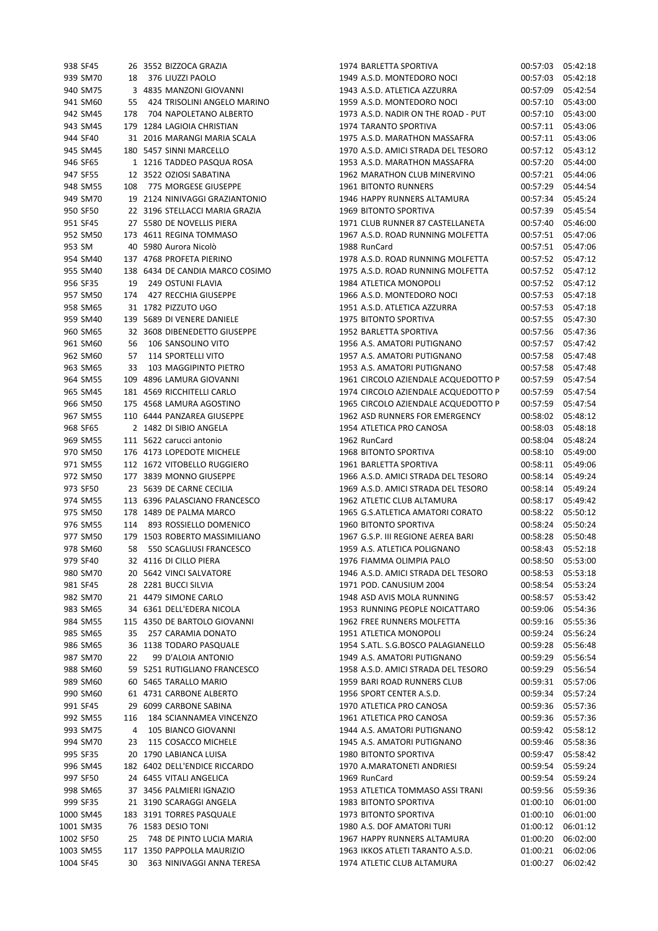|        | 938 SF45  |                | 26 3552 BIZZOCA GRAZIA          |
|--------|-----------|----------------|---------------------------------|
|        | 939 SM70  | 18             | 376 LIUZZI PAOLO                |
|        | 940 SM75  |                | 3 4835 MANZONI GIOVANNI         |
|        | 941 SM60  | 55             | 424 TRISOLINI ANGELO MARINO     |
|        | 942 SM45  | 178            | 704 NAPOLETANO ALBERTO          |
|        | 943 SM45  |                | 179 1284 LAGIOIA CHRISTIAN      |
|        | 944 SF40  |                | 31 2016 MARANGI MARIA SCALA     |
|        | 945 SM45  |                | 180 5457 SINNI MARCELLO         |
|        | 946 SF65  |                | 1 1216 TADDEO PASQUA ROSA       |
|        | 947 SF55  | 12             | 3522 OZIOSI SABATINA            |
|        | 948 SM55  |                | 108 775 MORGESE GIUSEPPE        |
|        | 949 SM70  |                | 19 2124 NINIVAGGI GRAZIANTONIO  |
|        | 950 SF50  |                | 22 3196 STELLACCI MARIA GRAZIA  |
|        | 951 SF45  |                | 27 5580 DE NOVELLIS PIERA       |
|        | 952 SM50  |                | 173 4611 REGINA TOMMASO         |
| 953 SM |           |                | 40 5980 Aurora Nicolò           |
|        | 954 SM40  |                | 137 4768 PROFETA PIERINO        |
|        | 955 SM40  |                | 138 6434 DE CANDIA MARCO COSIMO |
|        | 956 SF35  |                | 19 249 OSTUNI FLAVIA            |
|        | 957 SM50  |                | 174 427 RECCHIA GIUSEPPE        |
|        | 958 SM65  |                | 31 1782 PIZZUTO UGO             |
|        | 959 SM40  |                | 139 5689 DI VENERE DANIELE      |
|        | 960 SM65  | 32             | 3608 DIBENEDETTO GIUSEPPE       |
|        | 961 SM60  |                | 56 106 SANSOLINO VITO           |
|        | 962 SM60  |                | 57 114 SPORTELLI VITO           |
|        | 963 SM65  |                | 33 103 MAGGIPINTO PIETRO        |
|        | 964 SM55  |                | 109 4896 LAMURA GIOVANNI        |
|        | 965 SM45  |                | 181 4569 RICCHITELLI CARLO      |
|        | 966 SM50  |                | 175 4568 LAMURA AGOSTINO        |
|        | 967 SM55  |                | 110 6444 PANZAREA GIUSEPPE      |
|        | 968 SF65  | 2              | 1482 DI SIBIO ANGELA            |
|        | 969 SM55  | 111            | 5622 carucci antonio            |
|        | 970 SM50  |                | 176 4173 LOPEDOTE MICHELE       |
|        | 971 SM55  | 112            | 1672 VITOBELLO RUGGIERO         |
|        | 972 SM50  | 177            | 3839 MONNO GIUSEPPE             |
|        | 973 SF50  | - 23           | 5639 DE CARNE CECILIA           |
|        | 974 SM55  |                | 113 6396 PALASCIANO FRANCESCO   |
|        | 975 SM50  | 178            | 1489 DE PALMA MARCO             |
|        | 976 SM55  | 114            | 893 ROSSIELLO DOMENICO          |
|        | 977 SM50  |                | 179 1503 ROBERTO MASSIMILIANO   |
|        | 978 SM60  |                | 58 550 SCAGLIUSI FRANCESCO      |
|        | 979 SF40  |                | 32 4116 DI CILLO PIERA          |
|        | 980 SM70  |                | 20 5642 VINCI SALVATORE         |
|        | 981 SF45  |                | 28 2281 BUCCI SILVIA            |
|        | 982 SM70  |                | 21 4479 SIMONE CARLO            |
|        | 983 SM65  |                | 34 6361 DELL'EDERA NICOLA       |
|        | 984 SM55  |                | 115 4350 DE BARTOLO GIOVANNI    |
|        | 985 SM65  |                | 35 257 CARAMIA DONATO           |
|        | 986 SM65  |                | 36 1138 TODARO PASQUALE         |
|        | 987 SM70  | 22             | 99 D'ALOIA ANTONIO              |
|        | 988 SM60  |                | 59 5251 RUTIGLIANO FRANCESCO    |
|        | 989 SM60  |                | 60 5465 TARALLO MARIO           |
|        | 990 SM60  |                | 61 4731 CARBONE ALBERTO         |
|        | 991 SF45  |                | 29 6099 CARBONE SABINA          |
|        | 992 SM55  | 116            | 184 SCIANNAMEA VINCENZO         |
|        | 993 SM75  | $\overline{4}$ | 105 BIANCO GIOVANNI             |
|        | 994 SM70  |                | 23 115 COSACCO MICHELE          |
|        | 995 SF35  |                | 20 1790 LABIANCA LUISA          |
|        | 996 SM45  |                | 182 6402 DELL'ENDICE RICCARDO   |
|        | 997 SF50  |                | 24 6455 VITALI ANGELICA         |
|        | 998 SM65  |                | 37 3456 PALMIERI IGNAZIO        |
|        | 999 SF35  | 21             | 3190 SCARAGGI ANGELA            |
|        | 1000 SM45 |                | 183 3191 TORRES PASQUALE        |
|        | 1001 SM35 |                | 76 1583 DESIO TONI              |
|        | 1002 SF50 |                | 25 748 DE PINTO LUCIA MARIA     |
|        | 1003 SM55 |                | 117 1350 PAPPOLLA MAURIZIO      |
|        | 1004 SF45 |                | 30 363 NINIVAGGI ANNA TERESA    |

| 938 SF45  |     |    | 26 3552 BIZZOCA GRAZIA          | 1974 BARLETTA SPORTIVA              | 00:57:03 | 05:42:18 |
|-----------|-----|----|---------------------------------|-------------------------------------|----------|----------|
| 939 SM70  |     | 18 | 376 LIUZZI PAOLO                | 1949 A.S.D. MONTEDORO NOCI          | 00:57:03 | 05:42:18 |
| 940 SM75  |     |    | 3 4835 MANZONI GIOVANNI         | 1943 A.S.D. ATLETICA AZZURRA        | 00:57:09 | 05:42:54 |
| 941 SM60  |     |    | 55 424 TRISOLINI ANGELO MARINO  | 1959 A.S.D. MONTEDORO NOCI          | 00:57:10 | 05:43:00 |
| 942 SM45  | 178 |    | 704 NAPOLETANO ALBERTO          | 1973 A.S.D. NADIR ON THE ROAD - PUT | 00:57:10 | 05:43:00 |
| 943 SM45  |     |    | 179 1284 LAGIOIA CHRISTIAN      | 1974 TARANTO SPORTIVA               | 00:57:11 | 05:43:06 |
| 944 SF40  |     |    | 31 2016 MARANGI MARIA SCALA     | 1975 A.S.D. MARATHON MASSAFRA       | 00:57:11 | 05:43:06 |
| 945 SM45  |     |    | 180 5457 SINNI MARCELLO         | 1970 A.S.D. AMICI STRADA DEL TESORO | 00:57:12 | 05:43:12 |
| 946 SF65  |     |    | 1 1216 TADDEO PASQUA ROSA       | 1953 A.S.D. MARATHON MASSAFRA       | 00:57:20 | 05:44:00 |
| 947 SF55  |     |    | 12 3522 OZIOSI SABATINA         | 1962 MARATHON CLUB MINERVINO        | 00:57:21 | 05:44:06 |
| 948 SM55  | 108 |    | 775 MORGESE GIUSEPPE            | <b>1961 BITONTO RUNNERS</b>         | 00:57:29 | 05:44:54 |
| 949 SM70  |     |    | 19 2124 NINIVAGGI GRAZIANTONIO  | 1946 HAPPY RUNNERS ALTAMURA         | 00:57:34 | 05:45:24 |
| 950 SF50  |     |    |                                 |                                     |          |          |
|           |     |    | 22 3196 STELLACCI MARIA GRAZIA  | 1969 BITONTO SPORTIVA               | 00:57:39 | 05:45:54 |
| 951 SF45  |     |    | 27 5580 DE NOVELLIS PIERA       | 1971 CLUB RUNNER 87 CASTELLANETA    | 00:57:40 | 05:46:00 |
| 952 SM50  |     |    | 173 4611 REGINA TOMMASO         | 1967 A.S.D. ROAD RUNNING MOLFETTA   | 00:57:51 | 05:47:06 |
| 953 SM    |     |    | 40 5980 Aurora Nicolò           | 1988 RunCard                        | 00:57:51 | 05:47:06 |
| 954 SM40  |     |    | 137 4768 PROFETA PIERINO        | 1978 A.S.D. ROAD RUNNING MOLFETTA   | 00:57:52 | 05:47:12 |
| 955 SM40  |     |    | 138 6434 DE CANDIA MARCO COSIMO | 1975 A.S.D. ROAD RUNNING MOLFETTA   | 00:57:52 | 05:47:12 |
| 956 SF35  |     | 19 | 249 OSTUNI FLAVIA               | 1984 ATLETICA MONOPOLI              | 00:57:52 | 05:47:12 |
| 957 SM50  | 174 |    | 427 RECCHIA GIUSEPPE            | 1966 A.S.D. MONTEDORO NOCI          | 00:57:53 | 05:47:18 |
| 958 SM65  |     |    | 31 1782 PIZZUTO UGO             | 1951 A.S.D. ATLETICA AZZURRA        | 00:57:53 | 05:47:18 |
| 959 SM40  |     |    | 139 5689 DI VENERE DANIELE      | 1975 BITONTO SPORTIVA               | 00:57:55 | 05:47:30 |
| 960 SM65  |     |    | 32 3608 DIBENEDETTO GIUSEPPE    | 1952 BARLETTA SPORTIVA              | 00:57:56 | 05:47:36 |
| 961 SM60  |     | 56 | 106 SANSOLINO VITO              | 1956 A.S. AMATORI PUTIGNANO         | 00:57:57 | 05:47:42 |
| 962 SM60  |     | 57 | 114 SPORTELLI VITO              | 1957 A.S. AMATORI PUTIGNANO         | 00:57:58 | 05:47:48 |
| 963 SM65  |     | 33 | 103 MAGGIPINTO PIETRO           | 1953 A.S. AMATORI PUTIGNANO         | 00:57:58 | 05:47:48 |
| 964 SM55  |     |    | 109 4896 LAMURA GIOVANNI        | 1961 CIRCOLO AZIENDALE ACQUEDOTTO P | 00:57:59 | 05:47:54 |
| 965 SM45  |     |    | 181 4569 RICCHITELLI CARLO      | 1974 CIRCOLO AZIENDALE ACQUEDOTTO P | 00:57:59 | 05:47:54 |
| 966 SM50  |     |    | 175 4568 LAMURA AGOSTINO        | 1965 CIRCOLO AZIENDALE ACQUEDOTTO P | 00:57:59 | 05:47:54 |
| 967 SM55  |     |    | 110 6444 PANZAREA GIUSEPPE      | 1962 ASD RUNNERS FOR EMERGENCY      | 00:58:02 | 05:48:12 |
| 968 SF65  |     |    | 2 1482 DI SIBIO ANGELA          | 1954 ATLETICA PRO CANOSA            | 00:58:03 | 05:48:18 |
| 969 SM55  |     |    | 111 5622 carucci antonio        | 1962 RunCard                        | 00:58:04 | 05:48:24 |
|           |     |    |                                 |                                     |          |          |
| 970 SM50  |     |    | 176 4173 LOPEDOTE MICHELE       | 1968 BITONTO SPORTIVA               | 00:58:10 | 05:49:00 |
| 971 SM55  |     |    | 112 1672 VITOBELLO RUGGIERO     | 1961 BARLETTA SPORTIVA              | 00:58:11 | 05:49:06 |
| 972 SM50  |     |    | 177 3839 MONNO GIUSEPPE         | 1966 A.S.D. AMICI STRADA DEL TESORO | 00:58:14 | 05:49:24 |
| 973 SF50  |     |    | 23 5639 DE CARNE CECILIA        | 1969 A.S.D. AMICI STRADA DEL TESORO | 00:58:14 | 05:49:24 |
| 974 SM55  |     |    | 113 6396 PALASCIANO FRANCESCO   | 1962 ATLETIC CLUB ALTAMURA          | 00:58:17 | 05:49:42 |
| 975 SM50  |     |    | 178 1489 DE PALMA MARCO         | 1965 G.S.ATLETICA AMATORI CORATO    | 00:58:22 | 05:50:12 |
| 976 SM55  | 114 |    | 893 ROSSIELLO DOMENICO          | 1960 BITONTO SPORTIVA               | 00:58:24 | 05:50:24 |
| 977 SM50  |     |    | 179 1503 ROBERTO MASSIMILIANO   | 1967 G.S.P. III REGIONE AEREA BARI  | 00:58:28 | 05:50:48 |
| 978 SM60  |     | 58 | 550 SCAGLIUSI FRANCESCO         | 1959 A.S. ATLETICA POLIGNANO        | 00:58:43 | 05:52:18 |
| 979 SF40  |     |    | 32 4116 DI CILLO PIERA          | 1976 FIAMMA OLIMPIA PALO            | 00:58:50 | 05:53:00 |
| 980 SM70  |     |    | 20 5642 VINCI SALVATORE         | 1946 A.S.D. AMICI STRADA DEL TESORO | 00:58:53 | 05:53:18 |
| 981 SF45  |     |    | 28 2281 BUCCI SILVIA            | 1971 POD. CANUSIUM 2004             | 00:58:54 | 05:53:24 |
| 982 SM70  |     |    | 21 4479 SIMONE CARLO            | 1948 ASD AVIS MOLA RUNNING          | 00:58:57 | 05:53:42 |
| 983 SM65  |     |    | 34 6361 DELL'EDERA NICOLA       | 1953 RUNNING PEOPLE NOICATTARO      | 00:59:06 | 05:54:36 |
| 984 SM55  |     |    | 115 4350 DE BARTOLO GIOVANNI    | 1962 FREE RUNNERS MOLFETTA          | 00:59:16 | 05:55:36 |
| 985 SM65  |     | 35 | 257 CARAMIA DONATO              | 1951 ATLETICA MONOPOLI              | 00:59:24 | 05:56:24 |
| 986 SM65  |     |    | 36 1138 TODARO PASQUALE         | 1954 S.ATL. S.G.BOSCO PALAGIANELLO  | 00:59:28 | 05:56:48 |
| 987 SM70  |     | 22 | 99 D'ALOIA ANTONIO              | 1949 A.S. AMATORI PUTIGNANO         | 00:59:29 | 05:56:54 |
| 988 SM60  |     |    | 59 5251 RUTIGLIANO FRANCESCO    | 1958 A.S.D. AMICI STRADA DEL TESORO | 00:59:29 | 05:56:54 |
| 989 SM60  |     |    | 60 5465 TARALLO MARIO           | 1959 BARI ROAD RUNNERS CLUB         | 00:59:31 | 05:57:06 |
| 990 SM60  |     |    | 61 4731 CARBONE ALBERTO         | 1956 SPORT CENTER A.S.D.            | 00:59:34 | 05:57:24 |
|           |     |    |                                 |                                     |          |          |
| 991 SF45  |     |    | 29 6099 CARBONE SABINA          | 1970 ATLETICA PRO CANOSA            | 00:59:36 | 05:57:36 |
| 992 SM55  | 116 |    | 184 SCIANNAMEA VINCENZO         | 1961 ATLETICA PRO CANOSA            | 00:59:36 | 05:57:36 |
| 993 SM75  |     | 4  | 105 BIANCO GIOVANNI             | 1944 A.S. AMATORI PUTIGNANO         | 00:59:42 | 05:58:12 |
| 994 SM70  |     | 23 | 115 COSACCO MICHELE             | 1945 A.S. AMATORI PUTIGNANO         | 00:59:46 | 05:58:36 |
| 995 SF35  |     |    | 20 1790 LABIANCA LUISA          | <b>1980 BITONTO SPORTIVA</b>        | 00:59:47 | 05:58:42 |
| 996 SM45  |     |    | 182 6402 DELL'ENDICE RICCARDO   | 1970 A.MARATONETI ANDRIESI          | 00:59:54 | 05:59:24 |
| 997 SF50  |     |    | 24 6455 VITALI ANGELICA         | 1969 RunCard                        | 00:59:54 | 05:59:24 |
| 998 SM65  |     |    | 37 3456 PALMIERI IGNAZIO        | 1953 ATLETICA TOMMASO ASSI TRANI    | 00:59:56 | 05:59:36 |
| 999 SF35  |     |    | 21 3190 SCARAGGI ANGELA         | 1983 BITONTO SPORTIVA               | 01:00:10 | 06:01:00 |
| 1000 SM45 |     |    | 183 3191 TORRES PASQUALE        | 1973 BITONTO SPORTIVA               | 01:00:10 | 06:01:00 |
| 1001 SM35 |     |    | 76 1583 DESIO TONI              | 1980 A.S. DOF AMATORI TURI          | 01:00:12 | 06:01:12 |
| 1002 SF50 |     | 25 | 748 DE PINTO LUCIA MARIA        | 1967 HAPPY RUNNERS ALTAMURA         | 01:00:20 | 06:02:00 |
| 1003 SM55 |     |    | 117 1350 PAPPOLLA MAURIZIO      | 1963 IKKOS ATLETI TARANTO A.S.D.    | 01:00:21 | 06:02:06 |
| 1004 SF45 |     |    | 30 363 NINIVAGGI ANNA TERESA    | 1974 ATLETIC CLUB ALTAMURA          | 01:00:27 | 06:02:42 |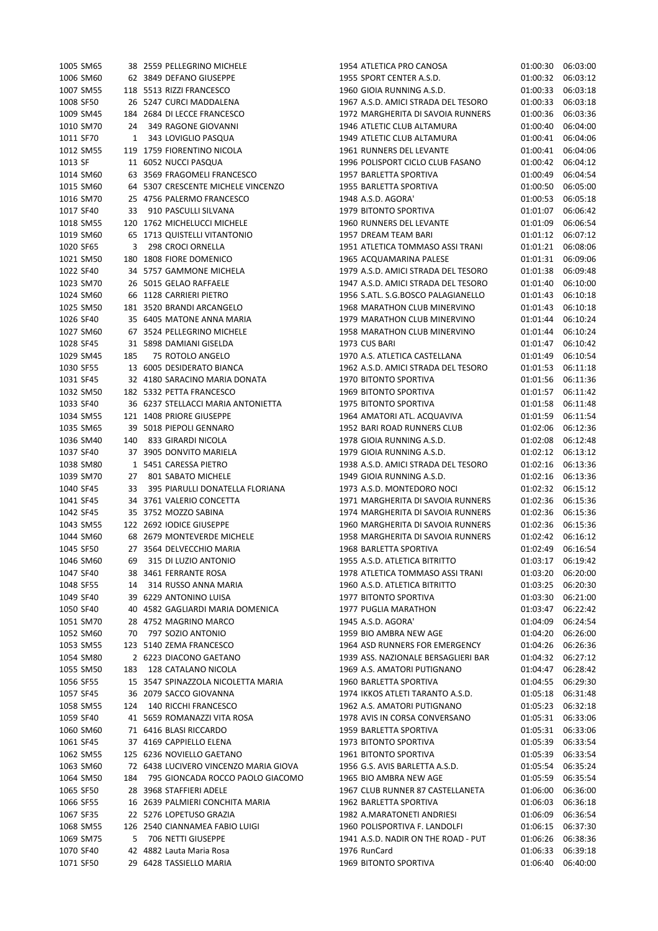| 1005 SM65 |     | 38 2559 PELLEGRINO MICHELE            | 1954 ATLETICA PRO CANOSA            | 01:00:30 | 06:03:00 |
|-----------|-----|---------------------------------------|-------------------------------------|----------|----------|
| 1006 SM60 |     | 62 3849 DEFANO GIUSEPPE               | 1955 SPORT CENTER A.S.D.            | 01:00:32 | 06:03:12 |
| 1007 SM55 |     | 118 5513 RIZZI FRANCESCO              | 1960 GIOIA RUNNING A.S.D.           | 01:00:33 | 06:03:18 |
| 1008 SF50 |     | 26 5247 CURCI MADDALENA               | 1967 A.S.D. AMICI STRADA DEL TESORO | 01:00:33 | 06:03:18 |
| 1009 SM45 |     | 184 2684 DI LECCE FRANCESCO           | 1972 MARGHERITA DI SAVOIA RUNNERS   | 01:00:36 | 06:03:36 |
| 1010 SM70 | 24  | 349 RAGONE GIOVANNI                   | 1946 ATLETIC CLUB ALTAMURA          | 01:00:40 | 06:04:00 |
| 1011 SF70 | 1   | 343 LOVIGLIO PASQUA                   | 1949 ATLETIC CLUB ALTAMURA          | 01:00:41 | 06:04:06 |
| 1012 SM55 |     | 119 1759 FIORENTINO NICOLA            | 1961 RUNNERS DEL LEVANTE            | 01:00:41 | 06:04:06 |
| 1013 SF   |     | 11 6052 NUCCI PASQUA                  | 1996 POLISPORT CICLO CLUB FASANO    | 01:00:42 | 06:04:12 |
|           |     |                                       |                                     |          |          |
| 1014 SM60 |     | 63 3569 FRAGOMELI FRANCESCO           | 1957 BARLETTA SPORTIVA              | 01:00:49 | 06:04:54 |
| 1015 SM60 |     | 64 5307 CRESCENTE MICHELE VINCENZO    | 1955 BARLETTA SPORTIVA              | 01:00:50 | 06:05:00 |
| 1016 SM70 |     | 25 4756 PALERMO FRANCESCO             | 1948 A.S.D. AGORA'                  | 01:00:53 | 06:05:18 |
| 1017 SF40 | 33  | 910 PASCULLI SILVANA                  | 1979 BITONTO SPORTIVA               | 01:01:07 | 06:06:42 |
| 1018 SM55 |     | 120 1762 MICHELUCCI MICHELE           | 1960 RUNNERS DEL LEVANTE            | 01:01:09 | 06:06:54 |
| 1019 SM60 |     | 65 1713 QUISTELLI VITANTONIO          | 1957 DREAM TEAM BARI                | 01:01:12 | 06:07:12 |
| 1020 SF65 | 3   | 298 CROCI ORNELLA                     | 1951 ATLETICA TOMMASO ASSI TRANI    | 01:01:21 | 06:08:06 |
| 1021 SM50 |     | 180 1808 FIORE DOMENICO               | 1965 ACQUAMARINA PALESE             | 01:01:31 | 06:09:06 |
| 1022 SF40 |     | 34 5757 GAMMONE MICHELA               | 1979 A.S.D. AMICI STRADA DEL TESORO | 01:01:38 | 06:09:48 |
| 1023 SM70 |     | 26 5015 GELAO RAFFAELE                | 1947 A.S.D. AMICI STRADA DEL TESORO | 01:01:40 | 06:10:00 |
| 1024 SM60 |     | 66 1128 CARRIERI PIETRO               | 1956 S.ATL. S.G.BOSCO PALAGIANELLO  | 01:01:43 | 06:10:18 |
| 1025 SM50 |     | 181 3520 BRANDI ARCANGELO             | 1968 MARATHON CLUB MINERVINO        | 01:01:43 | 06:10:18 |
| 1026 SF40 |     | 35 6405 MATONE ANNA MARIA             | 1979 MARATHON CLUB MINERVINO        | 01:01:44 | 06:10:24 |
| 1027 SM60 |     | 67 3524 PELLEGRINO MICHELE            | 1958 MARATHON CLUB MINERVINO        | 01:01:44 | 06:10:24 |
| 1028 SF45 |     | 31 5898 DAMIANI GISELDA               | 1973 CUS BARI                       | 01:01:47 | 06:10:42 |
|           |     |                                       |                                     |          |          |
| 1029 SM45 | 185 | 75 ROTOLO ANGELO                      | 1970 A.S. ATLETICA CASTELLANA       | 01:01:49 | 06:10:54 |
| 1030 SF55 |     | 13 6005 DESIDERATO BIANCA             | 1962 A.S.D. AMICI STRADA DEL TESORO | 01:01:53 | 06:11:18 |
| 1031 SF45 |     | 32 4180 SARACINO MARIA DONATA         | 1970 BITONTO SPORTIVA               | 01:01:56 | 06:11:36 |
| 1032 SM50 |     | 182 5332 PETTA FRANCESCO              | 1969 BITONTO SPORTIVA               | 01:01:57 | 06:11:42 |
| 1033 SF40 |     | 36 6237 STELLACCI MARIA ANTONIETTA    | 1975 BITONTO SPORTIVA               | 01:01:58 | 06:11:48 |
| 1034 SM55 |     | 121 1408 PRIORE GIUSEPPE              | 1964 AMATORI ATL. ACQUAVIVA         | 01:01:59 | 06:11:54 |
| 1035 SM65 |     | 39 5018 PIEPOLI GENNARO               | 1952 BARI ROAD RUNNERS CLUB         | 01:02:06 | 06:12:36 |
| 1036 SM40 | 140 | 833 GIRARDI NICOLA                    | 1978 GIOIA RUNNING A.S.D.           | 01:02:08 | 06:12:48 |
| 1037 SF40 |     | 37 3905 DONVITO MARIELA               | 1979 GIOIA RUNNING A.S.D.           | 01:02:12 | 06:13:12 |
| 1038 SM80 |     | 1 5451 CARESSA PIETRO                 | 1938 A.S.D. AMICI STRADA DEL TESORO | 01:02:16 | 06:13:36 |
| 1039 SM70 | 27  | 801 SABATO MICHELE                    | 1949 GIOIA RUNNING A.S.D.           | 01:02:16 | 06:13:36 |
| 1040 SF45 | 33  | 395 PIARULLI DONATELLA FLORIANA       | 1973 A.S.D. MONTEDORO NOCI          | 01:02:32 | 06:15:12 |
| 1041 SF45 |     | 34 3761 VALERIO CONCETTA              | 1971 MARGHERITA DI SAVOIA RUNNERS   | 01:02:36 | 06:15:36 |
| 1042 SF45 |     | 35 3752 MOZZO SABINA                  | 1974 MARGHERITA DI SAVOIA RUNNERS   | 01:02:36 | 06:15:36 |
| 1043 SM55 |     | 122 2692 IODICE GIUSEPPE              | 1960 MARGHERITA DI SAVOIA RUNNERS   | 01:02:36 | 06:15:36 |
| 1044 SM60 |     | 68 2679 MONTEVERDE MICHELE            | 1958 MARGHERITA DI SAVOIA RUNNERS   | 01:02:42 | 06:16:12 |
|           |     | 27 3564 DELVECCHIO MARIA              | 1968 BARLETTA SPORTIVA              | 01:02:49 |          |
| 1045 SF50 |     |                                       |                                     |          | 06:16:54 |
| 1046 SM60 | 69  | 315 DI LUZIO ANTONIO                  | 1955 A.S.D. ATLETICA BITRITTO       | 01:03:17 | 06:19:42 |
| 1047 SF40 |     | 38 3461 FERRANTE ROSA                 | 1978 ATLETICA TOMMASO ASSI TRANI    | 01:03:20 | 06:20:00 |
| 1048 SF55 | 14  | 314 RUSSO ANNA MARIA                  | 1960 A.S.D. ATLETICA BITRITTO       | 01:03:25 | 06:20:30 |
| 1049 SF40 |     | 39 6229 ANTONINO LUISA                | 1977 BITONTO SPORTIVA               | 01:03:30 | 06:21:00 |
| 1050 SF40 |     | 40 4582 GAGLIARDI MARIA DOMENICA      | 1977 PUGLIA MARATHON                | 01:03:47 | 06:22:42 |
| 1051 SM70 |     | 28 4752 MAGRINO MARCO                 | 1945 A.S.D. AGORA'                  | 01:04:09 | 06:24:54 |
| 1052 SM60 | 70  | 797 SOZIO ANTONIO                     | 1959 BIO AMBRA NEW AGE              | 01:04:20 | 06:26:00 |
| 1053 SM55 |     | 123 5140 ZEMA FRANCESCO               | 1964 ASD RUNNERS FOR EMERGENCY      | 01:04:26 | 06:26:36 |
| 1054 SM80 |     | 2 6223 DIACONO GAETANO                | 1939 ASS. NAZIONALE BERSAGLIERI BAR | 01:04:32 | 06:27:12 |
| 1055 SM50 | 183 | 128 CATALANO NICOLA                   | 1969 A.S. AMATORI PUTIGNANO         | 01:04:47 | 06:28:42 |
| 1056 SF55 |     | 15 3547 SPINAZZOLA NICOLETTA MARIA    | 1960 BARLETTA SPORTIVA              | 01:04:55 | 06:29:30 |
| 1057 SF45 |     | 36 2079 SACCO GIOVANNA                | 1974 IKKOS ATLETI TARANTO A.S.D.    | 01:05:18 | 06:31:48 |
| 1058 SM55 | 124 | 140 RICCHI FRANCESCO                  | 1962 A.S. AMATORI PUTIGNANO         | 01:05:23 | 06:32:18 |
| 1059 SF40 |     | 41 5659 ROMANAZZI VITA ROSA           | 1978 AVIS IN CORSA CONVERSANO       | 01:05:31 | 06:33:06 |
| 1060 SM60 |     | 71 6416 BLASI RICCARDO                | 1959 BARLETTA SPORTIVA              | 01:05:31 | 06:33:06 |
| 1061 SF45 |     | 37 4169 CAPPIELLO ELENA               | 1973 BITONTO SPORTIVA               |          | 06:33:54 |
|           |     | 125 6236 NOVIELLO GAETANO             | 1961 BITONTO SPORTIVA               | 01:05:39 |          |
| 1062 SM55 |     |                                       |                                     | 01:05:39 | 06:33:54 |
| 1063 SM60 |     | 72 6438 LUCIVERO VINCENZO MARIA GIOVA | 1956 G.S. AVIS BARLETTA A.S.D.      | 01:05:54 | 06:35:24 |
| 1064 SM50 | 184 | 795 GIONCADA ROCCO PAOLO GIACOMO      | 1965 BIO AMBRA NEW AGE              | 01:05:59 | 06:35:54 |
| 1065 SF50 |     | 28 3968 STAFFIERI ADELE               | 1967 CLUB RUNNER 87 CASTELLANETA    | 01:06:00 | 06:36:00 |
| 1066 SF55 |     | 16 2639 PALMIERI CONCHITA MARIA       | 1962 BARLETTA SPORTIVA              | 01:06:03 | 06:36:18 |
| 1067 SF35 |     | 22 5276 LOPETUSO GRAZIA               | 1982 A.MARATONETI ANDRIESI          | 01:06:09 | 06:36:54 |
| 1068 SM55 |     | 126 2540 CIANNAMEA FABIO LUIGI        | 1960 POLISPORTIVA F. LANDOLFI       | 01:06:15 | 06:37:30 |
| 1069 SM75 | 5   | 706 NETTI GIUSEPPE                    | 1941 A.S.D. NADIR ON THE ROAD - PUT | 01:06:26 | 06:38:36 |
| 1070 SF40 |     | 42 4882 Lauta Maria Rosa              | 1976 RunCard                        | 01:06:33 | 06:39:18 |
| 1071 SF50 |     | 29 6428 TASSIELLO MARIA               | 1969 BITONTO SPORTIVA               | 01:06:40 | 06:40:00 |